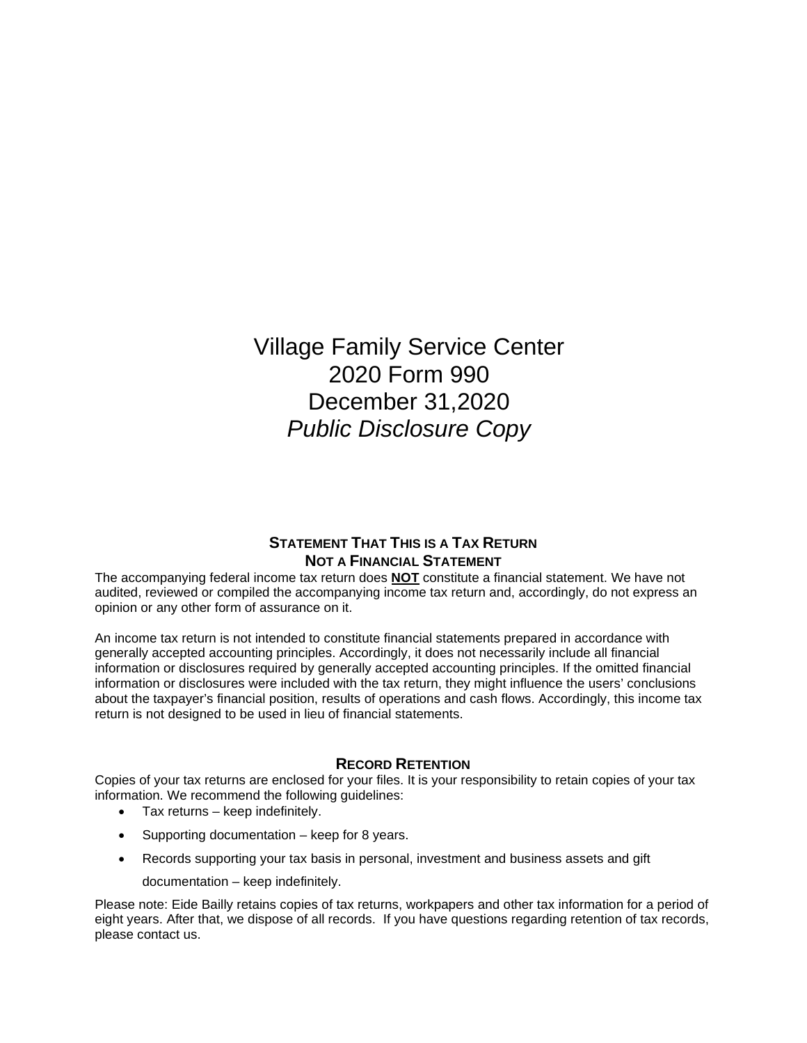Village Family Service Center 2020 Form 990 December 31,2020 *Public Disclosure Copy*

### **STATEMENT THAT THIS IS A TAX RETURN NOT A FINANCIAL STATEMENT**

The accompanying federal income tax return does **NOT** constitute a financial statement. We have not audited, reviewed or compiled the accompanying income tax return and, accordingly, do not express an opinion or any other form of assurance on it.

An income tax return is not intended to constitute financial statements prepared in accordance with generally accepted accounting principles. Accordingly, it does not necessarily include all financial information or disclosures required by generally accepted accounting principles. If the omitted financial information or disclosures were included with the tax return, they might influence the users' conclusions about the taxpayer's financial position, results of operations and cash flows. Accordingly, this income tax return is not designed to be used in lieu of financial statements.

### **RECORD RETENTION**

Copies of your tax returns are enclosed for your files. It is your responsibility to retain copies of your tax information. We recommend the following guidelines:

- Tax returns keep indefinitely.
- Supporting documentation keep for 8 years.
- Records supporting your tax basis in personal, investment and business assets and gift
	- documentation keep indefinitely.

Please note: Eide Bailly retains copies of tax returns, workpapers and other tax information for a period of eight years. After that, we dispose of all records. If you have questions regarding retention of tax records, please contact us.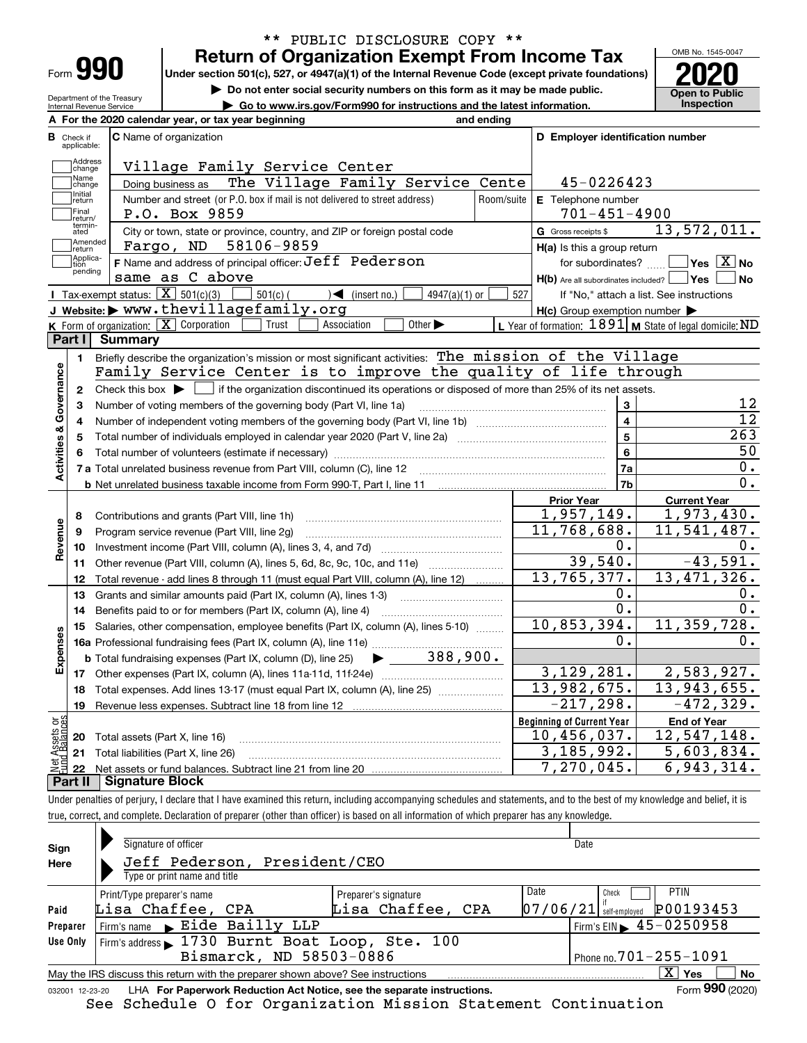| Form |  |  |
|------|--|--|
|      |  |  |

#### **Return of Organization Exempt From Income Tax** \*\* PUBLIC DISCLOSURE COPY \*\*

**Under section 501(c), 527, or 4947(a)(1) of the Internal Revenue Code (except private foundations) 2020**

**| Do not enter social security numbers on this form as it may be made public.**

Department of the Treasury Internal Revenue Service

**| Go to www.irs.gov/Form990 for instructions and the latest information. Inspection**



|                         |                         | A For the 2020 calendar year, or tax year beginning                                                                                         | and ending |                                                     |                                                           |
|-------------------------|-------------------------|---------------------------------------------------------------------------------------------------------------------------------------------|------------|-----------------------------------------------------|-----------------------------------------------------------|
| В                       | Check if<br>applicable: | <b>C</b> Name of organization                                                                                                               |            | D Employer identification number                    |                                                           |
|                         | Address<br>change       | Village Family Service Center                                                                                                               |            |                                                     |                                                           |
|                         | Name<br>change          | The Village Family Service Cente<br>Doing business as                                                                                       |            | 45-0226423                                          |                                                           |
|                         | Initial<br>return       | Number and street (or P.O. box if mail is not delivered to street address)                                                                  | Room/suite | E Telephone number                                  |                                                           |
|                         | Final<br>return/        | P.O. Box 9859                                                                                                                               |            | $701 - 451 - 4900$                                  |                                                           |
|                         | termin-<br>ated         | City or town, state or province, country, and ZIP or foreign postal code                                                                    |            | G Gross receipts \$                                 | 13,572,011.                                               |
|                         | Amended<br>return       | 58106-9859<br>Fargo, ND                                                                                                                     |            | $H(a)$ is this a group return                       |                                                           |
|                         | Applica-<br>tion        | F Name and address of principal officer: Jeff Pederson                                                                                      |            | for subordinates?                                   | $\sqrt{}$ Yes $\sqrt{}$ X $\sqrt{}$ No                    |
|                         | pending                 | same as C above                                                                                                                             |            | $H(b)$ Are all subordinates included? $\Box$ Yes    | l No                                                      |
|                         |                         | Tax-exempt status: $\boxed{\mathbf{X}}$ 501(c)(3)<br>$501(c)$ (<br>$\sqrt{\phantom{a}}$ (insert no.)<br>$4947(a)(1)$ or                     | 527        |                                                     | If "No," attach a list. See instructions                  |
|                         |                         | J Website: > www.thevillagefamily.org                                                                                                       |            | $H(c)$ Group exemption number $\blacktriangleright$ |                                                           |
|                         |                         | K Form of organization: $X$ Corporation<br>Other $\blacktriangleright$<br>Association<br>Trust                                              |            |                                                     | L Year of formation: $1891$ M State of legal domicile: ND |
|                         | Part I I                | Summary                                                                                                                                     |            |                                                     |                                                           |
|                         | 1.                      | Briefly describe the organization's mission or most significant activities: The mission of the Village                                      |            |                                                     |                                                           |
| Activities & Governance |                         | Family Service Center is to improve the quality of life through                                                                             |            |                                                     |                                                           |
|                         | $\mathbf{2}$            | Check this box $\blacktriangleright$ $\Box$ if the organization discontinued its operations or disposed of more than 25% of its net assets. |            |                                                     |                                                           |
|                         | з                       | Number of voting members of the governing body (Part VI, line 1a)                                                                           |            | 3                                                   | 12                                                        |
|                         | 4                       |                                                                                                                                             |            | $\overline{4}$                                      | $\overline{12}$                                           |
|                         | 5                       |                                                                                                                                             |            | $\overline{\mathbf{5}}$                             | 263                                                       |
|                         |                         |                                                                                                                                             |            | 6                                                   | 50                                                        |
|                         |                         |                                                                                                                                             |            | 7a                                                  | 0.                                                        |
|                         |                         |                                                                                                                                             |            | 7b                                                  | $\overline{0}$ .                                          |
|                         |                         |                                                                                                                                             |            | <b>Prior Year</b>                                   | <b>Current Year</b>                                       |
|                         | 8                       | Contributions and grants (Part VIII, line 1h)                                                                                               |            | 1,957,149.                                          | 1,973,430.                                                |
| Revenue                 | 9                       | Program service revenue (Part VIII, line 2g)                                                                                                |            | 11,768,688.                                         | 11, 541, 487.                                             |
|                         | 10                      |                                                                                                                                             |            | 0.                                                  | 0.                                                        |
|                         | 11                      | Other revenue (Part VIII, column (A), lines 5, 6d, 8c, 9c, 10c, and 11e)                                                                    |            | 39,540.                                             | $-43,591.$                                                |
|                         | 12                      | Total revenue - add lines 8 through 11 (must equal Part VIII, column (A), line 12)                                                          |            | 13, 765, 377.                                       | 13, 471, 326.                                             |
|                         | 13                      | Grants and similar amounts paid (Part IX, column (A), lines 1-3)<br><u> 1986 - Jan Barbarat, martin a</u>                                   |            | 0.                                                  | 0.                                                        |
|                         | 14                      | Benefits paid to or for members (Part IX, column (A), line 4)                                                                               |            | $0$ .                                               | 0.                                                        |
|                         | 15                      | Salaries, other compensation, employee benefits (Part IX, column (A), lines 5-10)                                                           |            | 10,853,394.                                         | 11,359,728.                                               |
| Expenses                |                         | 16a Professional fundraising fees (Part IX, column (A), line 11e)                                                                           |            | Ο.                                                  | О.                                                        |
|                         |                         | 388,900.<br><b>b</b> Total fundraising expenses (Part IX, column (D), line 25)                                                              |            |                                                     |                                                           |
|                         |                         |                                                                                                                                             |            | 3,129,281.                                          | 2,583,927.                                                |
|                         | 18                      | Total expenses. Add lines 13-17 (must equal Part IX, column (A), line 25)                                                                   |            | 13,982,675.                                         | 13,943,655.                                               |
|                         | 19                      | Revenue less expenses. Subtract line 18 from line 12                                                                                        |            | $-217,298.$                                         | $-472, 329.$                                              |
| äğ                      |                         |                                                                                                                                             |            | <b>Beginning of Current Year</b>                    | <b>End of Year</b>                                        |
| <b>Ssets</b><br>Ralam   |                         | 20 Total assets (Part X, line 16)                                                                                                           |            | 10,456,037.                                         | 12,547,148.                                               |
|                         |                         | 21 Total liabilities (Part X, line 26)                                                                                                      |            | 3, 185, 992.                                        | 5,603,834.                                                |
|                         |                         | Dart II Signature Block                                                                                                                     |            | 7,270,045.                                          | 6,943,314.                                                |

Under penalties of perjury, I declare that I have examined this return, including accompanying schedules and statements, and to the best of my knowledge and belief, it is true, correct, and complete. Declaration of preparer (other than officer) is based on all information of which preparer has any knowledge. **Part II Signature Block**

| Sign            | Signature of officer                                                            |                      |          | Date                                          |           |  |  |  |  |  |  |
|-----------------|---------------------------------------------------------------------------------|----------------------|----------|-----------------------------------------------|-----------|--|--|--|--|--|--|
| Here            | Jeff Pederson, President/CEO                                                    |                      |          |                                               |           |  |  |  |  |  |  |
|                 | Type or print name and title                                                    |                      |          |                                               |           |  |  |  |  |  |  |
|                 | Print/Type preparer's name                                                      | Preparer's signature | Date     | PTIN<br>Check                                 |           |  |  |  |  |  |  |
| Paid            | Lisa Chaffee, CPA                                                               | Lisa Chaffee, CPA    | 07/06/21 | P00193453<br>self-emploved                    |           |  |  |  |  |  |  |
| Preparer        | Firm's name Eide Bailly LLP                                                     |                      |          | Firm's EIN $\blacktriangleright$ 45 - 0250958 |           |  |  |  |  |  |  |
| Use Only        | Firm's address 1730 Burnt Boat Loop, Ste. 100                                   |                      |          |                                               |           |  |  |  |  |  |  |
|                 | Bismarck, ND 58503-0886<br>Phone no. 701-255-1091                               |                      |          |                                               |           |  |  |  |  |  |  |
|                 | May the IRS discuss this return with the preparer shown above? See instructions |                      |          | $\overline{\mathrm{X}}$ Yes                   | <b>No</b> |  |  |  |  |  |  |
| 032001 12-23-20 | LHA For Paperwork Reduction Act Notice, see the separate instructions.          |                      |          | Form 990 (2020)                               |           |  |  |  |  |  |  |

See Schedule O for Organization Mission Statement Continuation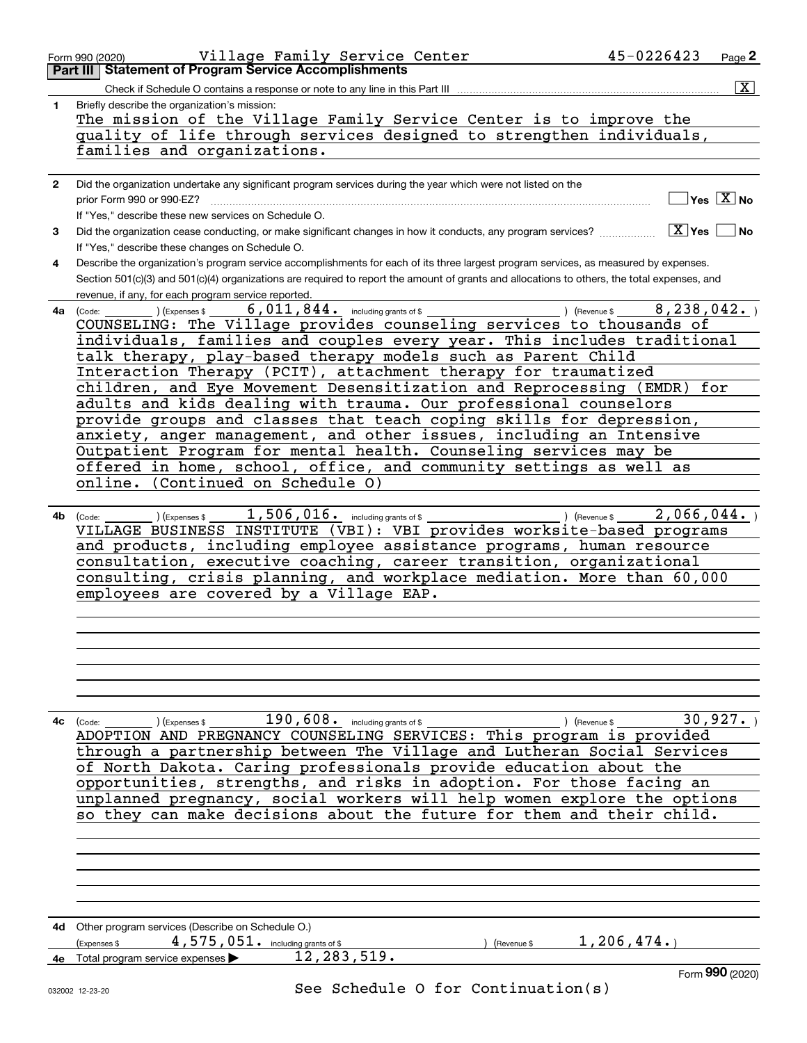|                | Village Family Service Center<br>Form 990 (2020)                                                                                             | 45-0226423                  | Page $2$                                  |
|----------------|----------------------------------------------------------------------------------------------------------------------------------------------|-----------------------------|-------------------------------------------|
|                | <b>Part III Statement of Program Service Accomplishments</b>                                                                                 |                             |                                           |
|                | Check if Schedule O contains a response or note to any line in this Part III                                                                 |                             | $\overline{\mathbf{x}}$                   |
| 1              | Briefly describe the organization's mission:                                                                                                 |                             |                                           |
|                | The mission of the Village Family Service Center is to improve the                                                                           |                             |                                           |
|                |                                                                                                                                              |                             |                                           |
|                | quality of life through services designed to strengthen individuals,                                                                         |                             |                                           |
|                | families and organizations.                                                                                                                  |                             |                                           |
|                |                                                                                                                                              |                             |                                           |
| $\overline{2}$ | Did the organization undertake any significant program services during the year which were not listed on the                                 |                             |                                           |
|                |                                                                                                                                              |                             | $\overline{\ }$ Yes $\overline{\rm X}$ No |
|                | If "Yes," describe these new services on Schedule O.                                                                                         |                             |                                           |
|                |                                                                                                                                              |                             |                                           |
| 3              | Did the organization cease conducting, or make significant changes in how it conducts, any program services?                                 | $X$ Yes $\Box$ No           |                                           |
|                | If "Yes," describe these changes on Schedule O.                                                                                              |                             |                                           |
| 4              | Describe the organization's program service accomplishments for each of its three largest program services, as measured by expenses.         |                             |                                           |
|                | Section 501(c)(3) and 501(c)(4) organizations are required to report the amount of grants and allocations to others, the total expenses, and |                             |                                           |
|                | revenue, if any, for each program service reported.                                                                                          |                             |                                           |
| 4a             | $\overline{6}$ , $\overline{011}$ , $844$ . including grants of \$<br>$($ Revenue \$<br>) (Expenses \$<br>(Code:                             | 8, 238, 042.                |                                           |
|                | COUNSELING: The Village provides counseling services to thousands of                                                                         |                             |                                           |
|                | individuals, families and couples every year. This includes traditional                                                                      |                             |                                           |
|                |                                                                                                                                              |                             |                                           |
|                | talk therapy, play-based therapy models such as Parent Child                                                                                 |                             |                                           |
|                | Interaction Therapy (PCIT), attachment therapy for traumatized                                                                               |                             |                                           |
|                | children, and Eye Movement Desensitization and Reprocessing (EMDR) for                                                                       |                             |                                           |
|                | adults and kids dealing with trauma. Our professional counselors                                                                             |                             |                                           |
|                | provide groups and classes that teach coping skills for depression,                                                                          |                             |                                           |
|                | anxiety, anger management, and other issues, including an Intensive                                                                          |                             |                                           |
|                | Outpatient Program for mental health. Counseling services may be                                                                             |                             |                                           |
|                |                                                                                                                                              |                             |                                           |
|                | offered in home, school, office, and community settings as well as                                                                           |                             |                                           |
|                | online. (Continued on Schedule 0)                                                                                                            |                             |                                           |
|                |                                                                                                                                              |                             |                                           |
| 4b             | $1,506,016.$ including grants of \$<br>) (Expenses \$<br>(Code:<br>VILLAGE BUSINESS INSTITUTE (VBI): VBI provides worksite-based programs    | 2,066,044.<br>) (Revenue \$ |                                           |
|                | and products, including employee assistance programs, human resource                                                                         |                             |                                           |
|                | consultation, executive coaching, career transition, organizational                                                                          |                             |                                           |
|                | consulting, crisis planning, and workplace mediation. More than 60,000                                                                       |                             |                                           |
|                | employees are covered by a Village EAP.                                                                                                      |                             |                                           |
|                |                                                                                                                                              |                             |                                           |
|                |                                                                                                                                              |                             |                                           |
|                |                                                                                                                                              |                             |                                           |
|                |                                                                                                                                              |                             |                                           |
|                |                                                                                                                                              |                             |                                           |
|                |                                                                                                                                              |                             |                                           |
|                |                                                                                                                                              |                             |                                           |
|                | $190,608$ . including grants of \$                                                                                                           |                             | 30,927.                                   |
|                | 4c (Code:<br>(Expenses \$<br>ADOPTION AND PREGNANCY COUNSELING SERVICES: This program is provided                                            | Revenue \$                  |                                           |
|                |                                                                                                                                              |                             |                                           |
|                | through a partnership between The Village and Lutheran Social Services                                                                       |                             |                                           |
|                | of North Dakota. Caring professionals provide education about the                                                                            |                             |                                           |
|                | opportunities, strengths, and risks in adoption. For those facing an                                                                         |                             |                                           |
|                | unplanned pregnancy, social workers will help women explore the options                                                                      |                             |                                           |
|                | so they can make decisions about the future for them and their child.                                                                        |                             |                                           |
|                |                                                                                                                                              |                             |                                           |
|                |                                                                                                                                              |                             |                                           |
|                |                                                                                                                                              |                             |                                           |
|                |                                                                                                                                              |                             |                                           |
|                |                                                                                                                                              |                             |                                           |
|                |                                                                                                                                              |                             |                                           |
|                |                                                                                                                                              |                             |                                           |
|                | 4d Other program services (Describe on Schedule O.)                                                                                          |                             |                                           |
|                | 4,575,051. including grants of \$<br>Expenses \$<br>) (Revenue \$                                                                            | 1, 206, 474.                |                                           |
|                | 12, 283, 519.                                                                                                                                |                             |                                           |
| 4е             | Total program service expenses                                                                                                               |                             | Form 990 (2020)                           |
|                | See Schedule O for Continuation(s)                                                                                                           |                             |                                           |
|                | 032002 12-23-20                                                                                                                              |                             |                                           |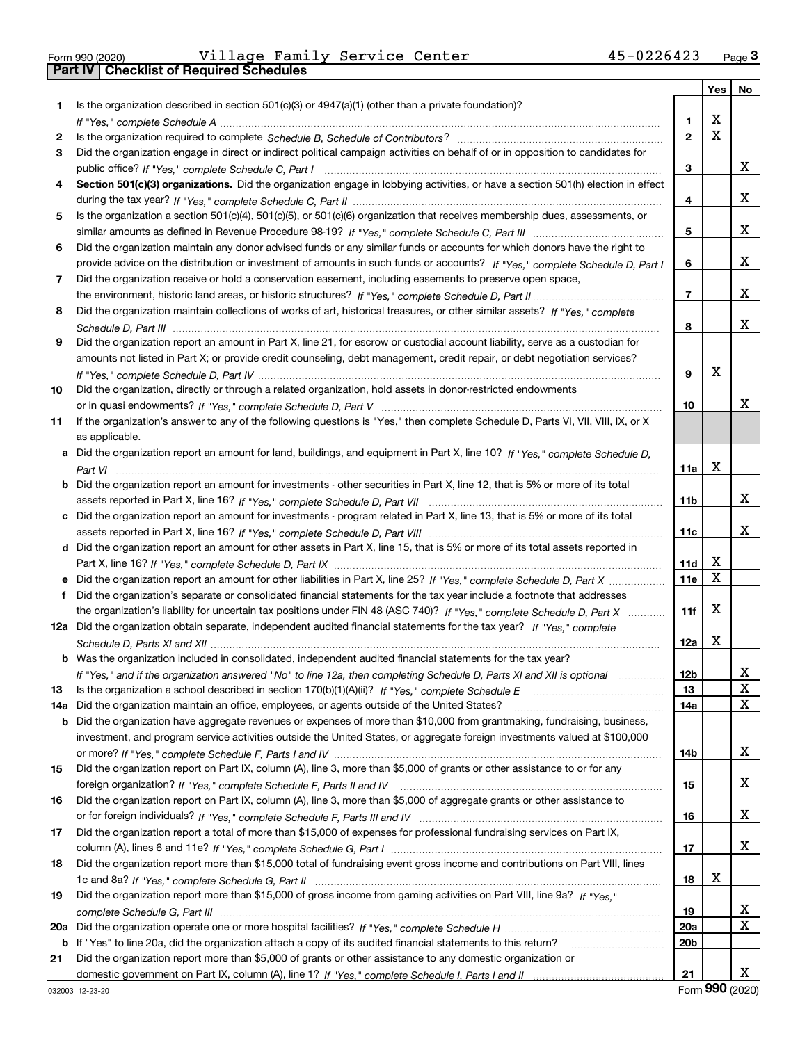|  | Form 990 (2020) |
|--|-----------------|

Form 990 (2020) Village Family Service Center 45-0226423 <sub>Page</sub> 3<br>**Part IV | Checklist of Required Schedules** 

|     |                                                                                                                                  |                 | Yes   No    |    |
|-----|----------------------------------------------------------------------------------------------------------------------------------|-----------------|-------------|----|
| 1   | Is the organization described in section $501(c)(3)$ or $4947(a)(1)$ (other than a private foundation)?                          |                 |             |    |
|     |                                                                                                                                  | 1.              | х           |    |
| 2   |                                                                                                                                  | $\overline{2}$  | $\mathbf X$ |    |
| 3   | Did the organization engage in direct or indirect political campaign activities on behalf of or in opposition to candidates for  |                 |             |    |
|     |                                                                                                                                  | 3               |             | x  |
| 4   | Section 501(c)(3) organizations. Did the organization engage in lobbying activities, or have a section 501(h) election in effect |                 |             |    |
|     |                                                                                                                                  | 4               |             | x  |
| 5   | Is the organization a section 501(c)(4), 501(c)(5), or 501(c)(6) organization that receives membership dues, assessments, or     |                 |             |    |
|     |                                                                                                                                  | 5               |             | x  |
| 6   | Did the organization maintain any donor advised funds or any similar funds or accounts for which donors have the right to        |                 |             |    |
|     | provide advice on the distribution or investment of amounts in such funds or accounts? If "Yes," complete Schedule D, Part I     | 6               |             | x  |
| 7   | Did the organization receive or hold a conservation easement, including easements to preserve open space,                        |                 |             |    |
|     |                                                                                                                                  | $\overline{7}$  |             | x  |
| 8   | Did the organization maintain collections of works of art, historical treasures, or other similar assets? If "Yes," complete     |                 |             |    |
|     |                                                                                                                                  | 8               |             | x  |
| 9   | Did the organization report an amount in Part X, line 21, for escrow or custodial account liability, serve as a custodian for    |                 |             |    |
|     | amounts not listed in Part X; or provide credit counseling, debt management, credit repair, or debt negotiation services?        |                 |             |    |
|     |                                                                                                                                  | 9               | X           |    |
| 10  | Did the organization, directly or through a related organization, hold assets in donor-restricted endowments                     |                 |             |    |
|     |                                                                                                                                  | 10              |             | x  |
| 11  | If the organization's answer to any of the following questions is "Yes," then complete Schedule D, Parts VI, VII, VIII, IX, or X |                 |             |    |
|     | as applicable.                                                                                                                   |                 |             |    |
|     | a Did the organization report an amount for land, buildings, and equipment in Part X, line 10? If "Yes," complete Schedule D.    |                 | X           |    |
|     |                                                                                                                                  | 11a             |             |    |
|     | Did the organization report an amount for investments - other securities in Part X, line 12, that is 5% or more of its total     | 11 <sub>b</sub> |             | x  |
|     | c Did the organization report an amount for investments - program related in Part X, line 13, that is 5% or more of its total    |                 |             |    |
|     |                                                                                                                                  | 11c             |             | x  |
|     | d Did the organization report an amount for other assets in Part X, line 15, that is 5% or more of its total assets reported in  |                 |             |    |
|     |                                                                                                                                  | 11d             | X           |    |
|     |                                                                                                                                  | 11e             | X           |    |
| f   | Did the organization's separate or consolidated financial statements for the tax year include a footnote that addresses          |                 |             |    |
|     | the organization's liability for uncertain tax positions under FIN 48 (ASC 740)? If "Yes," complete Schedule D, Part X           | 11f             | X           |    |
|     | 12a Did the organization obtain separate, independent audited financial statements for the tax year? If "Yes," complete          |                 |             |    |
|     |                                                                                                                                  | 12a             | X           |    |
|     | <b>b</b> Was the organization included in consolidated, independent audited financial statements for the tax year?               |                 |             |    |
|     | If "Yes," and if the organization answered "No" to line 12a, then completing Schedule D, Parts XI and XII is optional            | 12 <sub>b</sub> |             | 47 |
| 13  |                                                                                                                                  | 13              |             | X  |
| 14a | Did the organization maintain an office, employees, or agents outside of the United States?                                      | 14a             |             | X  |
| b   | Did the organization have aggregate revenues or expenses of more than \$10,000 from grantmaking, fundraising, business,          |                 |             |    |
|     | investment, and program service activities outside the United States, or aggregate foreign investments valued at \$100,000       |                 |             |    |
|     |                                                                                                                                  | 14b             |             | x  |
| 15  | Did the organization report on Part IX, column (A), line 3, more than \$5,000 of grants or other assistance to or for any        |                 |             |    |
|     |                                                                                                                                  | 15              |             | x  |
| 16  | Did the organization report on Part IX, column (A), line 3, more than \$5,000 of aggregate grants or other assistance to         |                 |             |    |
|     |                                                                                                                                  | 16              |             | x  |
| 17  | Did the organization report a total of more than \$15,000 of expenses for professional fundraising services on Part IX,          |                 |             |    |
|     |                                                                                                                                  | 17              |             | x  |
| 18  | Did the organization report more than \$15,000 total of fundraising event gross income and contributions on Part VIII, lines     |                 |             |    |
|     |                                                                                                                                  | 18              | x           |    |
| 19  | Did the organization report more than \$15,000 of gross income from gaming activities on Part VIII, line 9a? If "Yes."           |                 |             |    |
|     |                                                                                                                                  | 19              |             | X, |
| 20a |                                                                                                                                  | <b>20a</b>      |             | X  |
|     | b If "Yes" to line 20a, did the organization attach a copy of its audited financial statements to this return?                   | 20 <sub>b</sub> |             |    |
| 21  | Did the organization report more than \$5,000 of grants or other assistance to any domestic organization or                      |                 |             |    |
|     |                                                                                                                                  | 21              |             | x  |

Form (2020) **990**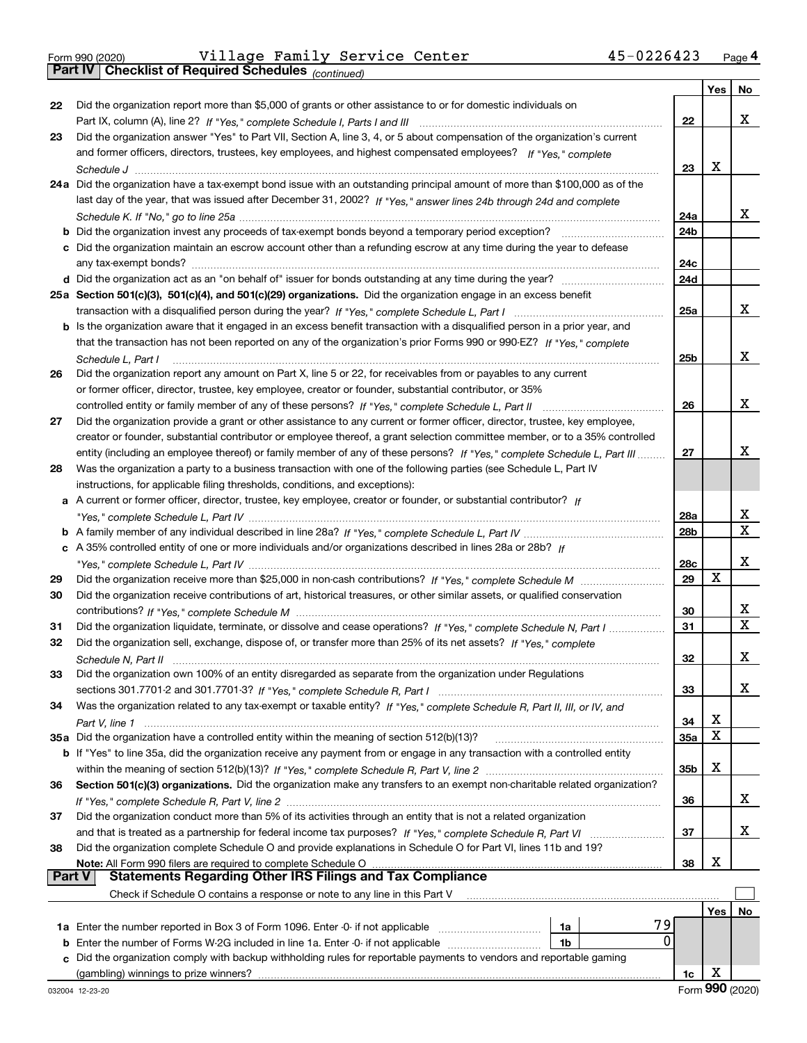Form 990 (2020) Village Family Service Center 45-0226423 <sub>Page</sub>4<br>**Part IV | Checklist of Required Schedules** <sub>(continued)</sub>

*(continued)*

|        |                                                                                                                              |                 | Yes | No          |
|--------|------------------------------------------------------------------------------------------------------------------------------|-----------------|-----|-------------|
| 22     | Did the organization report more than \$5,000 of grants or other assistance to or for domestic individuals on                |                 |     |             |
|        |                                                                                                                              | 22              |     | x           |
| 23     | Did the organization answer "Yes" to Part VII, Section A, line 3, 4, or 5 about compensation of the organization's current   |                 |     |             |
|        | and former officers, directors, trustees, key employees, and highest compensated employees? If "Yes," complete               |                 |     |             |
|        |                                                                                                                              | 23              | x   |             |
|        | 24a Did the organization have a tax-exempt bond issue with an outstanding principal amount of more than \$100,000 as of the  |                 |     |             |
|        | last day of the year, that was issued after December 31, 2002? If "Yes," answer lines 24b through 24d and complete           |                 |     |             |
|        |                                                                                                                              | 24a             |     | X.          |
|        | <b>b</b> Did the organization invest any proceeds of tax-exempt bonds beyond a temporary period exception?                   | 24 <sub>b</sub> |     |             |
|        | c Did the organization maintain an escrow account other than a refunding escrow at any time during the year to defease       |                 |     |             |
|        |                                                                                                                              | 24c             |     |             |
|        |                                                                                                                              | 24d             |     |             |
|        | 25a Section 501(c)(3), 501(c)(4), and 501(c)(29) organizations. Did the organization engage in an excess benefit             |                 |     |             |
|        |                                                                                                                              | 25a             |     | x           |
|        | b Is the organization aware that it engaged in an excess benefit transaction with a disqualified person in a prior year, and |                 |     |             |
|        | that the transaction has not been reported on any of the organization's prior Forms 990 or 990-EZ? If "Yes," complete        |                 |     |             |
|        | Schedule L. Part I                                                                                                           | 25b             |     | x           |
| 26     | Did the organization report any amount on Part X, line 5 or 22, for receivables from or payables to any current              |                 |     |             |
|        | or former officer, director, trustee, key employee, creator or founder, substantial contributor, or 35%                      |                 |     |             |
|        | controlled entity or family member of any of these persons? If "Yes," complete Schedule L, Part II                           | 26              |     | x           |
| 27     | Did the organization provide a grant or other assistance to any current or former officer, director, trustee, key employee,  |                 |     |             |
|        | creator or founder, substantial contributor or employee thereof, a grant selection committee member, or to a 35% controlled  |                 |     |             |
|        | entity (including an employee thereof) or family member of any of these persons? If "Yes," complete Schedule L, Part III     | 27              |     | x           |
| 28     | Was the organization a party to a business transaction with one of the following parties (see Schedule L, Part IV            |                 |     |             |
|        | instructions, for applicable filing thresholds, conditions, and exceptions):                                                 |                 |     |             |
|        | a A current or former officer, director, trustee, key employee, creator or founder, or substantial contributor? If           |                 |     |             |
|        |                                                                                                                              | 28a             |     | x           |
|        |                                                                                                                              | 28 <sub>b</sub> |     | X           |
|        | c A 35% controlled entity of one or more individuals and/or organizations described in lines 28a or 28b? If                  |                 |     |             |
|        | "Yes," complete Schedule L, Part IV ………………………………………………………………                                                                 | 28c             |     | x           |
| 29     |                                                                                                                              | 29              | X   |             |
| 30     | Did the organization receive contributions of art, historical treasures, or other similar assets, or qualified conservation  |                 |     |             |
|        |                                                                                                                              | 30              |     | x           |
| 31     | Did the organization liquidate, terminate, or dissolve and cease operations? If "Yes," complete Schedule N, Part I           | 31              |     | $\mathbf x$ |
| 32     | Did the organization sell, exchange, dispose of, or transfer more than 25% of its net assets? If "Yes," complete             |                 |     |             |
|        |                                                                                                                              | 32              |     | х           |
| 33     | Did the organization own 100% of an entity disregarded as separate from the organization under Regulations                   |                 |     |             |
|        |                                                                                                                              | 33              |     | x           |
| 34     | Was the organization related to any tax-exempt or taxable entity? If "Yes," complete Schedule R, Part II, III, or IV, and    |                 |     |             |
|        |                                                                                                                              | 34              | х   |             |
|        | 35a Did the organization have a controlled entity within the meaning of section 512(b)(13)?                                  | 35a             | X   |             |
|        | b If "Yes" to line 35a, did the organization receive any payment from or engage in any transaction with a controlled entity  |                 |     |             |
|        |                                                                                                                              | 35b             | х   |             |
| 36     | Section 501(c)(3) organizations. Did the organization make any transfers to an exempt non-charitable related organization?   |                 |     |             |
|        |                                                                                                                              | 36              |     | X.          |
| 37     | Did the organization conduct more than 5% of its activities through an entity that is not a related organization             |                 |     |             |
|        |                                                                                                                              | 37              |     | x           |
| 38     | Did the organization complete Schedule O and provide explanations in Schedule O for Part VI, lines 11b and 19?               |                 |     |             |
| Part V | Note: All Form 990 filers are required to complete Schedule O                                                                | 38              | х   |             |
|        | <b>Statements Regarding Other IRS Filings and Tax Compliance</b>                                                             |                 |     |             |
|        | Check if Schedule O contains a response or note to any line in this Part V                                                   |                 |     |             |
|        |                                                                                                                              |                 | Yes | No          |
|        | 79<br>1a Enter the number reported in Box 3 of Form 1096. Enter -0- if not applicable<br>1a                                  |                 |     |             |
| b      | 0<br>Enter the number of Forms W-2G included in line 1a. Enter -0- if not applicable<br>1b                                   |                 |     |             |
| c      | Did the organization comply with backup withholding rules for reportable payments to vendors and reportable gaming           |                 |     |             |
|        |                                                                                                                              | 1c              | X   |             |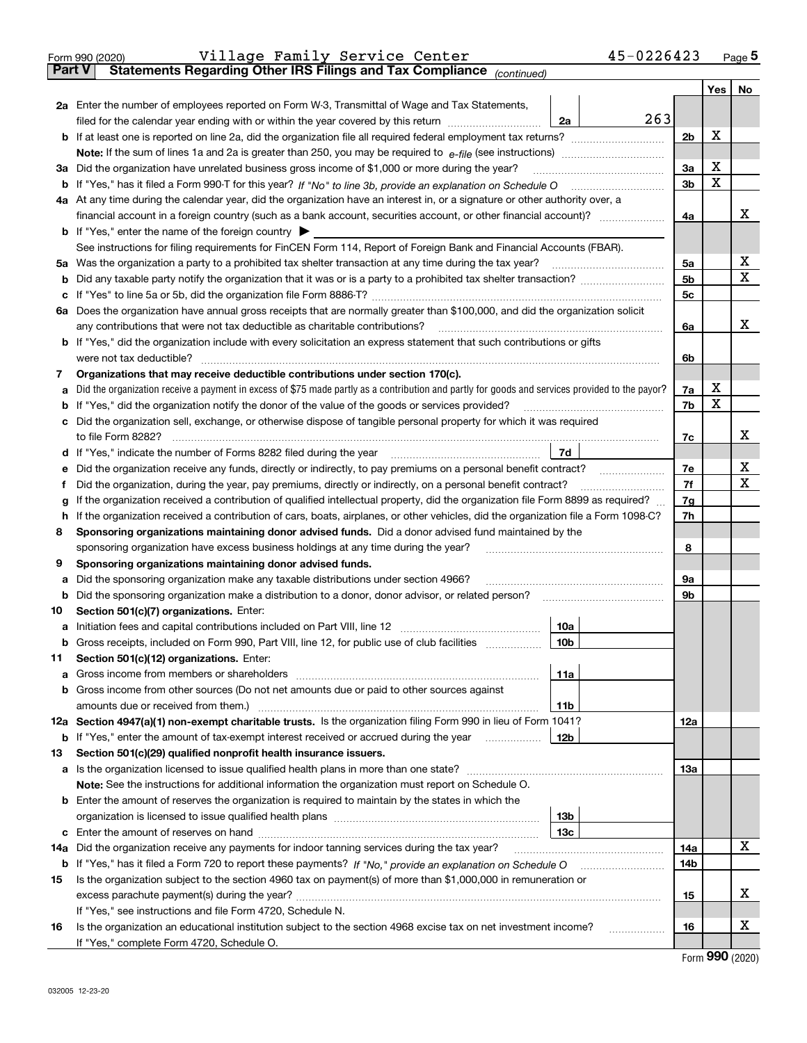|               | 45-0226423<br>Village Family Service Center<br>Form 990 (2020)                                                                                                                                                                                             |     |     | Page $5$                    |
|---------------|------------------------------------------------------------------------------------------------------------------------------------------------------------------------------------------------------------------------------------------------------------|-----|-----|-----------------------------|
| <b>Part V</b> | Statements Regarding Other IRS Filings and Tax Compliance (continued)                                                                                                                                                                                      |     |     |                             |
|               |                                                                                                                                                                                                                                                            |     | Yes | No                          |
|               | 2a Enter the number of employees reported on Form W-3, Transmittal of Wage and Tax Statements,                                                                                                                                                             |     |     |                             |
|               | 263<br>filed for the calendar year ending with or within the year covered by this return<br>2a                                                                                                                                                             |     |     |                             |
|               |                                                                                                                                                                                                                                                            | 2b  | X   |                             |
|               |                                                                                                                                                                                                                                                            |     |     |                             |
|               | 3a Did the organization have unrelated business gross income of \$1,000 or more during the year?                                                                                                                                                           | За  | X   |                             |
| b             |                                                                                                                                                                                                                                                            | 3b  | X   |                             |
|               | 4a At any time during the calendar year, did the organization have an interest in, or a signature or other authority over, a                                                                                                                               |     |     |                             |
|               |                                                                                                                                                                                                                                                            | 4a  |     | х                           |
|               | <b>b</b> If "Yes," enter the name of the foreign country $\blacktriangleright$                                                                                                                                                                             |     |     |                             |
|               | See instructions for filing requirements for FinCEN Form 114, Report of Foreign Bank and Financial Accounts (FBAR).                                                                                                                                        |     |     |                             |
|               |                                                                                                                                                                                                                                                            | 5a  |     | X                           |
|               |                                                                                                                                                                                                                                                            |     |     | X                           |
| b             |                                                                                                                                                                                                                                                            | 5b  |     |                             |
| c             |                                                                                                                                                                                                                                                            | 5c  |     |                             |
|               | 6a Does the organization have annual gross receipts that are normally greater than \$100,000, and did the organization solicit                                                                                                                             |     |     |                             |
|               |                                                                                                                                                                                                                                                            | 6a  |     | х                           |
|               | <b>b</b> If "Yes," did the organization include with every solicitation an express statement that such contributions or gifts                                                                                                                              |     |     |                             |
|               | were not tax deductible?                                                                                                                                                                                                                                   | 6b  |     |                             |
| 7             | Organizations that may receive deductible contributions under section 170(c).                                                                                                                                                                              |     |     |                             |
| а             | Did the organization receive a payment in excess of \$75 made partly as a contribution and partly for goods and services provided to the payor?                                                                                                            | 7a  | х   |                             |
| b             | If "Yes," did the organization notify the donor of the value of the goods or services provided?                                                                                                                                                            | 7b  | X   |                             |
|               | c Did the organization sell, exchange, or otherwise dispose of tangible personal property for which it was required                                                                                                                                        |     |     |                             |
|               |                                                                                                                                                                                                                                                            | 7c  |     | х                           |
|               |                                                                                                                                                                                                                                                            |     |     |                             |
| е             | Did the organization receive any funds, directly or indirectly, to pay premiums on a personal benefit contract?                                                                                                                                            | 7e  |     | X                           |
| f             | Did the organization, during the year, pay premiums, directly or indirectly, on a personal benefit contract?                                                                                                                                               | 7f  |     | х                           |
| g             | If the organization received a contribution of qualified intellectual property, did the organization file Form 8899 as required?                                                                                                                           | 7g  |     |                             |
| h             | If the organization received a contribution of cars, boats, airplanes, or other vehicles, did the organization file a Form 1098-C?                                                                                                                         | 7h  |     |                             |
| 8             | Sponsoring organizations maintaining donor advised funds. Did a donor advised fund maintained by the                                                                                                                                                       |     |     |                             |
|               | sponsoring organization have excess business holdings at any time during the year?                                                                                                                                                                         | 8   |     |                             |
| 9             | Sponsoring organizations maintaining donor advised funds.                                                                                                                                                                                                  |     |     |                             |
| а             | Did the sponsoring organization make any taxable distributions under section 4966?                                                                                                                                                                         | 9а  |     |                             |
| b             | Did the sponsoring organization make a distribution to a donor, donor advisor, or related person?                                                                                                                                                          | 9b  |     |                             |
| 10            | Section 501(c)(7) organizations. Enter:                                                                                                                                                                                                                    |     |     |                             |
|               | 10a<br>a Initiation fees and capital contributions included on Part VIII, line 12 [111] [11] [12] [11] [12] [11] [12] [11] [12] [11] [12] [11] [12] [11] [12] [11] [12] [11] [12] [11] [12] [11] [12] [11] [12] [11] [12] [11] [12] [                      |     |     |                             |
|               | Gross receipts, included on Form 990, Part VIII, line 12, for public use of club facilities<br> 10b                                                                                                                                                        |     |     |                             |
| 11            | Section 501(c)(12) organizations. Enter:                                                                                                                                                                                                                   |     |     |                             |
|               | 11a                                                                                                                                                                                                                                                        |     |     |                             |
|               | b Gross income from other sources (Do not net amounts due or paid to other sources against                                                                                                                                                                 |     |     |                             |
|               | <b>11b</b>                                                                                                                                                                                                                                                 |     |     |                             |
|               | 12a Section 4947(a)(1) non-exempt charitable trusts. Is the organization filing Form 990 in lieu of Form 1041?                                                                                                                                             |     |     |                             |
|               |                                                                                                                                                                                                                                                            | 12a |     |                             |
|               | 12 <sub>b</sub><br><b>b</b> If "Yes," enter the amount of tax-exempt interest received or accrued during the year <i>manument</i> of the set of the set of the set of the set of the set of the set of the set of the set of the set of the set of the set |     |     |                             |
| 13            | Section 501(c)(29) qualified nonprofit health insurance issuers.                                                                                                                                                                                           |     |     |                             |
|               | a Is the organization licensed to issue qualified health plans in more than one state?                                                                                                                                                                     | 13a |     |                             |
|               | Note: See the instructions for additional information the organization must report on Schedule O.                                                                                                                                                          |     |     |                             |
|               | <b>b</b> Enter the amount of reserves the organization is required to maintain by the states in which the                                                                                                                                                  |     |     |                             |
|               | 13b                                                                                                                                                                                                                                                        |     |     |                             |
|               | 13с                                                                                                                                                                                                                                                        |     |     |                             |
| 14a           | Did the organization receive any payments for indoor tanning services during the tax year?                                                                                                                                                                 | 14a |     | X                           |
|               | <b>b</b> If "Yes," has it filed a Form 720 to report these payments? If "No," provide an explanation on Schedule O                                                                                                                                         | 14b |     |                             |
| 15            | Is the organization subject to the section 4960 tax on payment(s) of more than \$1,000,000 in remuneration or                                                                                                                                              |     |     |                             |
|               |                                                                                                                                                                                                                                                            | 15  |     | х                           |
|               | If "Yes," see instructions and file Form 4720, Schedule N.                                                                                                                                                                                                 |     |     |                             |
| 16            | Is the organization an educational institution subject to the section 4968 excise tax on net investment income?                                                                                                                                            | 16  |     | х                           |
|               | If "Yes," complete Form 4720, Schedule O.                                                                                                                                                                                                                  |     |     |                             |
|               |                                                                                                                                                                                                                                                            |     |     | $F_{\text{arm}}$ 990 (2020) |

Form (2020) **990**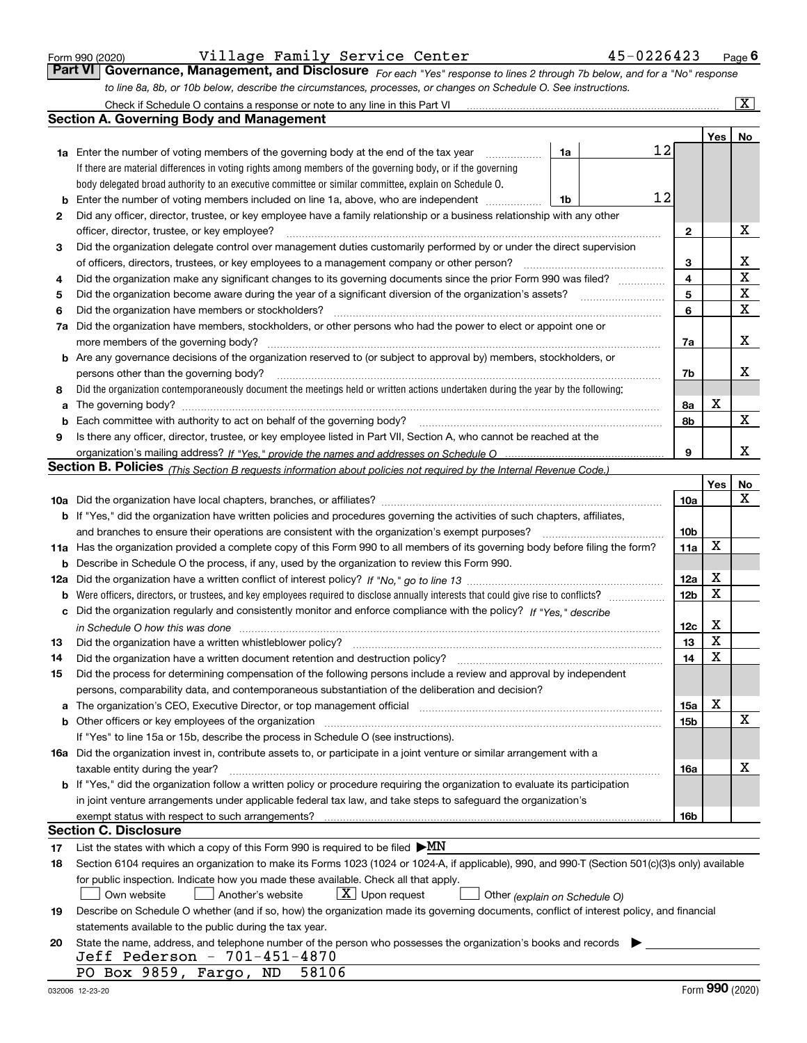|  | Form 990 (2020) |
|--|-----------------|
|  |                 |

*For each "Yes" response to lines 2 through 7b below, and for a "No" response to line 8a, 8b, or 10b below, describe the circumstances, processes, or changes on Schedule O. See instructions.* Form 990 (2020) **Page Conter 1990 (2020) Page 6 (2020) Village Family Service Center 45-0226423** Page 6 (2020) **Page 6 (2021)** Page 6 (2020) **Page 6 (2021)** Page 6 (2021) **Rage 6 (2021)** Below, and for a "No" response Check if Schedule O contains a response or note to any line in this Part VI

|     | Check if Schedule O contains a response or note to any line in this Part VI                                                                                                                                                           |                 |        | x           |
|-----|---------------------------------------------------------------------------------------------------------------------------------------------------------------------------------------------------------------------------------------|-----------------|--------|-------------|
|     | <b>Section A. Governing Body and Management</b>                                                                                                                                                                                       |                 |        |             |
|     |                                                                                                                                                                                                                                       |                 | Yes    | No          |
|     | 1a Enter the number of voting members of the governing body at the end of the tax year<br>1a                                                                                                                                          | 12              |        |             |
|     | If there are material differences in voting rights among members of the governing body, or if the governing                                                                                                                           |                 |        |             |
|     | body delegated broad authority to an executive committee or similar committee, explain on Schedule O.                                                                                                                                 |                 |        |             |
| b   | Enter the number of voting members included on line 1a, above, who are independent<br>1b                                                                                                                                              | 12              |        |             |
| 2   | Did any officer, director, trustee, or key employee have a family relationship or a business relationship with any other                                                                                                              |                 |        |             |
|     | officer, director, trustee, or key employee?                                                                                                                                                                                          | $\mathbf{2}$    |        | X           |
| 3   | Did the organization delegate control over management duties customarily performed by or under the direct supervision                                                                                                                 |                 |        |             |
|     | of officers, directors, trustees, or key employees to a management company or other person?                                                                                                                                           | 3               |        | x           |
| 4   | Did the organization make any significant changes to its governing documents since the prior Form 990 was filed?                                                                                                                      | $\overline{4}$  |        | $\mathbf X$ |
| 5   |                                                                                                                                                                                                                                       | 5               |        | $\mathbf X$ |
| 6   | Did the organization have members or stockholders?                                                                                                                                                                                    | 6               |        | $\mathbf X$ |
| 7a  | Did the organization have members, stockholders, or other persons who had the power to elect or appoint one or                                                                                                                        |                 |        |             |
|     | more members of the governing body?                                                                                                                                                                                                   | 7a              |        | х           |
|     | <b>b</b> Are any governance decisions of the organization reserved to (or subject to approval by) members, stockholders, or                                                                                                           |                 |        |             |
|     | persons other than the governing body?                                                                                                                                                                                                | 7b              |        | x           |
| 8   | Did the organization contemporaneously document the meetings held or written actions undertaken during the year by the following:                                                                                                     |                 |        |             |
| a   | The governing body?                                                                                                                                                                                                                   | 8a              | х      |             |
| b   |                                                                                                                                                                                                                                       | 8b              |        | X           |
| 9   | Is there any officer, director, trustee, or key employee listed in Part VII, Section A, who cannot be reached at the                                                                                                                  |                 |        |             |
|     |                                                                                                                                                                                                                                       | 9               |        | x           |
|     | <b>Section B. Policies</b> (This Section B requests information about policies not required by the Internal Revenue Code.)                                                                                                            |                 |        |             |
|     |                                                                                                                                                                                                                                       |                 | Yes    | No          |
|     |                                                                                                                                                                                                                                       | 10a             |        | х           |
|     | <b>b</b> If "Yes," did the organization have written policies and procedures governing the activities of such chapters, affiliates,                                                                                                   |                 |        |             |
|     | and branches to ensure their operations are consistent with the organization's exempt purposes?                                                                                                                                       | 10 <sub>b</sub> |        |             |
|     | 11a Has the organization provided a complete copy of this Form 990 to all members of its governing body before filing the form?                                                                                                       | 11a             | X      |             |
| b   | Describe in Schedule O the process, if any, used by the organization to review this Form 990.                                                                                                                                         |                 |        |             |
| 12a |                                                                                                                                                                                                                                       | 12a             | X      |             |
| b   |                                                                                                                                                                                                                                       | 12 <sub>b</sub> | X      |             |
| с   | Did the organization regularly and consistently monitor and enforce compliance with the policy? If "Yes." describe                                                                                                                    |                 |        |             |
|     | in Schedule O how this was done measured and the control of the control of the state of the control of the control of the control of the control of the control of the control of the control of the control of the control of        | 12c             | х<br>X |             |
| 13  | Did the organization have a written whistleblower policy?                                                                                                                                                                             | 13              | X      |             |
| 14  | Did the organization have a written document retention and destruction policy?                                                                                                                                                        | 14              |        |             |
| 15  | Did the process for determining compensation of the following persons include a review and approval by independent                                                                                                                    |                 |        |             |
|     | persons, comparability data, and contemporaneous substantiation of the deliberation and decision?                                                                                                                                     |                 | X      |             |
| a   | The organization's CEO, Executive Director, or top management official manufactured content of the organization's CEO, Executive Director, or top management official<br><b>b</b> Other officers or key employees of the organization | 15a<br>15b      |        | х           |
|     | If "Yes" to line 15a or 15b, describe the process in Schedule O (see instructions).                                                                                                                                                   |                 |        |             |
|     | 16a Did the organization invest in, contribute assets to, or participate in a joint venture or similar arrangement with a                                                                                                             |                 |        |             |
|     | taxable entity during the year?                                                                                                                                                                                                       | 16a             |        | х           |
|     | b If "Yes," did the organization follow a written policy or procedure requiring the organization to evaluate its participation                                                                                                        |                 |        |             |
|     | in joint venture arrangements under applicable federal tax law, and take steps to safeguard the organization's                                                                                                                        |                 |        |             |
|     | exempt status with respect to such arrangements?                                                                                                                                                                                      | 16b             |        |             |
|     | <b>Section C. Disclosure</b>                                                                                                                                                                                                          |                 |        |             |
| 17  | List the states with which a copy of this Form 990 is required to be filed $\triangleright$ MN                                                                                                                                        |                 |        |             |
| 18  | Section 6104 requires an organization to make its Forms 1023 (1024 or 1024-A, if applicable), 990, and 990-T (Section 501(c)(3)s only) available                                                                                      |                 |        |             |
|     | for public inspection. Indicate how you made these available. Check all that apply.                                                                                                                                                   |                 |        |             |
|     | $X$ Upon request<br>Another's website<br>Own website<br>Other (explain on Schedule O)                                                                                                                                                 |                 |        |             |
| 19  | Describe on Schedule O whether (and if so, how) the organization made its governing documents, conflict of interest policy, and financial                                                                                             |                 |        |             |
|     | statements available to the public during the tax year.                                                                                                                                                                               |                 |        |             |
| 20  | State the name, address, and telephone number of the person who possesses the organization's books and records                                                                                                                        |                 |        |             |
|     | Jeff Pederson - 701-451-4870                                                                                                                                                                                                          |                 |        |             |
|     | PO Box 9859, Fargo, ND<br>58106                                                                                                                                                                                                       |                 |        |             |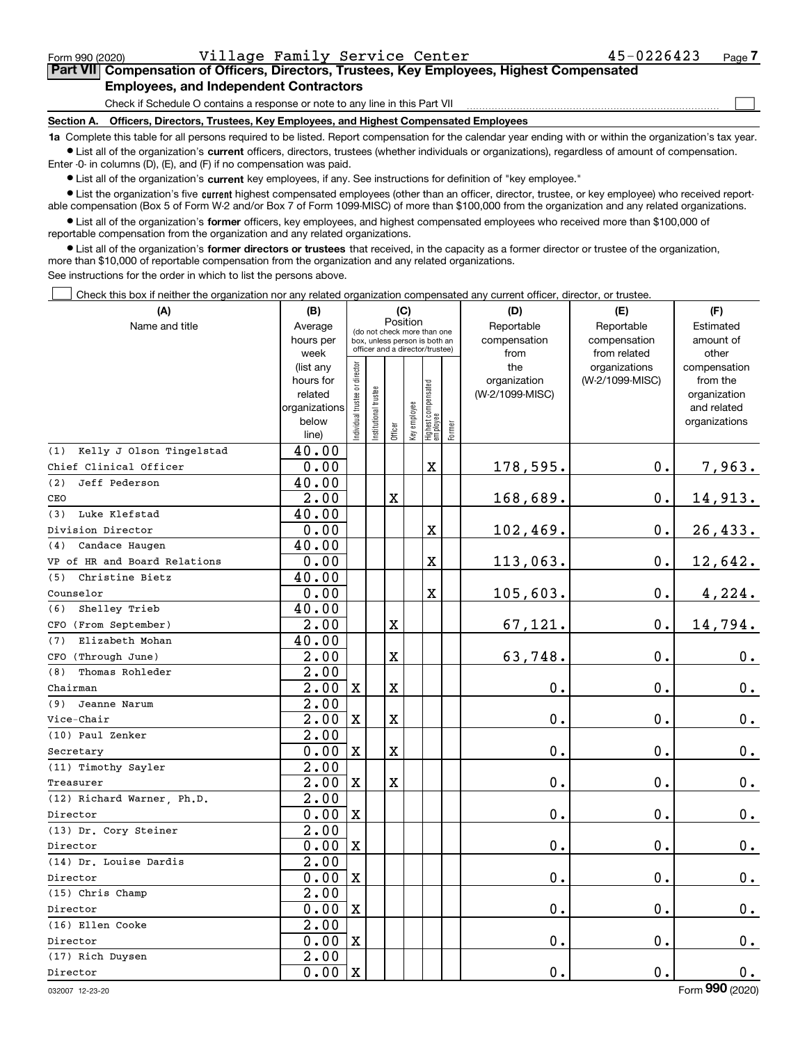$\mathcal{L}^{\text{max}}$ 

### **7Part VII Compensation of Officers, Directors, Trustees, Key Employees, Highest Compensated Employees, and Independent Contractors**

Check if Schedule O contains a response or note to any line in this Part VII

**Section A. Officers, Directors, Trustees, Key Employees, and Highest Compensated Employees**

**1a**  Complete this table for all persons required to be listed. Report compensation for the calendar year ending with or within the organization's tax year. **•** List all of the organization's current officers, directors, trustees (whether individuals or organizations), regardless of amount of compensation.

Enter -0- in columns (D), (E), and (F) if no compensation was paid.

 $\bullet$  List all of the organization's  $\,$ current key employees, if any. See instructions for definition of "key employee."

**•** List the organization's five current highest compensated employees (other than an officer, director, trustee, or key employee) who received reportable compensation (Box 5 of Form W-2 and/or Box 7 of Form 1099-MISC) of more than \$100,000 from the organization and any related organizations.

**•** List all of the organization's former officers, key employees, and highest compensated employees who received more than \$100,000 of reportable compensation from the organization and any related organizations.

**former directors or trustees**  ¥ List all of the organization's that received, in the capacity as a former director or trustee of the organization, more than \$10,000 of reportable compensation from the organization and any related organizations.

See instructions for the order in which to list the persons above.

Check this box if neither the organization nor any related organization compensated any current officer, director, or trustee.  $\mathcal{L}^{\text{max}}$ 

| (A)                             | (B)                  | (C)                                                              |                      |             |              |                                   |        | (D)                             | (E)             | (F)                         |  |  |
|---------------------------------|----------------------|------------------------------------------------------------------|----------------------|-------------|--------------|-----------------------------------|--------|---------------------------------|-----------------|-----------------------------|--|--|
| Name and title                  | Average              | Position<br>(do not check more than one                          |                      |             |              |                                   |        | Reportable                      | Reportable      | Estimated                   |  |  |
|                                 | hours per            | box, unless person is both an<br>officer and a director/trustee) |                      |             |              |                                   |        | compensation                    | compensation    | amount of                   |  |  |
|                                 | week                 |                                                                  |                      |             |              |                                   |        | from                            | from related    | other                       |  |  |
|                                 | (list any            |                                                                  |                      |             |              |                                   |        | the                             | organizations   | compensation                |  |  |
|                                 | hours for<br>related |                                                                  |                      |             |              |                                   |        | organization<br>(W-2/1099-MISC) | (W-2/1099-MISC) | from the                    |  |  |
|                                 | organizations        |                                                                  |                      |             |              |                                   |        |                                 |                 | organization<br>and related |  |  |
|                                 | below                |                                                                  |                      |             |              |                                   |        |                                 |                 | organizations               |  |  |
|                                 | line)                | ndividual trustee or director                                    | nstitutional trustee | Officer     | Key employee | Highest compensated<br>  employee | Former |                                 |                 |                             |  |  |
| Kelly J Olson Tingelstad<br>(1) | 40.00                |                                                                  |                      |             |              |                                   |        |                                 |                 |                             |  |  |
| Chief Clinical Officer          | 0.00                 |                                                                  |                      |             |              | X                                 |        | 178,595.                        | $0$ .           | 7,963.                      |  |  |
| Jeff Pederson<br>(2)            | 40.00                |                                                                  |                      |             |              |                                   |        |                                 |                 |                             |  |  |
| CEO                             | 2.00                 |                                                                  |                      | X           |              |                                   |        | 168,689.                        | $0$ .           | 14,913.                     |  |  |
| Luke Klefstad<br>(3)            | 40.00                |                                                                  |                      |             |              |                                   |        |                                 |                 |                             |  |  |
| Division Director               | 0.00                 |                                                                  |                      |             |              | $\mathbf X$                       |        | 102,469.                        | $0$ .           | 26, 433.                    |  |  |
| Candace Haugen<br>(4)           | 40.00                |                                                                  |                      |             |              |                                   |        |                                 |                 |                             |  |  |
| VP of HR and Board Relations    | 0.00                 |                                                                  |                      |             |              | X                                 |        | 113,063.                        | $0$ .           | 12,642.                     |  |  |
| Christine Bietz<br>(5)          | 40.00                |                                                                  |                      |             |              |                                   |        |                                 |                 |                             |  |  |
| Counselor                       | 0.00                 |                                                                  |                      |             |              | $\mathbf X$                       |        | 105,603.                        | $0$ .           | 4,224.                      |  |  |
| Shelley Trieb<br>(6)            | 40.00                |                                                                  |                      |             |              |                                   |        |                                 |                 |                             |  |  |
| CFO (From September)            | 2.00                 |                                                                  |                      | $\mathbf X$ |              |                                   |        | 67,121.                         | 0.              | 14,794.                     |  |  |
| Elizabeth Mohan<br>(7)          | 40.00                |                                                                  |                      |             |              |                                   |        |                                 |                 |                             |  |  |
| CFO (Through June)              | $\overline{2.00}$    |                                                                  |                      | $\mathbf X$ |              |                                   |        | 63,748.                         | 0.              | 0.                          |  |  |
| Thomas Rohleder<br>(8)          | 2.00                 |                                                                  |                      |             |              |                                   |        |                                 |                 |                             |  |  |
| Chairman                        | 2.00                 | $\mathbf X$                                                      |                      | X           |              |                                   |        | 0.                              | $0$ .           | 0.                          |  |  |
| (9)<br>Jeanne Narum             | $\overline{2.00}$    |                                                                  |                      |             |              |                                   |        |                                 |                 |                             |  |  |
| Vice-Chair                      | 2.00                 | $\mathbf X$                                                      |                      | X           |              |                                   |        | $0$ .                           | 0.              | 0.                          |  |  |
| (10) Paul Zenker                | 2.00                 |                                                                  |                      |             |              |                                   |        |                                 |                 |                             |  |  |
| Secretary                       | 0.00                 | $\mathbf X$                                                      |                      | $\mathbf X$ |              |                                   |        | 0.                              | 0.              | 0.                          |  |  |
| (11) Timothy Sayler             | $\overline{2.00}$    |                                                                  |                      |             |              |                                   |        |                                 |                 |                             |  |  |
| Treasurer                       | 2.00                 | $\mathbf X$                                                      |                      | $\mathbf X$ |              |                                   |        | 0.                              | 0.              | 0.                          |  |  |
| (12) Richard Warner, Ph.D.      | 2.00                 |                                                                  |                      |             |              |                                   |        |                                 |                 |                             |  |  |
| Director                        | 0.00                 | X                                                                |                      |             |              |                                   |        | 0.                              | 0.              | $0_{.}$                     |  |  |
| (13) Dr. Cory Steiner           | $\overline{2.00}$    |                                                                  |                      |             |              |                                   |        |                                 |                 |                             |  |  |
| Director                        | 0.00                 | $\mathbf X$                                                      |                      |             |              |                                   |        | 0.                              | 0.              | $0_{.}$                     |  |  |
| (14) Dr. Louise Dardis          | 2.00                 |                                                                  |                      |             |              |                                   |        |                                 |                 |                             |  |  |
| Director                        | 0.00                 | X                                                                |                      |             |              |                                   |        | 0.                              | $\mathbf 0$ .   | 0.                          |  |  |
| (15) Chris Champ                | $\overline{2.00}$    |                                                                  |                      |             |              |                                   |        |                                 |                 |                             |  |  |
| Director                        | 0.00                 | $\mathbf X$                                                      |                      |             |              |                                   |        | 0.                              | 0.              | 0.                          |  |  |
| (16) Ellen Cooke                | $\overline{2.00}$    |                                                                  |                      |             |              |                                   |        |                                 |                 |                             |  |  |
| Director                        | 0.00                 | X                                                                |                      |             |              |                                   |        | 0.                              | 0.              | 0.                          |  |  |
| (17) Rich Duysen                | 2.00                 |                                                                  |                      |             |              |                                   |        |                                 |                 |                             |  |  |
| Director                        | 0.00                 | $\mathbf X$                                                      |                      |             |              |                                   |        | 0.                              | 0.              | 0.                          |  |  |

032007 12-23-20

Form (2020) **990**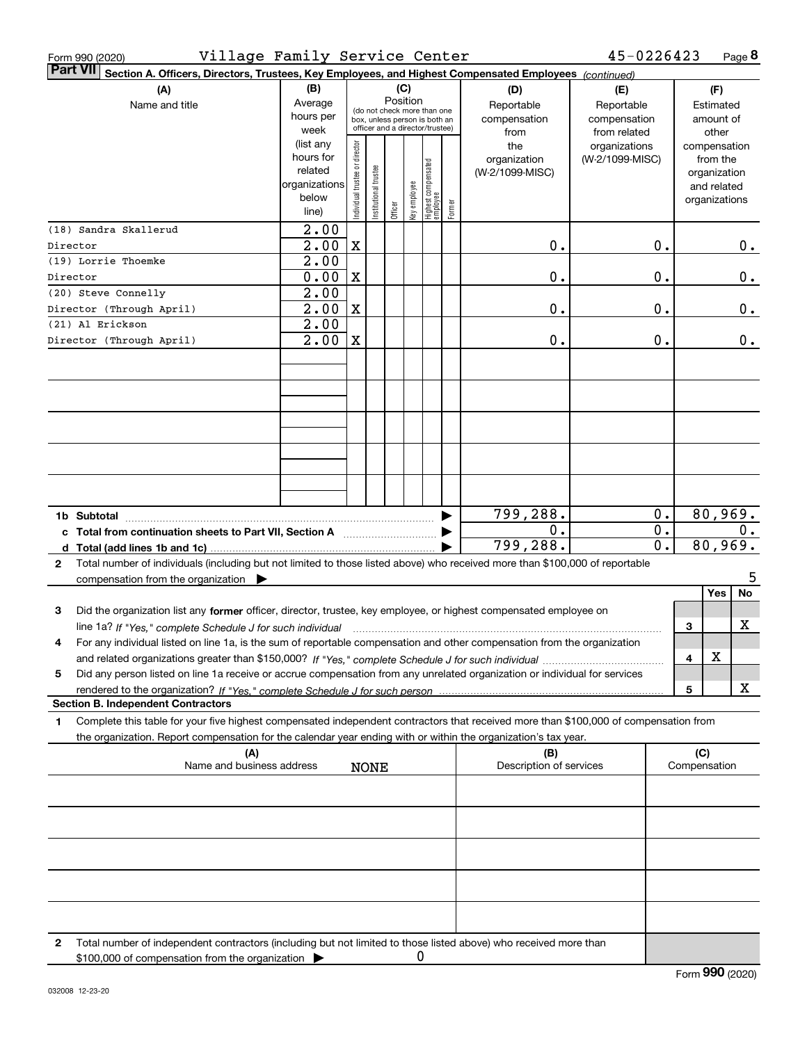| Village Family Service Center<br>Form 990 (2020)                                                                                                                                                                                                                  |                                                                      |                                                                                                                    |                      |         |              |                                  |        |                                           | 45-0226423                                        |          |              | Page 8                                                                   |
|-------------------------------------------------------------------------------------------------------------------------------------------------------------------------------------------------------------------------------------------------------------------|----------------------------------------------------------------------|--------------------------------------------------------------------------------------------------------------------|----------------------|---------|--------------|----------------------------------|--------|-------------------------------------------|---------------------------------------------------|----------|--------------|--------------------------------------------------------------------------|
| <b>Part VII</b><br>Section A. Officers, Directors, Trustees, Key Employees, and Highest Compensated Employees (continued)                                                                                                                                         |                                                                      |                                                                                                                    |                      |         |              |                                  |        |                                           |                                                   |          |              |                                                                          |
| (A)<br>Name and title                                                                                                                                                                                                                                             | (B)<br>Average<br>hours per<br>week                                  | (C)<br>Position<br>(do not check more than one<br>box, unless person is both an<br>officer and a director/trustee) |                      |         |              |                                  |        | (D)<br>Reportable<br>compensation<br>from | (E)<br>Reportable<br>compensation<br>from related |          |              | (F)<br>Estimated<br>amount of<br>other                                   |
|                                                                                                                                                                                                                                                                   | (list any<br>hours for<br>related<br>organizations<br>below<br>line) | Individual trustee or director                                                                                     | nstitutional trustee | Officer | key employee | Highest compensated<br> employee | Former | the<br>organization<br>(W-2/1099-MISC)    | organizations<br>(W-2/1099-MISC)                  |          |              | compensation<br>from the<br>organization<br>and related<br>organizations |
| (18) Sandra Skallerud<br>Director                                                                                                                                                                                                                                 | 2.00<br>2.00                                                         | $\mathbf X$                                                                                                        |                      |         |              |                                  |        | 0.                                        |                                                   | 0.       |              | 0.                                                                       |
| (19) Lorrie Thoemke                                                                                                                                                                                                                                               | 2.00                                                                 |                                                                                                                    |                      |         |              |                                  |        |                                           |                                                   |          |              |                                                                          |
| Director                                                                                                                                                                                                                                                          | 0.00                                                                 | $\mathbf X$                                                                                                        |                      |         |              |                                  |        | 0.                                        |                                                   | 0.       |              | 0.                                                                       |
| (20) Steve Connelly                                                                                                                                                                                                                                               | 2.00                                                                 |                                                                                                                    |                      |         |              |                                  |        |                                           |                                                   |          |              |                                                                          |
| Director (Through April)                                                                                                                                                                                                                                          | 2.00                                                                 | $\mathbf X$                                                                                                        |                      |         |              |                                  |        | $\mathbf 0$ .                             |                                                   | 0.       |              | $0$ .                                                                    |
| (21) Al Erickson<br>Director (Through April)                                                                                                                                                                                                                      | 2.00<br>2.00                                                         | $\mathbf X$                                                                                                        |                      |         |              |                                  |        | $\mathfrak o$ .                           |                                                   | 0.       |              | $0$ .                                                                    |
|                                                                                                                                                                                                                                                                   |                                                                      |                                                                                                                    |                      |         |              |                                  |        |                                           |                                                   |          |              |                                                                          |
|                                                                                                                                                                                                                                                                   |                                                                      |                                                                                                                    |                      |         |              |                                  |        |                                           |                                                   |          |              |                                                                          |
| 1b Subtotal                                                                                                                                                                                                                                                       |                                                                      |                                                                                                                    |                      |         |              |                                  |        | 799,288.                                  |                                                   | 0.       |              | 80,969.                                                                  |
| c Total from continuation sheets to Part VII, Section A                                                                                                                                                                                                           |                                                                      |                                                                                                                    |                      |         |              |                                  |        | 0.<br>799,288.                            |                                                   | 0.<br>0. |              | 0.<br>80,969.                                                            |
| Total number of individuals (including but not limited to those listed above) who received more than \$100,000 of reportable<br>$\mathbf{2}$                                                                                                                      |                                                                      |                                                                                                                    |                      |         |              |                                  |        |                                           |                                                   |          |              |                                                                          |
| compensation from the organization $\blacktriangleright$                                                                                                                                                                                                          |                                                                      |                                                                                                                    |                      |         |              |                                  |        |                                           |                                                   |          |              | 5                                                                        |
|                                                                                                                                                                                                                                                                   |                                                                      |                                                                                                                    |                      |         |              |                                  |        |                                           |                                                   |          |              | No<br>Yes                                                                |
| Did the organization list any former officer, director, trustee, key employee, or highest compensated employee on<br>3                                                                                                                                            |                                                                      |                                                                                                                    |                      |         |              |                                  |        |                                           |                                                   |          | З            | x                                                                        |
| line 1a? If "Yes," complete Schedule J for such individual material content in the first complete Schedule J for such individual<br>For any individual listed on line 1a, is the sum of reportable compensation and other compensation from the organization<br>4 |                                                                      |                                                                                                                    |                      |         |              |                                  |        |                                           |                                                   |          |              |                                                                          |
|                                                                                                                                                                                                                                                                   |                                                                      |                                                                                                                    |                      |         |              |                                  |        |                                           |                                                   |          | 4            | х                                                                        |
| Did any person listed on line 1a receive or accrue compensation from any unrelated organization or individual for services<br>5                                                                                                                                   |                                                                      |                                                                                                                    |                      |         |              |                                  |        |                                           |                                                   |          |              |                                                                          |
| <b>Section B. Independent Contractors</b>                                                                                                                                                                                                                         |                                                                      |                                                                                                                    |                      |         |              |                                  |        |                                           |                                                   |          | 5            | x                                                                        |
| Complete this table for your five highest compensated independent contractors that received more than \$100,000 of compensation from<br>1.                                                                                                                        |                                                                      |                                                                                                                    |                      |         |              |                                  |        |                                           |                                                   |          |              |                                                                          |
| the organization. Report compensation for the calendar year ending with or within the organization's tax year.<br>(A)                                                                                                                                             |                                                                      |                                                                                                                    |                      |         |              |                                  |        | (B)                                       |                                                   |          | (C)          |                                                                          |
| Name and business address                                                                                                                                                                                                                                         |                                                                      |                                                                                                                    | <b>NONE</b>          |         |              |                                  |        | Description of services                   |                                                   |          | Compensation |                                                                          |
|                                                                                                                                                                                                                                                                   |                                                                      |                                                                                                                    |                      |         |              |                                  |        |                                           |                                                   |          |              |                                                                          |
|                                                                                                                                                                                                                                                                   |                                                                      |                                                                                                                    |                      |         |              |                                  |        |                                           |                                                   |          |              |                                                                          |
|                                                                                                                                                                                                                                                                   |                                                                      |                                                                                                                    |                      |         |              |                                  |        |                                           |                                                   |          |              |                                                                          |
|                                                                                                                                                                                                                                                                   |                                                                      |                                                                                                                    |                      |         |              |                                  |        |                                           |                                                   |          |              |                                                                          |
|                                                                                                                                                                                                                                                                   |                                                                      |                                                                                                                    |                      |         |              |                                  |        |                                           |                                                   |          |              |                                                                          |
|                                                                                                                                                                                                                                                                   |                                                                      |                                                                                                                    |                      |         |              |                                  |        |                                           |                                                   |          |              |                                                                          |
| Total number of independent contractors (including but not limited to those listed above) who received more than<br>2<br>\$100,000 of compensation from the organization                                                                                          |                                                                      |                                                                                                                    |                      |         | 0            |                                  |        |                                           |                                                   |          |              |                                                                          |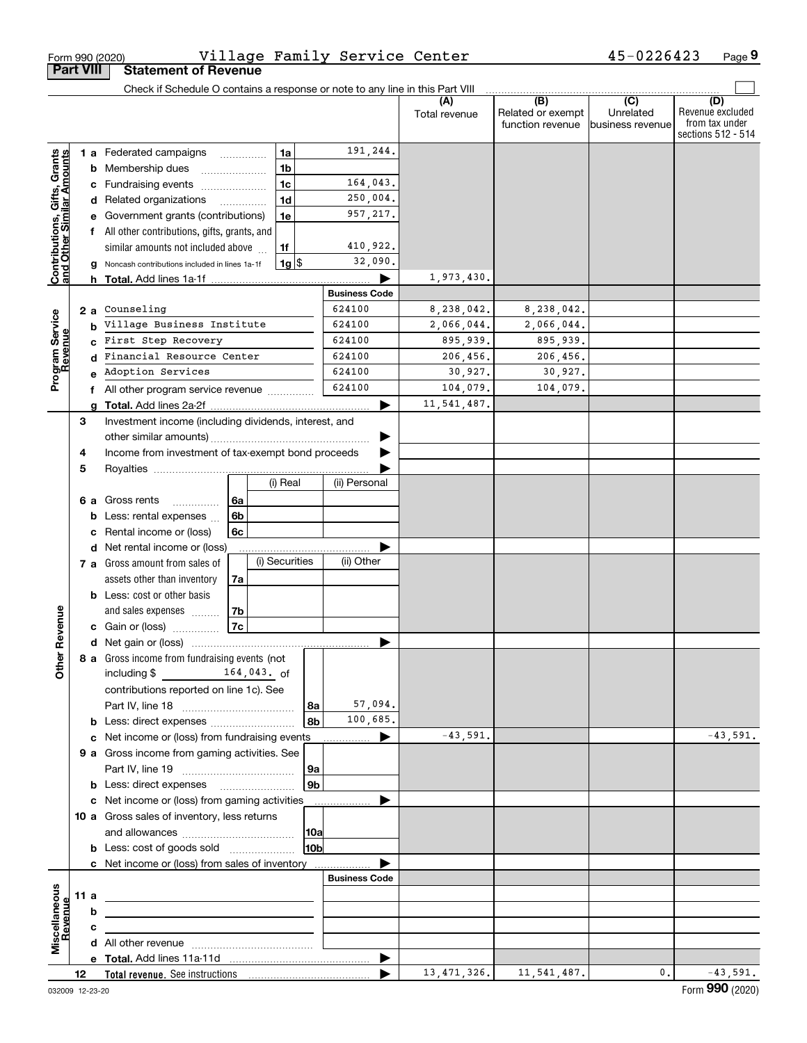|                                                           |                  | Form 990 (2020)                                                                                     |                |  |                  | Village Family Service Center |                      |                                              | 45-0226423                           | Page 9                                                          |
|-----------------------------------------------------------|------------------|-----------------------------------------------------------------------------------------------------|----------------|--|------------------|-------------------------------|----------------------|----------------------------------------------|--------------------------------------|-----------------------------------------------------------------|
|                                                           | <b>Part VIII</b> | <b>Statement of Revenue</b>                                                                         |                |  |                  |                               |                      |                                              |                                      |                                                                 |
|                                                           |                  | Check if Schedule O contains a response or note to any line in this Part VIII                       |                |  |                  |                               |                      |                                              |                                      |                                                                 |
|                                                           |                  |                                                                                                     |                |  |                  |                               | (A)<br>Total revenue | (B)<br>Related or exempt<br>function revenue | (C)<br>Unrelated<br>business revenue | (D)<br>Revenue excluded<br>from tax under<br>sections 512 - 514 |
|                                                           |                  | <b>1 a</b> Federated campaigns                                                                      | .              |  | 1a               | 191,244.                      |                      |                                              |                                      |                                                                 |
| Contributions, Gifts, Grants<br>and Other Similar Amounts |                  | <b>b</b> Membership dues                                                                            |                |  | 1 <sub>b</sub>   |                               |                      |                                              |                                      |                                                                 |
|                                                           |                  | c Fundraising events                                                                                |                |  | 1 <sub>c</sub>   | 164,043.                      |                      |                                              |                                      |                                                                 |
|                                                           |                  | d Related organizations                                                                             |                |  | 1 <sub>d</sub>   | 250,004.                      |                      |                                              |                                      |                                                                 |
|                                                           | е                | Government grants (contributions)                                                                   |                |  | 1e               | 957,217.                      |                      |                                              |                                      |                                                                 |
|                                                           |                  | f All other contributions, gifts, grants, and                                                       |                |  |                  |                               |                      |                                              |                                      |                                                                 |
|                                                           |                  | similar amounts not included above                                                                  |                |  | 1f               | 410,922.                      |                      |                                              |                                      |                                                                 |
|                                                           | g                | Noncash contributions included in lines 1a-1f                                                       |                |  | $1g$ \$          | 32,090.                       |                      |                                              |                                      |                                                                 |
|                                                           |                  |                                                                                                     |                |  |                  |                               | 1,973,430.           |                                              |                                      |                                                                 |
|                                                           |                  |                                                                                                     |                |  |                  | <b>Business Code</b>          |                      |                                              |                                      |                                                                 |
|                                                           | 2а               | Counseling                                                                                          |                |  |                  | 624100                        | 8,238,042.           | 8,238,042.                                   |                                      |                                                                 |
|                                                           | b                | Village Business Institute<br>First Step Recovery<br>Financial Resource Center<br>Adoption Services |                |  | 624100           | 2,066,044.                    | 2,066,044.           |                                              |                                      |                                                                 |
| Program Service<br>Revenue                                | C.               |                                                                                                     |                |  | 624100<br>624100 | 895,939.                      | 895,939.             |                                              |                                      |                                                                 |
|                                                           | d                |                                                                                                     |                |  | 624100           | 206,456.<br>30,927.           | 206,456.<br>30,927.  |                                              |                                      |                                                                 |
|                                                           |                  |                                                                                                     |                |  |                  | 624100                        | 104,079.             | 104,079.                                     |                                      |                                                                 |
|                                                           |                  | f All other program service revenue                                                                 |                |  |                  |                               | 11,541,487.          |                                              |                                      |                                                                 |
|                                                           | g<br>3           | Investment income (including dividends, interest, and                                               |                |  |                  |                               |                      |                                              |                                      |                                                                 |
|                                                           |                  |                                                                                                     |                |  |                  |                               |                      |                                              |                                      |                                                                 |
|                                                           | 4                |                                                                                                     |                |  |                  |                               |                      |                                              |                                      |                                                                 |
|                                                           | 5                | Income from investment of tax-exempt bond proceeds                                                  |                |  |                  |                               |                      |                                              |                                      |                                                                 |
|                                                           |                  |                                                                                                     |                |  | (i) Real         | (ii) Personal                 |                      |                                              |                                      |                                                                 |
|                                                           | 6а               | Gross rents                                                                                         | 6a             |  |                  |                               |                      |                                              |                                      |                                                                 |
|                                                           | b                | Less: rental expenses                                                                               | 6 <sub>b</sub> |  |                  |                               |                      |                                              |                                      |                                                                 |
|                                                           | с                | Rental income or (loss)                                                                             | 6c             |  |                  |                               |                      |                                              |                                      |                                                                 |
|                                                           |                  | d Net rental income or (loss)                                                                       |                |  |                  |                               |                      |                                              |                                      |                                                                 |
|                                                           |                  | 7 a Gross amount from sales of                                                                      |                |  | (i) Securities   | (ii) Other                    |                      |                                              |                                      |                                                                 |
|                                                           |                  | assets other than inventory                                                                         | 7a             |  |                  |                               |                      |                                              |                                      |                                                                 |
| evenue                                                    |                  | <b>b</b> Less: cost or other basis                                                                  |                |  |                  |                               |                      |                                              |                                      |                                                                 |
|                                                           |                  | and sales expenses                                                                                  | 7b             |  |                  |                               |                      |                                              |                                      |                                                                 |
|                                                           |                  | c Gain or (loss)                                                                                    | 7c             |  |                  |                               |                      |                                              |                                      |                                                                 |
|                                                           |                  |                                                                                                     |                |  |                  |                               |                      |                                              |                                      |                                                                 |
| Other R                                                   |                  | 8 a Gross income from fundraising events (not                                                       |                |  |                  |                               |                      |                                              |                                      |                                                                 |
|                                                           |                  | including \$ 164,043. of                                                                            |                |  |                  |                               |                      |                                              |                                      |                                                                 |
|                                                           |                  | contributions reported on line 1c). See                                                             |                |  |                  |                               |                      |                                              |                                      |                                                                 |
|                                                           |                  |                                                                                                     |                |  | 8a<br>8b         | 57,094.<br>100,685.           |                      |                                              |                                      |                                                                 |
|                                                           |                  | <b>b</b> Less: direct expenses <i></i>                                                              |                |  |                  |                               | $-43,591.$           |                                              |                                      | $-43,591.$                                                      |
|                                                           |                  | 9 a Gross income from gaming activities. See                                                        |                |  |                  |                               |                      |                                              |                                      |                                                                 |
|                                                           |                  |                                                                                                     |                |  | 9a               |                               |                      |                                              |                                      |                                                                 |
|                                                           |                  | <b>b</b> Less: direct expenses <b>manually</b>                                                      |                |  | 9 <sub>b</sub>   |                               |                      |                                              |                                      |                                                                 |
|                                                           |                  | c Net income or (loss) from gaming activities                                                       |                |  |                  | .                             |                      |                                              |                                      |                                                                 |
|                                                           |                  | 10 a Gross sales of inventory, less returns                                                         |                |  |                  |                               |                      |                                              |                                      |                                                                 |
|                                                           |                  |                                                                                                     |                |  | 10a              |                               |                      |                                              |                                      |                                                                 |
|                                                           |                  | <b>b</b> Less: cost of goods sold                                                                   |                |  | 10bl             |                               |                      |                                              |                                      |                                                                 |
|                                                           |                  | c Net income or (loss) from sales of inventory                                                      |                |  |                  |                               |                      |                                              |                                      |                                                                 |
|                                                           |                  |                                                                                                     |                |  |                  | <b>Business Code</b>          |                      |                                              |                                      |                                                                 |
|                                                           | 11 a             | <u> 1989 - Johann Stoff, amerikansk politiker (</u>                                                 |                |  |                  |                               |                      |                                              |                                      |                                                                 |
| evenue                                                    | b                |                                                                                                     |                |  |                  |                               |                      |                                              |                                      |                                                                 |
|                                                           | c                | the contract of the contract of the contract of the contract of the contract of                     |                |  |                  |                               |                      |                                              |                                      |                                                                 |
| Miscellaneous                                             |                  |                                                                                                     |                |  |                  |                               |                      |                                              |                                      |                                                                 |
|                                                           |                  |                                                                                                     |                |  |                  |                               |                      |                                              |                                      |                                                                 |
|                                                           | 12               |                                                                                                     |                |  |                  |                               | 13, 471, 326.        | 11,541,487.                                  | 0.                                   | $-43,591.$                                                      |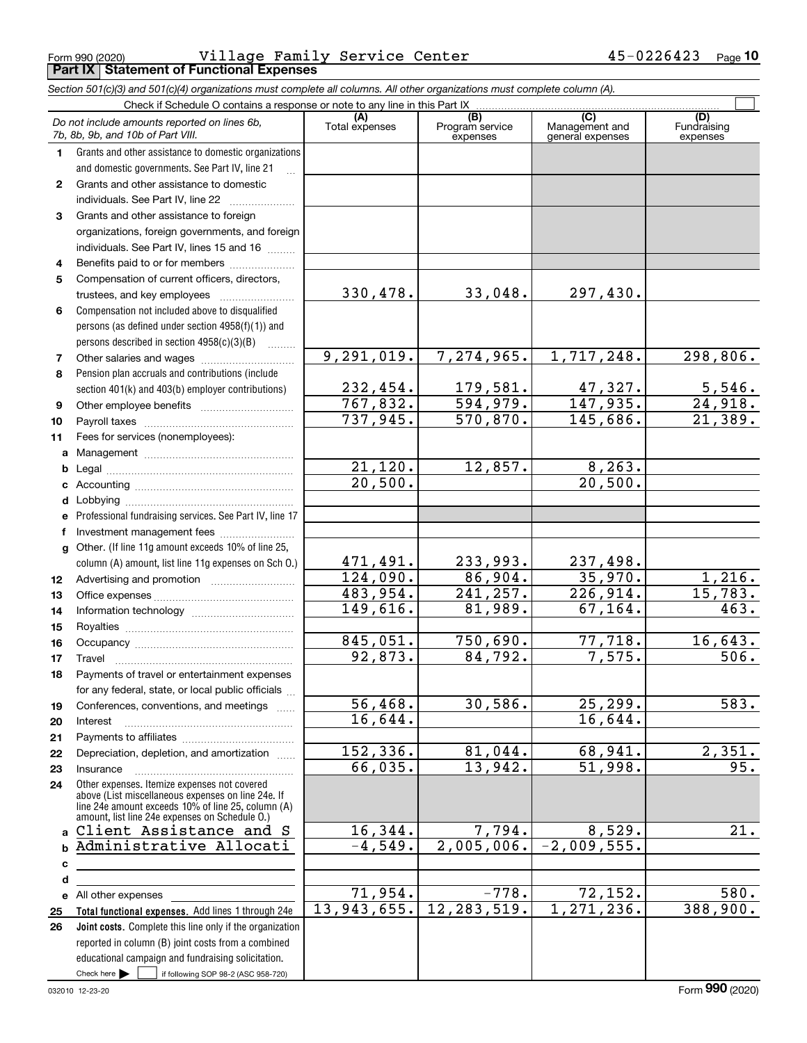Form 990 (2020) Page **Part IX Statement of Functional Expenses** Village Family Service Center 45-0226423

|              | Section 501(c)(3) and 501(c)(4) organizations must complete all columns. All other organizations must complete column (A).                                                                                 |                       |                                    |                                           |                                |
|--------------|------------------------------------------------------------------------------------------------------------------------------------------------------------------------------------------------------------|-----------------------|------------------------------------|-------------------------------------------|--------------------------------|
|              | Check if Schedule O contains a response or note to any line in this Part IX                                                                                                                                |                       |                                    |                                           |                                |
|              | Do not include amounts reported on lines 6b,<br>7b, 8b, 9b, and 10b of Part VIII.                                                                                                                          | (A)<br>Total expenses | (B)<br>Program service<br>expenses | (C)<br>Management and<br>general expenses | (D)<br>Fundraising<br>expenses |
| 1.           | Grants and other assistance to domestic organizations                                                                                                                                                      |                       |                                    |                                           |                                |
|              | and domestic governments. See Part IV, line 21                                                                                                                                                             |                       |                                    |                                           |                                |
| $\mathbf{2}$ | Grants and other assistance to domestic                                                                                                                                                                    |                       |                                    |                                           |                                |
|              | individuals. See Part IV, line 22                                                                                                                                                                          |                       |                                    |                                           |                                |
| 3            | Grants and other assistance to foreign                                                                                                                                                                     |                       |                                    |                                           |                                |
|              | organizations, foreign governments, and foreign                                                                                                                                                            |                       |                                    |                                           |                                |
|              | individuals. See Part IV, lines 15 and 16                                                                                                                                                                  |                       |                                    |                                           |                                |
| 4            | Benefits paid to or for members                                                                                                                                                                            |                       |                                    |                                           |                                |
| 5            | Compensation of current officers, directors,                                                                                                                                                               |                       |                                    |                                           |                                |
|              | trustees, and key employees                                                                                                                                                                                | 330, 478.             | 33,048.                            | 297,430.                                  |                                |
| 6            | Compensation not included above to disqualified                                                                                                                                                            |                       |                                    |                                           |                                |
|              | persons (as defined under section 4958(f)(1)) and                                                                                                                                                          |                       |                                    |                                           |                                |
|              | persons described in section 4958(c)(3)(B)<br>1.1.1.1.1.1.1                                                                                                                                                |                       |                                    |                                           |                                |
| 7            | Other salaries and wages                                                                                                                                                                                   | 9, 291, 019.          | 7,274,965.                         | 1,717,248.                                | 298,806.                       |
| 8            | Pension plan accruals and contributions (include                                                                                                                                                           |                       |                                    |                                           |                                |
|              | section 401(k) and 403(b) employer contributions)                                                                                                                                                          | 232,454.              | 179,581.                           | $\frac{47,327.}{147,935.}$                | $\frac{5,546}{24,918}$ .       |
| 9            |                                                                                                                                                                                                            | 767,832.              | 594,979.                           |                                           |                                |
| 10           |                                                                                                                                                                                                            | 737,945.              | 570,870.                           | 145,686.                                  | $\overline{21,389}$ .          |
| 11           | Fees for services (nonemployees):                                                                                                                                                                          |                       |                                    |                                           |                                |
| a            |                                                                                                                                                                                                            |                       |                                    |                                           |                                |
| b            |                                                                                                                                                                                                            | $\overline{21,120}$ . | 12,857.                            | 8, 263.                                   |                                |
| c            |                                                                                                                                                                                                            | $\overline{20,500}$ . |                                    | 20,500.                                   |                                |
| d            |                                                                                                                                                                                                            |                       |                                    |                                           |                                |
| е            | Professional fundraising services. See Part IV, line 17                                                                                                                                                    |                       |                                    |                                           |                                |
| f            | Investment management fees                                                                                                                                                                                 |                       |                                    |                                           |                                |
|              | g Other. (If line 11g amount exceeds 10% of line 25,                                                                                                                                                       |                       |                                    |                                           |                                |
|              | column (A) amount, list line 11g expenses on Sch O.)                                                                                                                                                       | 471,491.              | 233,993.                           | 237,498.                                  |                                |
| 12           |                                                                                                                                                                                                            | 124,090.              | 86,904.                            | 35,970.                                   | 1,216.                         |
| 13           |                                                                                                                                                                                                            | 483,954.              | 241, 257.                          | 226,914.                                  | 15,783.                        |
| 14           |                                                                                                                                                                                                            | 149,616.              | 81,989.                            | 67, 164.                                  | 463.                           |
| 15           |                                                                                                                                                                                                            |                       |                                    |                                           |                                |
| 16           |                                                                                                                                                                                                            | 845,051.              | 750,690.                           | 77,718.                                   | 16,643.                        |
| 17           |                                                                                                                                                                                                            | 92,873.               | 84,792.                            | 7,575.                                    | 506.                           |
| 18           | Payments of travel or entertainment expenses                                                                                                                                                               |                       |                                    |                                           |                                |
|              | for any federal, state, or local public officials                                                                                                                                                          |                       |                                    |                                           |                                |
| 19           | Conferences, conventions, and meetings                                                                                                                                                                     | 56,468.               | 30,586.                            | 25, 299.                                  | 583.                           |
| 20           | Interest                                                                                                                                                                                                   | 16,644.               |                                    | 16,644.                                   |                                |
| 21           |                                                                                                                                                                                                            |                       |                                    |                                           |                                |
| 22           | Depreciation, depletion, and amortization                                                                                                                                                                  | 152, 336.             | 81,044.                            | 68,941.                                   | 2,351.                         |
| 23           | Insurance                                                                                                                                                                                                  | 66,035.               | 13,942.                            | 51,998.                                   | 95.                            |
| 24           | Other expenses. Itemize expenses not covered<br>above (List miscellaneous expenses on line 24e. If<br>line 24e amount exceeds 10% of line 25, column (A)<br>amount, list line 24e expenses on Schedule O.) |                       |                                    |                                           |                                |
|              | Client Assistance and S                                                                                                                                                                                    | 16,344.               | 7,794.                             | 8,529.                                    | 21.                            |
| b            | Administrative Allocati                                                                                                                                                                                    | $-4,549.$             | 2,005,006.                         | $-2,009,555.$                             |                                |
| c            |                                                                                                                                                                                                            |                       |                                    |                                           |                                |
| d            |                                                                                                                                                                                                            |                       |                                    |                                           |                                |
|              | e All other expenses                                                                                                                                                                                       | 71,954.               | $-778.$                            | 72,152.                                   | 580.                           |
| 25           | Total functional expenses. Add lines 1 through 24e                                                                                                                                                         | 13,943,655.           | 12, 283, 519.                      | 1, 271, 236.                              | 388,900.                       |
| 26           | Joint costs. Complete this line only if the organization                                                                                                                                                   |                       |                                    |                                           |                                |
|              | reported in column (B) joint costs from a combined                                                                                                                                                         |                       |                                    |                                           |                                |
|              | educational campaign and fundraising solicitation.                                                                                                                                                         |                       |                                    |                                           |                                |
|              | Check here $\blacktriangleright$<br>if following SOP 98-2 (ASC 958-720)                                                                                                                                    |                       |                                    |                                           |                                |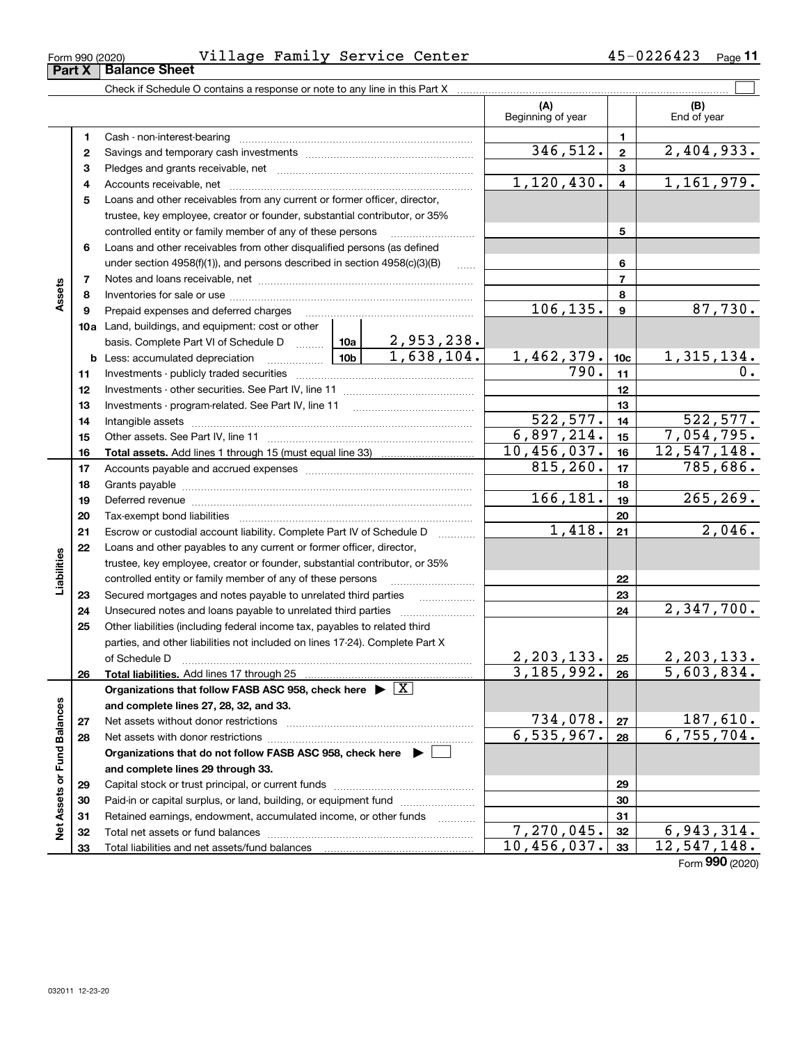| Form 990 (2020) | Village | Family Service Center | 0226423<br>Page |
|-----------------|---------|-----------------------|-----------------|
|                 |         |                       |                 |

|                             |    |                                                                                                                                                                                                                                      |              |                  | (A)<br>Beginning of year |                         | (B)<br>End of year |
|-----------------------------|----|--------------------------------------------------------------------------------------------------------------------------------------------------------------------------------------------------------------------------------------|--------------|------------------|--------------------------|-------------------------|--------------------|
|                             | 1  |                                                                                                                                                                                                                                      |              |                  | 1                        |                         |                    |
|                             | 2  |                                                                                                                                                                                                                                      | 346,512.     | $\mathbf{2}$     | $\overline{2,404,933}$ . |                         |                    |
|                             | 3  |                                                                                                                                                                                                                                      |              |                  | 3                        |                         |                    |
|                             | 4  |                                                                                                                                                                                                                                      |              |                  | 1,120,430.               | $\overline{\mathbf{4}}$ | 1,161,979.         |
|                             | 5  | Loans and other receivables from any current or former officer, director,                                                                                                                                                            |              |                  |                          |                         |                    |
|                             |    | trustee, key employee, creator or founder, substantial contributor, or 35%                                                                                                                                                           |              |                  |                          |                         |                    |
|                             |    | controlled entity or family member of any of these persons                                                                                                                                                                           |              | 5                |                          |                         |                    |
|                             | 6  | Loans and other receivables from other disqualified persons (as defined                                                                                                                                                              |              |                  |                          |                         |                    |
|                             |    | under section $4958(f)(1)$ , and persons described in section $4958(c)(3)(B)$                                                                                                                                                        |              | 6                |                          |                         |                    |
|                             | 7  |                                                                                                                                                                                                                                      |              |                  |                          | $\overline{7}$          |                    |
| Assets                      | 8  |                                                                                                                                                                                                                                      |              |                  |                          | 8                       |                    |
|                             | 9  | Prepaid expenses and deferred charges                                                                                                                                                                                                | 106, 135.    | $\boldsymbol{9}$ | 87,730.                  |                         |                    |
|                             |    | 10a Land, buildings, and equipment: cost or other                                                                                                                                                                                    |              |                  |                          |                         |                    |
|                             |    | basis. Complete Part VI of Schedule D $\frac{10a}{2}$ , 953, 238.                                                                                                                                                                    |              |                  |                          |                         |                    |
|                             |    |                                                                                                                                                                                                                                      |              | 1,638,104.       | 1,462,379.               | 10 <sub>c</sub>         | <u>1,315,134.</u>  |
|                             | 11 |                                                                                                                                                                                                                                      |              |                  | 790.                     | 11                      | 0.                 |
|                             | 12 |                                                                                                                                                                                                                                      |              |                  | 12                       |                         |                    |
|                             | 13 |                                                                                                                                                                                                                                      |              |                  | 13                       |                         |                    |
|                             | 14 |                                                                                                                                                                                                                                      | 522, 577.    | 14               | 522, 577.                |                         |                    |
|                             | 15 |                                                                                                                                                                                                                                      | 6,897,214.   | 15               | 7,054,795.               |                         |                    |
|                             | 16 |                                                                                                                                                                                                                                      |              |                  | 10,456,037.              | 16                      | 12, 547, 148.      |
|                             | 17 |                                                                                                                                                                                                                                      |              | 815, 260.        | 17                       | $\overline{785}$ , 686. |                    |
|                             | 18 |                                                                                                                                                                                                                                      |              |                  |                          | 18                      |                    |
|                             | 19 |                                                                                                                                                                                                                                      |              |                  | 166,181.                 | 19                      | 265, 269.          |
|                             | 20 |                                                                                                                                                                                                                                      |              |                  |                          | 20                      |                    |
|                             | 21 |                                                                                                                                                                                                                                      |              |                  | 1,418.                   | 21                      | 2,046.             |
|                             | 22 | Loans and other payables to any current or former officer, director,                                                                                                                                                                 |              |                  |                          |                         |                    |
| Liabilities                 |    | trustee, key employee, creator or founder, substantial contributor, or 35%                                                                                                                                                           |              |                  |                          |                         |                    |
|                             |    | controlled entity or family member of any of these persons                                                                                                                                                                           |              | 22               |                          |                         |                    |
|                             | 23 | Secured mortgages and notes payable to unrelated third parties                                                                                                                                                                       |              | 23               |                          |                         |                    |
|                             | 24 |                                                                                                                                                                                                                                      |              |                  |                          | 24                      | 2,347,700.         |
|                             | 25 | Other liabilities (including federal income tax, payables to related third                                                                                                                                                           |              |                  |                          |                         |                    |
|                             |    | parties, and other liabilities not included on lines 17-24). Complete Part X                                                                                                                                                         |              |                  |                          |                         |                    |
|                             |    | of Schedule D <b>Manual Communication Contract Contract Contract Contract Contract Contract Contract Contract Contract Contract Contract Contract Contract Contract Contract Contract Contract Contract Contract Contract Contra</b> | 2, 203, 133. | 25               | 2, 203, 133.             |                         |                    |
|                             | 26 |                                                                                                                                                                                                                                      |              |                  | 3, 185, 992.             | 26                      | 5,603,834.         |
|                             |    | Organizations that follow FASB ASC 958, check here $\blacktriangleright \lfloor X \rfloor$                                                                                                                                           |              |                  |                          |                         |                    |
|                             |    | and complete lines 27, 28, 32, and 33.                                                                                                                                                                                               |              |                  |                          |                         |                    |
|                             | 27 |                                                                                                                                                                                                                                      | 734,078.     | 27               | 187,610.                 |                         |                    |
|                             | 28 |                                                                                                                                                                                                                                      |              |                  | 6, 535, 967.             | 28                      | 6, 755, 704.       |
|                             |    | Organizations that do not follow FASB ASC 958, check here $\blacktriangleright$                                                                                                                                                      |              |                  |                          |                         |                    |
| Net Assets or Fund Balances |    | and complete lines 29 through 33.                                                                                                                                                                                                    |              |                  |                          |                         |                    |
|                             | 29 |                                                                                                                                                                                                                                      |              |                  |                          | 29                      |                    |
|                             | 30 | Paid-in or capital surplus, or land, building, or equipment fund                                                                                                                                                                     |              |                  |                          | 30                      |                    |
|                             | 31 | Retained earnings, endowment, accumulated income, or other funds                                                                                                                                                                     |              |                  |                          | 31                      |                    |
|                             | 32 |                                                                                                                                                                                                                                      |              |                  | 7,270,045.               | 32                      | 6,943,314.         |
|                             | 33 |                                                                                                                                                                                                                                      |              | 10,456,037.      | 33                       | 12,547,148.             |                    |

Form (2020) **990**

| ا کا کام |                      |  |
|----------|----------------------|--|
|          | <b>Balance Sheet</b> |  |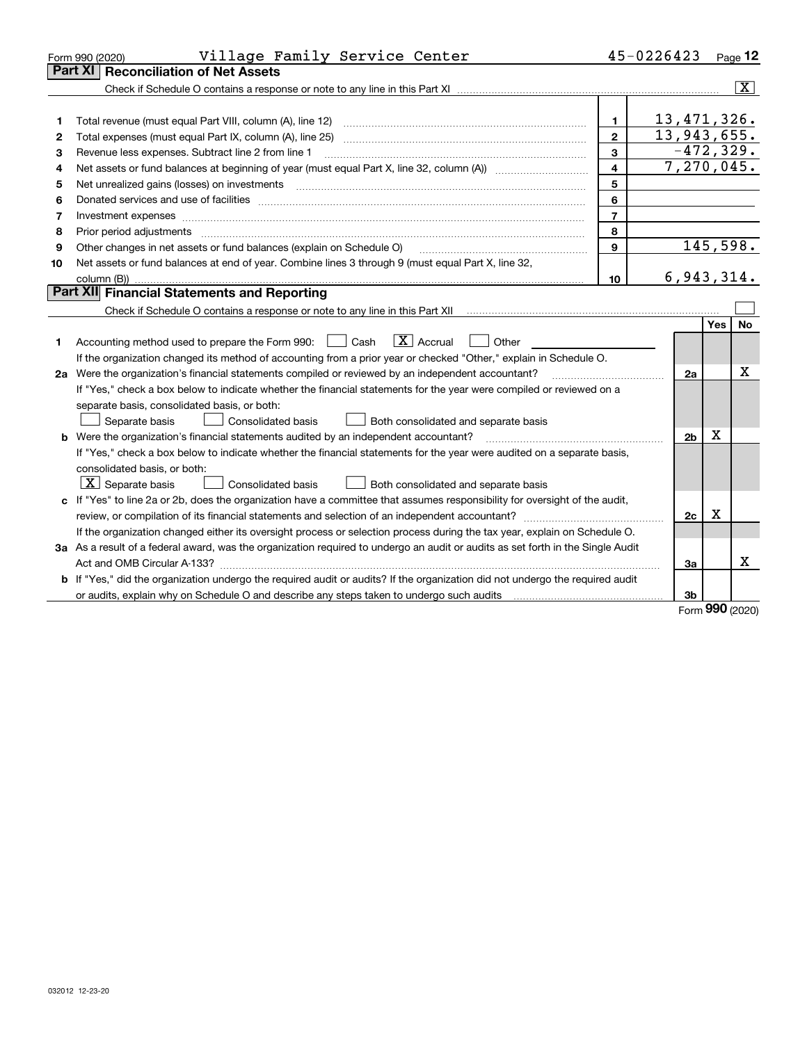|    | Village Family Service Center<br>Form 990 (2020)                                                                                     |                | 45-0226423                |            | Page $12$               |  |  |
|----|--------------------------------------------------------------------------------------------------------------------------------------|----------------|---------------------------|------------|-------------------------|--|--|
|    | <b>Reconciliation of Net Assets</b><br>Part XI                                                                                       |                |                           |            |                         |  |  |
|    |                                                                                                                                      |                |                           |            | $\overline{\mathtt{x}}$ |  |  |
|    |                                                                                                                                      |                |                           |            |                         |  |  |
| 1  |                                                                                                                                      | 1.             | 13,471,326.               |            |                         |  |  |
| 2  |                                                                                                                                      | $\mathbf{2}$   | 13,943,655.               |            |                         |  |  |
| з  | Revenue less expenses. Subtract line 2 from line 1                                                                                   | 3              | $-472, 329.$              |            |                         |  |  |
| 4  |                                                                                                                                      | 4              | $\overline{7,270}$ , 045. |            |                         |  |  |
| 5  |                                                                                                                                      | 5              |                           |            |                         |  |  |
| 6  |                                                                                                                                      | 6              |                           |            |                         |  |  |
| 7  |                                                                                                                                      | $\overline{7}$ |                           |            |                         |  |  |
| 8  | Prior period adjustments                                                                                                             | 8              |                           |            |                         |  |  |
| 9  | Other changes in net assets or fund balances (explain on Schedule O)                                                                 | 9              | 145,598.                  |            |                         |  |  |
| 10 | Net assets or fund balances at end of year. Combine lines 3 through 9 (must equal Part X, line 32,                                   |                |                           |            |                         |  |  |
|    |                                                                                                                                      | 10             | 6,943,314.                |            |                         |  |  |
|    | Part XII Financial Statements and Reporting                                                                                          |                |                           |            |                         |  |  |
|    |                                                                                                                                      |                |                           |            |                         |  |  |
|    |                                                                                                                                      |                |                           | <b>Yes</b> | <b>No</b>               |  |  |
| 1  | $\boxed{\mathbf{X}}$ Accrual<br>Accounting method used to prepare the Form 990: <u>I</u> Cash<br>Other                               |                |                           |            |                         |  |  |
|    | If the organization changed its method of accounting from a prior year or checked "Other," explain in Schedule O.                    |                |                           |            |                         |  |  |
|    | 2a Were the organization's financial statements compiled or reviewed by an independent accountant?                                   |                |                           |            |                         |  |  |
|    | If "Yes," check a box below to indicate whether the financial statements for the year were compiled or reviewed on a                 |                |                           |            |                         |  |  |
|    | separate basis, consolidated basis, or both:                                                                                         |                |                           |            |                         |  |  |
|    | Separate basis<br>Consolidated basis<br>Both consolidated and separate basis                                                         |                |                           |            |                         |  |  |
|    | <b>b</b> Were the organization's financial statements audited by an independent accountant?                                          |                | 2 <sub>b</sub>            | X          |                         |  |  |
|    | If "Yes," check a box below to indicate whether the financial statements for the year were audited on a separate basis,              |                |                           |            |                         |  |  |
|    | consolidated basis, or both:                                                                                                         |                |                           |            |                         |  |  |
|    | $X$ Separate basis<br><b>Consolidated basis</b><br>Both consolidated and separate basis                                              |                |                           |            |                         |  |  |
|    | c If "Yes" to line 2a or 2b, does the organization have a committee that assumes responsibility for oversight of the audit,          |                |                           |            |                         |  |  |
|    |                                                                                                                                      |                | 2c                        | х          |                         |  |  |
|    | If the organization changed either its oversight process or selection process during the tax year, explain on Schedule O.            |                |                           |            |                         |  |  |
|    | 3a As a result of a federal award, was the organization required to undergo an audit or audits as set forth in the Single Audit      |                |                           |            |                         |  |  |
|    |                                                                                                                                      |                | За                        |            | x                       |  |  |
|    | <b>b</b> If "Yes," did the organization undergo the required audit or audits? If the organization did not undergo the required audit |                |                           |            |                         |  |  |
|    |                                                                                                                                      |                | 3 <sub>b</sub>            |            |                         |  |  |

Form (2020) **990**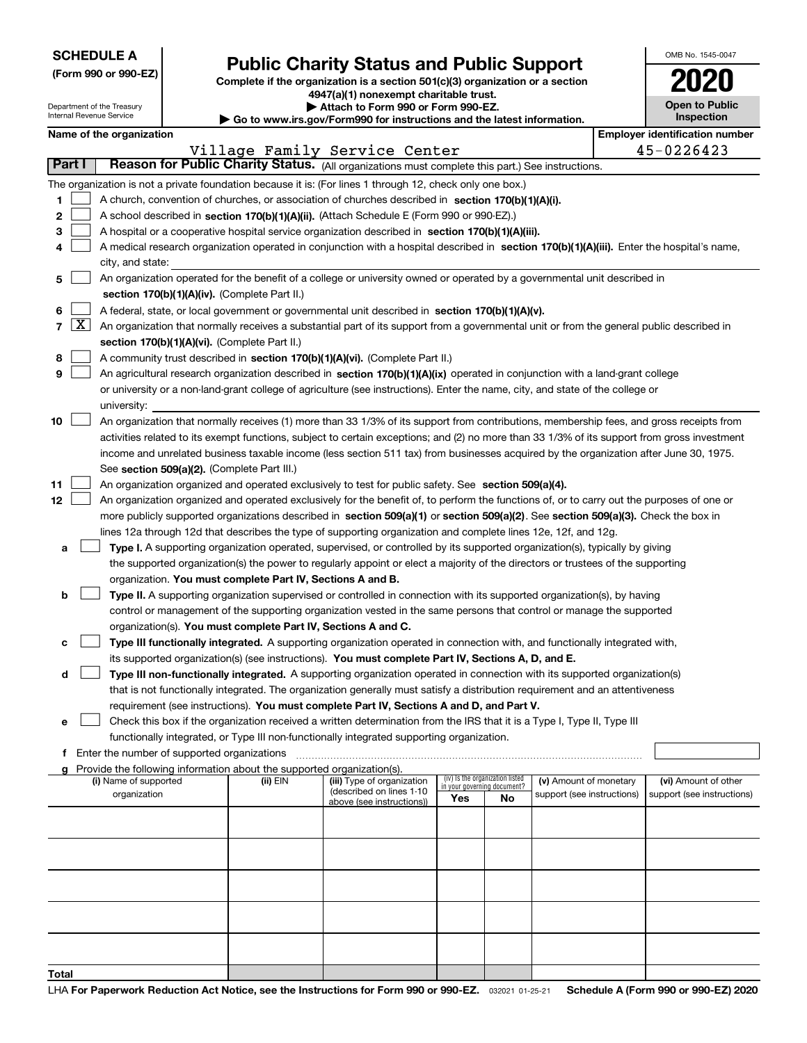| <b>SCHEDULE A</b> |  |  |  |  |  |  |
|-------------------|--|--|--|--|--|--|
|-------------------|--|--|--|--|--|--|

Department of the Treasury Internal Revenue Service

| (Form 990 or 990-EZ) |  |  |
|----------------------|--|--|
|                      |  |  |

### **Public Charity Status and Public Support**

**Complete if the organization is a section 501(c)(3) organization or a section 4947(a)(1) nonexempt charitable trust.**

| Attach to Form 990 or Form 990-EZ. |  |  |  |  |  |  |
|------------------------------------|--|--|--|--|--|--|
|                                    |  |  |  |  |  |  |

**| Go to www.irs.gov/Form990 for instructions and the latest information.**

| OMB No 1545-0047                    |
|-------------------------------------|
| 2020                                |
| <b>Open to Public</b><br>Inspection |

|                          | Name of the organization                                                                                                                     |                                                                                                    |                               |                                    |                                 |                            |  | <b>Employer identification number</b> |
|--------------------------|----------------------------------------------------------------------------------------------------------------------------------------------|----------------------------------------------------------------------------------------------------|-------------------------------|------------------------------------|---------------------------------|----------------------------|--|---------------------------------------|
|                          |                                                                                                                                              |                                                                                                    | Village Family Service Center |                                    |                                 |                            |  | 45-0226423                            |
| <b>Part I</b>            | Reason for Public Charity Status. (All organizations must complete this part.) See instructions.                                             |                                                                                                    |                               |                                    |                                 |                            |  |                                       |
|                          | The organization is not a private foundation because it is: (For lines 1 through 12, check only one box.)                                    |                                                                                                    |                               |                                    |                                 |                            |  |                                       |
| 1                        |                                                                                                                                              | A church, convention of churches, or association of churches described in section 170(b)(1)(A)(i). |                               |                                    |                                 |                            |  |                                       |
| 2                        | A school described in section 170(b)(1)(A)(ii). (Attach Schedule E (Form 990 or 990-EZ).)                                                    |                                                                                                    |                               |                                    |                                 |                            |  |                                       |
| З                        | A hospital or a cooperative hospital service organization described in section 170(b)(1)(A)(iii).                                            |                                                                                                    |                               |                                    |                                 |                            |  |                                       |
|                          | A medical research organization operated in conjunction with a hospital described in section 170(b)(1)(A)(iii). Enter the hospital's name,   |                                                                                                    |                               |                                    |                                 |                            |  |                                       |
|                          | city, and state:                                                                                                                             |                                                                                                    |                               |                                    |                                 |                            |  |                                       |
| 5                        | An organization operated for the benefit of a college or university owned or operated by a governmental unit described in                    |                                                                                                    |                               |                                    |                                 |                            |  |                                       |
|                          | section 170(b)(1)(A)(iv). (Complete Part II.)                                                                                                |                                                                                                    |                               |                                    |                                 |                            |  |                                       |
| 6                        | A federal, state, or local government or governmental unit described in section 170(b)(1)(A)(v).                                             |                                                                                                    |                               |                                    |                                 |                            |  |                                       |
| $\lfloor x \rfloor$<br>7 | An organization that normally receives a substantial part of its support from a governmental unit or from the general public described in    |                                                                                                    |                               |                                    |                                 |                            |  |                                       |
|                          | section 170(b)(1)(A)(vi). (Complete Part II.)                                                                                                |                                                                                                    |                               |                                    |                                 |                            |  |                                       |
| 8                        | A community trust described in section 170(b)(1)(A)(vi). (Complete Part II.)                                                                 |                                                                                                    |                               |                                    |                                 |                            |  |                                       |
| 9                        | An agricultural research organization described in section 170(b)(1)(A)(ix) operated in conjunction with a land-grant college                |                                                                                                    |                               |                                    |                                 |                            |  |                                       |
|                          | or university or a non-land-grant college of agriculture (see instructions). Enter the name, city, and state of the college or               |                                                                                                    |                               |                                    |                                 |                            |  |                                       |
|                          | university:                                                                                                                                  |                                                                                                    |                               |                                    |                                 |                            |  |                                       |
| 10                       | An organization that normally receives (1) more than 33 1/3% of its support from contributions, membership fees, and gross receipts from     |                                                                                                    |                               |                                    |                                 |                            |  |                                       |
|                          | activities related to its exempt functions, subject to certain exceptions; and (2) no more than 33 1/3% of its support from gross investment |                                                                                                    |                               |                                    |                                 |                            |  |                                       |
|                          | income and unrelated business taxable income (less section 511 tax) from businesses acquired by the organization after June 30, 1975.        |                                                                                                    |                               |                                    |                                 |                            |  |                                       |
|                          | See section 509(a)(2). (Complete Part III.)                                                                                                  |                                                                                                    |                               |                                    |                                 |                            |  |                                       |
| 11                       | An organization organized and operated exclusively to test for public safety. See section 509(a)(4).                                         |                                                                                                    |                               |                                    |                                 |                            |  |                                       |
| 12                       | An organization organized and operated exclusively for the benefit of, to perform the functions of, or to carry out the purposes of one or   |                                                                                                    |                               |                                    |                                 |                            |  |                                       |
|                          | more publicly supported organizations described in section 509(a)(1) or section 509(a)(2). See section 509(a)(3). Check the box in           |                                                                                                    |                               |                                    |                                 |                            |  |                                       |
|                          | lines 12a through 12d that describes the type of supporting organization and complete lines 12e, 12f, and 12g.                               |                                                                                                    |                               |                                    |                                 |                            |  |                                       |
| а                        | Type I. A supporting organization operated, supervised, or controlled by its supported organization(s), typically by giving                  |                                                                                                    |                               |                                    |                                 |                            |  |                                       |
|                          | the supported organization(s) the power to regularly appoint or elect a majority of the directors or trustees of the supporting              |                                                                                                    |                               |                                    |                                 |                            |  |                                       |
|                          | organization. You must complete Part IV, Sections A and B.                                                                                   |                                                                                                    |                               |                                    |                                 |                            |  |                                       |
| b                        | Type II. A supporting organization supervised or controlled in connection with its supported organization(s), by having                      |                                                                                                    |                               |                                    |                                 |                            |  |                                       |
|                          | control or management of the supporting organization vested in the same persons that control or manage the supported                         |                                                                                                    |                               |                                    |                                 |                            |  |                                       |
|                          | organization(s). You must complete Part IV, Sections A and C.                                                                                |                                                                                                    |                               |                                    |                                 |                            |  |                                       |
| c                        | Type III functionally integrated. A supporting organization operated in connection with, and functionally integrated with,                   |                                                                                                    |                               |                                    |                                 |                            |  |                                       |
|                          | its supported organization(s) (see instructions). You must complete Part IV, Sections A, D, and E.                                           |                                                                                                    |                               |                                    |                                 |                            |  |                                       |
| d                        | Type III non-functionally integrated. A supporting organization operated in connection with its supported organization(s)                    |                                                                                                    |                               |                                    |                                 |                            |  |                                       |
|                          | that is not functionally integrated. The organization generally must satisfy a distribution requirement and an attentiveness                 |                                                                                                    |                               |                                    |                                 |                            |  |                                       |
|                          | requirement (see instructions). You must complete Part IV, Sections A and D, and Part V.                                                     |                                                                                                    |                               |                                    |                                 |                            |  |                                       |
| е                        | Check this box if the organization received a written determination from the IRS that it is a Type I, Type II, Type III                      |                                                                                                    |                               |                                    |                                 |                            |  |                                       |
|                          | functionally integrated, or Type III non-functionally integrated supporting organization.                                                    |                                                                                                    |                               |                                    |                                 |                            |  |                                       |
|                          | f Enter the number of supported organizations                                                                                                |                                                                                                    |                               |                                    |                                 |                            |  |                                       |
|                          | g Provide the following information about the supported organization(s).<br>(i) Name of supported                                            | (ii) EIN                                                                                           | (iii) Type of organization    |                                    | (iv) Is the organization listed | (v) Amount of monetary     |  | (vi) Amount of other                  |
|                          | organization                                                                                                                                 |                                                                                                    | (described on lines 1-10      | in your governing document?<br>Yes | No.                             | support (see instructions) |  | support (see instructions)            |
|                          |                                                                                                                                              |                                                                                                    | above (see instructions))     |                                    |                                 |                            |  |                                       |
|                          |                                                                                                                                              |                                                                                                    |                               |                                    |                                 |                            |  |                                       |
|                          |                                                                                                                                              |                                                                                                    |                               |                                    |                                 |                            |  |                                       |
|                          |                                                                                                                                              |                                                                                                    |                               |                                    |                                 |                            |  |                                       |
|                          |                                                                                                                                              |                                                                                                    |                               |                                    |                                 |                            |  |                                       |
|                          |                                                                                                                                              |                                                                                                    |                               |                                    |                                 |                            |  |                                       |
|                          |                                                                                                                                              |                                                                                                    |                               |                                    |                                 |                            |  |                                       |
|                          |                                                                                                                                              |                                                                                                    |                               |                                    |                                 |                            |  |                                       |
|                          |                                                                                                                                              |                                                                                                    |                               |                                    |                                 |                            |  |                                       |
|                          |                                                                                                                                              |                                                                                                    |                               |                                    |                                 |                            |  |                                       |
| Total                    |                                                                                                                                              |                                                                                                    |                               |                                    |                                 |                            |  |                                       |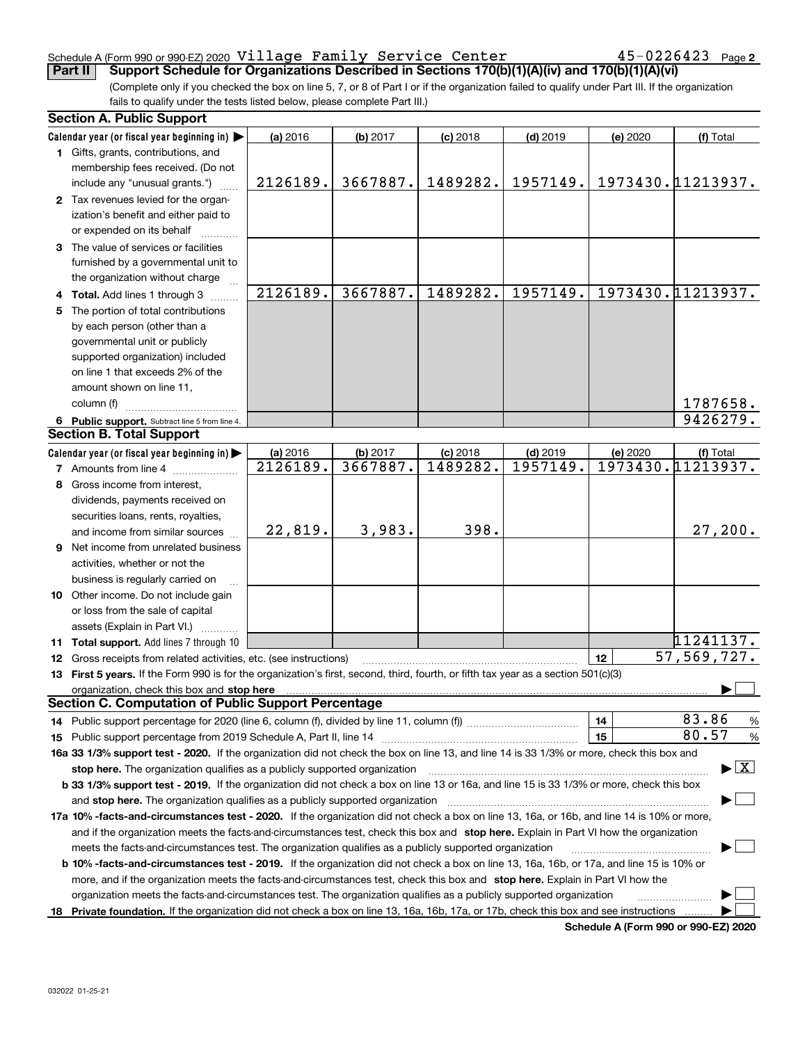#### Schedule A (Form 990 or 990-EZ) 2020  $\verb|Village|$   $\verb|Family|$   $\verb|Service|$   $\verb|Center|$   $\verb|45-0226423|$   $\verb|Page|$

(Complete only if you checked the box on line 5, 7, or 8 of Part I or if the organization failed to qualify under Part III. If the organization fails to qualify under the tests listed below, please complete Part III.) **Part II Support Schedule for Organizations Described in Sections 170(b)(1)(A)(iv) and 170(b)(1)(A)(vi)**

|    | <b>Section A. Public Support</b>                                                                                                               |          |          |            |            |          |                                          |
|----|------------------------------------------------------------------------------------------------------------------------------------------------|----------|----------|------------|------------|----------|------------------------------------------|
|    | Calendar year (or fiscal year beginning in)                                                                                                    | (a) 2016 | (b) 2017 | $(c)$ 2018 | $(d)$ 2019 | (e) 2020 | (f) Total                                |
|    | 1 Gifts, grants, contributions, and                                                                                                            |          |          |            |            |          |                                          |
|    | membership fees received. (Do not                                                                                                              |          |          |            |            |          |                                          |
|    | include any "unusual grants.")                                                                                                                 | 2126189. | 3667887. | 1489282.   | 1957149.   |          | 1973430.11213937.                        |
|    | 2 Tax revenues levied for the organ-                                                                                                           |          |          |            |            |          |                                          |
|    | ization's benefit and either paid to                                                                                                           |          |          |            |            |          |                                          |
|    | or expended on its behalf                                                                                                                      |          |          |            |            |          |                                          |
|    | 3 The value of services or facilities                                                                                                          |          |          |            |            |          |                                          |
|    | furnished by a governmental unit to                                                                                                            |          |          |            |            |          |                                          |
|    | the organization without charge                                                                                                                |          |          |            |            |          |                                          |
|    | 4 Total. Add lines 1 through 3                                                                                                                 | 2126189. | 3667887. | 1489282.   | 1957149.   |          | 1973430.11213937.                        |
| 5. | The portion of total contributions                                                                                                             |          |          |            |            |          |                                          |
|    | by each person (other than a                                                                                                                   |          |          |            |            |          |                                          |
|    | governmental unit or publicly                                                                                                                  |          |          |            |            |          |                                          |
|    | supported organization) included                                                                                                               |          |          |            |            |          |                                          |
|    | on line 1 that exceeds 2% of the                                                                                                               |          |          |            |            |          |                                          |
|    |                                                                                                                                                |          |          |            |            |          |                                          |
|    | amount shown on line 11,                                                                                                                       |          |          |            |            |          |                                          |
|    | column (f)                                                                                                                                     |          |          |            |            |          | 1787658.                                 |
|    | 6 Public support. Subtract line 5 from line 4.                                                                                                 |          |          |            |            |          | 9426279.                                 |
|    | <b>Section B. Total Support</b>                                                                                                                |          |          |            |            |          |                                          |
|    | Calendar year (or fiscal year beginning in)                                                                                                    | (a) 2016 | (b) 2017 | $(c)$ 2018 | $(d)$ 2019 | (e) 2020 | (f) Total                                |
|    | <b>7</b> Amounts from line 4                                                                                                                   | 2126189. | 3667887. | 1489282.   | 1957149.   |          | 1973430.11213937.                        |
|    | 8 Gross income from interest,                                                                                                                  |          |          |            |            |          |                                          |
|    | dividends, payments received on                                                                                                                |          |          |            |            |          |                                          |
|    | securities loans, rents, royalties,                                                                                                            |          |          |            |            |          |                                          |
|    | and income from similar sources                                                                                                                | 22,819.  | 3,983.   | 398.       |            |          | 27,200.                                  |
|    | 9 Net income from unrelated business                                                                                                           |          |          |            |            |          |                                          |
|    | activities, whether or not the                                                                                                                 |          |          |            |            |          |                                          |
|    | business is regularly carried on                                                                                                               |          |          |            |            |          |                                          |
|    | 10 Other income. Do not include gain                                                                                                           |          |          |            |            |          |                                          |
|    | or loss from the sale of capital                                                                                                               |          |          |            |            |          |                                          |
|    | assets (Explain in Part VI.)                                                                                                                   |          |          |            |            |          |                                          |
|    | 11 Total support. Add lines 7 through 10                                                                                                       |          |          |            |            |          | 11241137.                                |
|    | 12 Gross receipts from related activities, etc. (see instructions)                                                                             |          |          |            |            | 12       | $\overline{57,569,727}$ .                |
|    | 13 First 5 years. If the Form 990 is for the organization's first, second, third, fourth, or fifth tax year as a section 501(c)(3)             |          |          |            |            |          |                                          |
|    | organization, check this box and stop here                                                                                                     |          |          |            |            |          |                                          |
|    | <b>Section C. Computation of Public Support Percentage</b>                                                                                     |          |          |            |            |          |                                          |
|    |                                                                                                                                                |          |          |            |            | 14       | 83.86<br>%                               |
|    |                                                                                                                                                |          |          |            |            | 15       | 80.57<br>$\%$                            |
|    | 16a 33 1/3% support test - 2020. If the organization did not check the box on line 13, and line 14 is 33 1/3% or more, check this box and      |          |          |            |            |          |                                          |
|    | stop here. The organization qualifies as a publicly supported organization                                                                     |          |          |            |            |          | $\blacktriangleright$ $\boxed{\text{X}}$ |
|    | b 33 1/3% support test - 2019. If the organization did not check a box on line 13 or 16a, and line 15 is 33 1/3% or more, check this box       |          |          |            |            |          |                                          |
|    |                                                                                                                                                |          |          |            |            |          |                                          |
|    | and stop here. The organization qualifies as a publicly supported organization                                                                 |          |          |            |            |          |                                          |
|    | 17a 10% -facts-and-circumstances test - 2020. If the organization did not check a box on line 13, 16a, or 16b, and line 14 is 10% or more,     |          |          |            |            |          |                                          |
|    | and if the organization meets the facts-and-circumstances test, check this box and stop here. Explain in Part VI how the organization          |          |          |            |            |          |                                          |
|    | meets the facts-and-circumstances test. The organization qualifies as a publicly supported organization                                        |          |          |            |            |          |                                          |
|    | <b>b 10% -facts-and-circumstances test - 2019.</b> If the organization did not check a box on line 13, 16a, 16b, or 17a, and line 15 is 10% or |          |          |            |            |          |                                          |
|    | more, and if the organization meets the facts-and-circumstances test, check this box and stop here. Explain in Part VI how the                 |          |          |            |            |          |                                          |
|    | organization meets the facts-and-circumstances test. The organization qualifies as a publicly supported organization                           |          |          |            |            |          |                                          |
|    | 18 Private foundation. If the organization did not check a box on line 13, 16a, 16b, 17a, or 17b, check this box and see instructions          |          |          |            |            |          |                                          |

**Schedule A (Form 990 or 990-EZ) 2020**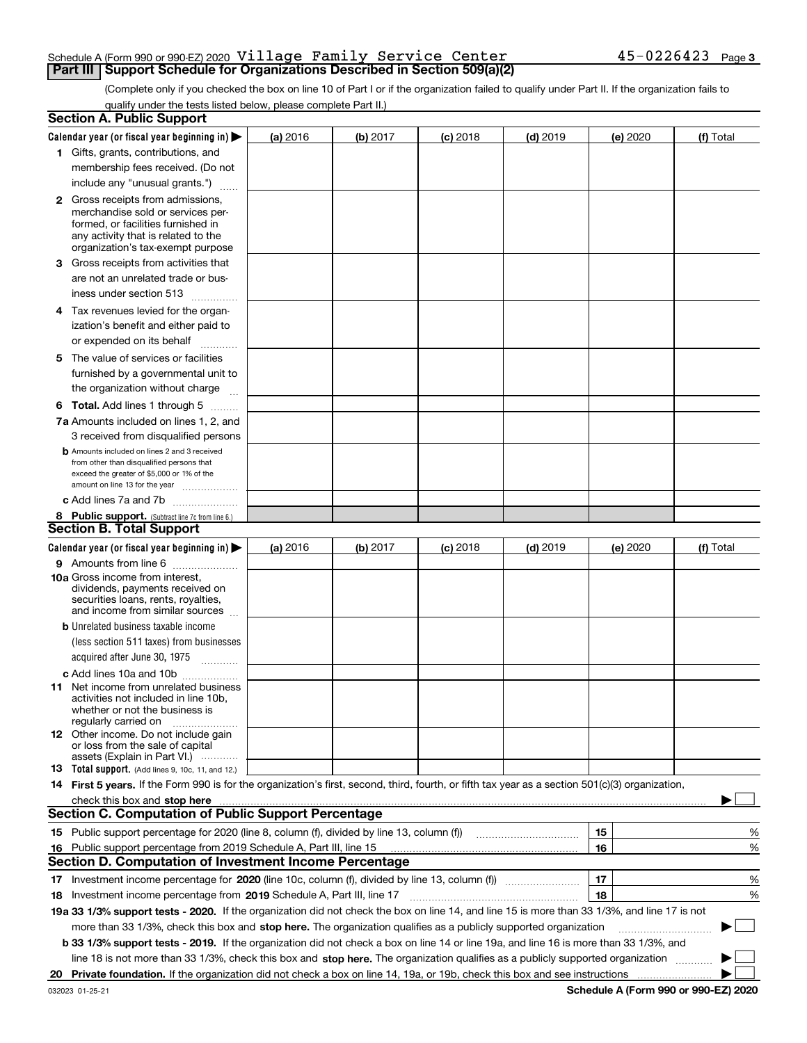#### Schedule A (Form 990 or 990-EZ) 2020  $\verb|Village|$   $\verb|Family|$   $\verb|Service|$   $\verb|Center|$   $\verb|45-0226423|$   $\verb|Page|$ **Part III | Support Schedule for Organizations Described in Section 509(a)(2)**

(Complete only if you checked the box on line 10 of Part I or if the organization failed to qualify under Part II. If the organization fails to qualify under the tests listed below, please complete Part II.)

|     | <b>Section A. Public Support</b>                                                                                                                                                                                               |          |          |            |            |          |             |
|-----|--------------------------------------------------------------------------------------------------------------------------------------------------------------------------------------------------------------------------------|----------|----------|------------|------------|----------|-------------|
|     | Calendar year (or fiscal year beginning in) $\blacktriangleright$                                                                                                                                                              | (a) 2016 | (b) 2017 | $(c)$ 2018 | $(d)$ 2019 | (e) 2020 | (f) Total   |
|     | 1 Gifts, grants, contributions, and                                                                                                                                                                                            |          |          |            |            |          |             |
|     | membership fees received. (Do not                                                                                                                                                                                              |          |          |            |            |          |             |
|     | include any "unusual grants.")                                                                                                                                                                                                 |          |          |            |            |          |             |
|     | <b>2</b> Gross receipts from admissions,                                                                                                                                                                                       |          |          |            |            |          |             |
|     | merchandise sold or services per-                                                                                                                                                                                              |          |          |            |            |          |             |
|     | formed, or facilities furnished in                                                                                                                                                                                             |          |          |            |            |          |             |
|     | any activity that is related to the<br>organization's tax-exempt purpose                                                                                                                                                       |          |          |            |            |          |             |
|     | 3 Gross receipts from activities that                                                                                                                                                                                          |          |          |            |            |          |             |
|     | are not an unrelated trade or bus-                                                                                                                                                                                             |          |          |            |            |          |             |
|     | iness under section 513                                                                                                                                                                                                        |          |          |            |            |          |             |
|     |                                                                                                                                                                                                                                |          |          |            |            |          |             |
|     | 4 Tax revenues levied for the organ-                                                                                                                                                                                           |          |          |            |            |          |             |
|     | ization's benefit and either paid to                                                                                                                                                                                           |          |          |            |            |          |             |
|     | or expended on its behalf<br>.                                                                                                                                                                                                 |          |          |            |            |          |             |
|     | 5 The value of services or facilities                                                                                                                                                                                          |          |          |            |            |          |             |
|     | furnished by a governmental unit to                                                                                                                                                                                            |          |          |            |            |          |             |
|     | the organization without charge                                                                                                                                                                                                |          |          |            |            |          |             |
|     | <b>6 Total.</b> Add lines 1 through 5                                                                                                                                                                                          |          |          |            |            |          |             |
|     | 7a Amounts included on lines 1, 2, and                                                                                                                                                                                         |          |          |            |            |          |             |
|     | 3 received from disqualified persons                                                                                                                                                                                           |          |          |            |            |          |             |
|     | <b>b</b> Amounts included on lines 2 and 3 received                                                                                                                                                                            |          |          |            |            |          |             |
|     | from other than disqualified persons that<br>exceed the greater of \$5,000 or 1% of the                                                                                                                                        |          |          |            |            |          |             |
|     | amount on line 13 for the year                                                                                                                                                                                                 |          |          |            |            |          |             |
|     | c Add lines 7a and 7b                                                                                                                                                                                                          |          |          |            |            |          |             |
|     | 8 Public support. (Subtract line 7c from line 6.)                                                                                                                                                                              |          |          |            |            |          |             |
|     | <b>Section B. Total Support</b>                                                                                                                                                                                                |          |          |            |            |          |             |
|     | Calendar year (or fiscal year beginning in) $\blacktriangleright$                                                                                                                                                              | (a) 2016 | (b) 2017 | $(c)$ 2018 | $(d)$ 2019 | (e) 2020 | (f) Total   |
|     | 9 Amounts from line 6                                                                                                                                                                                                          |          |          |            |            |          |             |
|     | <b>10a</b> Gross income from interest,                                                                                                                                                                                         |          |          |            |            |          |             |
|     | dividends, payments received on                                                                                                                                                                                                |          |          |            |            |          |             |
|     | securities loans, rents, royalties,<br>and income from similar sources                                                                                                                                                         |          |          |            |            |          |             |
|     | <b>b</b> Unrelated business taxable income                                                                                                                                                                                     |          |          |            |            |          |             |
|     | (less section 511 taxes) from businesses                                                                                                                                                                                       |          |          |            |            |          |             |
|     | acquired after June 30, 1975                                                                                                                                                                                                   |          |          |            |            |          |             |
|     |                                                                                                                                                                                                                                |          |          |            |            |          |             |
|     | c Add lines 10a and 10b<br>11 Net income from unrelated business                                                                                                                                                               |          |          |            |            |          |             |
|     | activities not included in line 10b,                                                                                                                                                                                           |          |          |            |            |          |             |
|     | whether or not the business is                                                                                                                                                                                                 |          |          |            |            |          |             |
|     | regularly carried on                                                                                                                                                                                                           |          |          |            |            |          |             |
|     | <b>12</b> Other income. Do not include gain<br>or loss from the sale of capital                                                                                                                                                |          |          |            |            |          |             |
|     | assets (Explain in Part VI.)                                                                                                                                                                                                   |          |          |            |            |          |             |
|     | 13 Total support. (Add lines 9, 10c, 11, and 12.)                                                                                                                                                                              |          |          |            |            |          |             |
|     | 14 First 5 years. If the Form 990 is for the organization's first, second, third, fourth, or fifth tax year as a section 501(c)(3) organization,                                                                               |          |          |            |            |          |             |
|     | check this box and stop here measurements and contain the state of the state of the state of the state of the state of the state of the state of the state of the state of the state of the state of the state of the state of |          |          |            |            |          |             |
|     | <b>Section C. Computation of Public Support Percentage</b>                                                                                                                                                                     |          |          |            |            |          |             |
|     |                                                                                                                                                                                                                                |          |          |            |            | 15       | %           |
| 16. | Public support percentage from 2019 Schedule A, Part III, line 15                                                                                                                                                              |          |          |            |            | 16       | %           |
|     | <b>Section D. Computation of Investment Income Percentage</b>                                                                                                                                                                  |          |          |            |            |          |             |
|     | 17 Investment income percentage for 2020 (line 10c, column (f), divided by line 13, column (f))                                                                                                                                |          |          |            |            | 17       | %           |
|     | 18 Investment income percentage from 2019 Schedule A, Part III, line 17                                                                                                                                                        |          |          |            |            | 18       | %           |
|     | 19a 33 1/3% support tests - 2020. If the organization did not check the box on line 14, and line 15 is more than 33 1/3%, and line 17 is not                                                                                   |          |          |            |            |          |             |
|     | more than 33 1/3%, check this box and stop here. The organization qualifies as a publicly supported organization                                                                                                               |          |          |            |            |          | $\sim$<br>▶ |
|     | b 33 1/3% support tests - 2019. If the organization did not check a box on line 14 or line 19a, and line 16 is more than 33 1/3%, and                                                                                          |          |          |            |            |          |             |
|     | line 18 is not more than 33 1/3%, check this box and stop here. The organization qualifies as a publicly supported organization                                                                                                |          |          |            |            |          |             |
| 20  |                                                                                                                                                                                                                                |          |          |            |            |          |             |

**Schedule A (Form 990 or 990-EZ) 2020**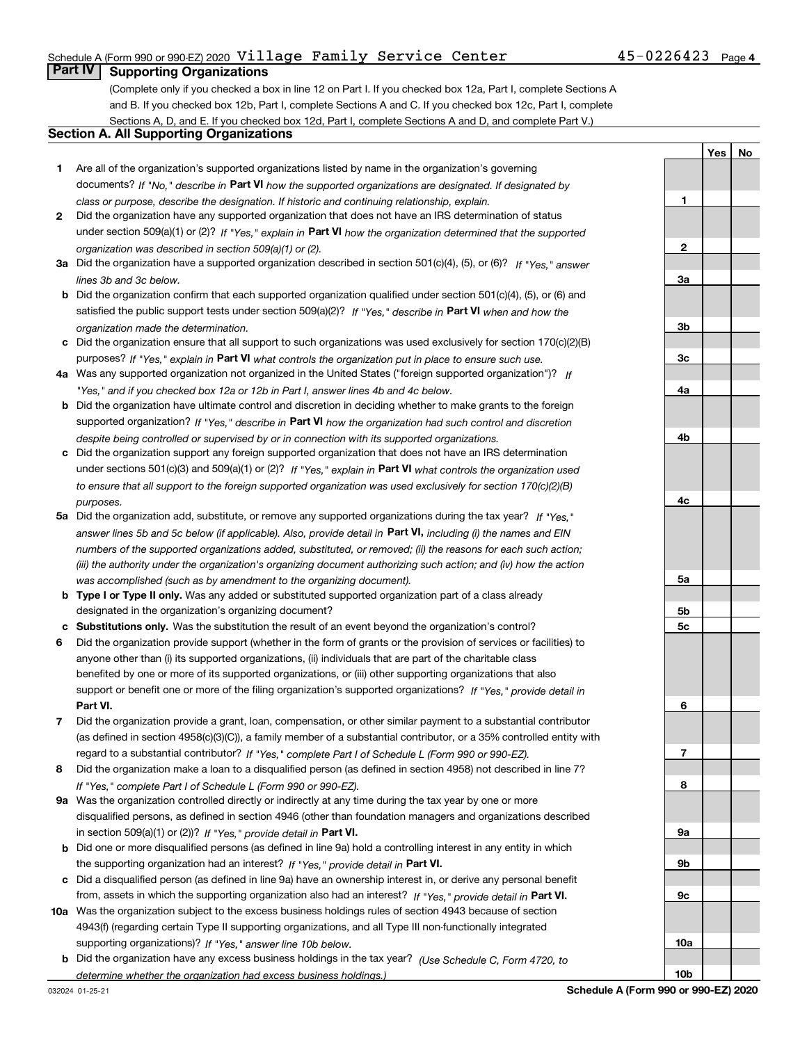#### Schedule A (Form 990 or 990-EZ) 2020  $\verb|Village|$   $\verb|Family|$   $\verb|Service|$   $\verb|Center|$   $\verb|45-0226423|$   $\verb|Page|$

#### **Part IV Supporting Organizations**

(Complete only if you checked a box in line 12 on Part I. If you checked box 12a, Part I, complete Sections A and B. If you checked box 12b, Part I, complete Sections A and C. If you checked box 12c, Part I, complete Sections A, D, and E. If you checked box 12d, Part I, complete Sections A and D, and complete Part V.)

#### **Section A. All Supporting Organizations**

- **1** Are all of the organization's supported organizations listed by name in the organization's governing documents? If "No," describe in **Part VI** how the supported organizations are designated. If designated by *class or purpose, describe the designation. If historic and continuing relationship, explain.*
- **2** Did the organization have any supported organization that does not have an IRS determination of status under section 509(a)(1) or (2)? If "Yes," explain in Part VI how the organization determined that the supported *organization was described in section 509(a)(1) or (2).*
- **3a** Did the organization have a supported organization described in section 501(c)(4), (5), or (6)? If "Yes," answer *lines 3b and 3c below.*
- **b** Did the organization confirm that each supported organization qualified under section 501(c)(4), (5), or (6) and satisfied the public support tests under section 509(a)(2)? If "Yes," describe in **Part VI** when and how the *organization made the determination.*
- **c**Did the organization ensure that all support to such organizations was used exclusively for section 170(c)(2)(B) purposes? If "Yes," explain in **Part VI** what controls the organization put in place to ensure such use.
- **4a***If* Was any supported organization not organized in the United States ("foreign supported organization")? *"Yes," and if you checked box 12a or 12b in Part I, answer lines 4b and 4c below.*
- **b** Did the organization have ultimate control and discretion in deciding whether to make grants to the foreign supported organization? If "Yes," describe in **Part VI** how the organization had such control and discretion *despite being controlled or supervised by or in connection with its supported organizations.*
- **c** Did the organization support any foreign supported organization that does not have an IRS determination under sections 501(c)(3) and 509(a)(1) or (2)? If "Yes," explain in **Part VI** what controls the organization used *to ensure that all support to the foreign supported organization was used exclusively for section 170(c)(2)(B) purposes.*
- **5a***If "Yes,"* Did the organization add, substitute, or remove any supported organizations during the tax year? answer lines 5b and 5c below (if applicable). Also, provide detail in **Part VI,** including (i) the names and EIN *numbers of the supported organizations added, substituted, or removed; (ii) the reasons for each such action; (iii) the authority under the organization's organizing document authorizing such action; and (iv) how the action was accomplished (such as by amendment to the organizing document).*
- **b** Type I or Type II only. Was any added or substituted supported organization part of a class already designated in the organization's organizing document?
- **cSubstitutions only.**  Was the substitution the result of an event beyond the organization's control?
- **6** Did the organization provide support (whether in the form of grants or the provision of services or facilities) to **Part VI.** *If "Yes," provide detail in* support or benefit one or more of the filing organization's supported organizations? anyone other than (i) its supported organizations, (ii) individuals that are part of the charitable class benefited by one or more of its supported organizations, or (iii) other supporting organizations that also
- **7**Did the organization provide a grant, loan, compensation, or other similar payment to a substantial contributor *If "Yes," complete Part I of Schedule L (Form 990 or 990-EZ).* regard to a substantial contributor? (as defined in section 4958(c)(3)(C)), a family member of a substantial contributor, or a 35% controlled entity with
- **8** Did the organization make a loan to a disqualified person (as defined in section 4958) not described in line 7? *If "Yes," complete Part I of Schedule L (Form 990 or 990-EZ).*
- **9a** Was the organization controlled directly or indirectly at any time during the tax year by one or more in section 509(a)(1) or (2))? If "Yes," *provide detail in* <code>Part VI.</code> disqualified persons, as defined in section 4946 (other than foundation managers and organizations described
- **b** Did one or more disqualified persons (as defined in line 9a) hold a controlling interest in any entity in which the supporting organization had an interest? If "Yes," provide detail in P**art VI**.
- **c**Did a disqualified person (as defined in line 9a) have an ownership interest in, or derive any personal benefit from, assets in which the supporting organization also had an interest? If "Yes," provide detail in P**art VI.**
- **10a** Was the organization subject to the excess business holdings rules of section 4943 because of section supporting organizations)? If "Yes," answer line 10b below. 4943(f) (regarding certain Type II supporting organizations, and all Type III non-functionally integrated
- **b** Did the organization have any excess business holdings in the tax year? (Use Schedule C, Form 4720, to *determine whether the organization had excess business holdings.)*

032024 01-25-21

**YesNo**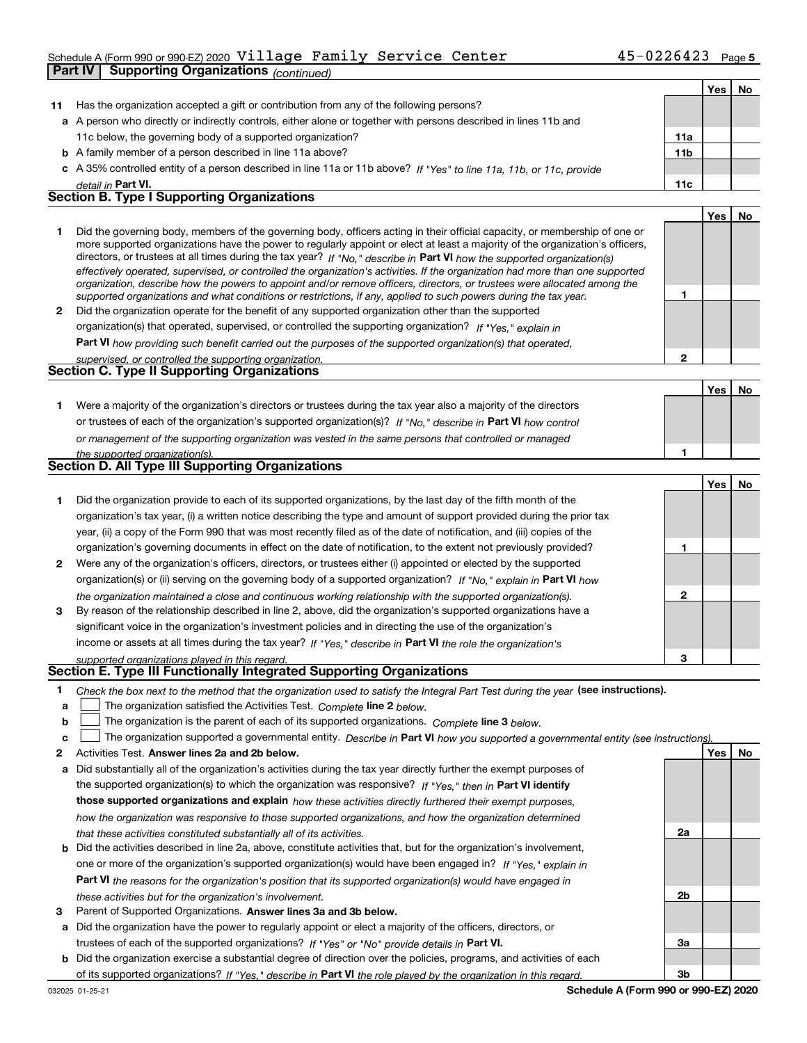#### Schedule A (Form 990 or 990-EZ) 2020  $\verb|Village|$   $\verb|Family|$   $\verb|Service|$   $\verb|Center|$   $\verb|45-0226423|$   $\verb|Page|$

|    | <b>Supporting Organizations (continued)</b><br>Part IV                                                                                                                                                                                                    |                |            |    |
|----|-----------------------------------------------------------------------------------------------------------------------------------------------------------------------------------------------------------------------------------------------------------|----------------|------------|----|
|    |                                                                                                                                                                                                                                                           |                | <b>Yes</b> | No |
| 11 | Has the organization accepted a gift or contribution from any of the following persons?                                                                                                                                                                   |                |            |    |
|    | a A person who directly or indirectly controls, either alone or together with persons described in lines 11b and                                                                                                                                          |                |            |    |
|    | 11c below, the governing body of a supported organization?                                                                                                                                                                                                | 11a            |            |    |
|    | <b>b</b> A family member of a person described in line 11a above?                                                                                                                                                                                         | <b>11b</b>     |            |    |
|    | A 35% controlled entity of a person described in line 11a or 11b above? If "Yes" to line 11a, 11b, or 11c, provide                                                                                                                                        |                |            |    |
|    | detail in Part VI.                                                                                                                                                                                                                                        | 11c            |            |    |
|    | <b>Section B. Type I Supporting Organizations</b>                                                                                                                                                                                                         |                |            |    |
|    |                                                                                                                                                                                                                                                           |                | Yes        | No |
| 1  | Did the governing body, members of the governing body, officers acting in their official capacity, or membership of one or                                                                                                                                |                |            |    |
|    | more supported organizations have the power to regularly appoint or elect at least a majority of the organization's officers,                                                                                                                             |                |            |    |
|    | directors, or trustees at all times during the tax year? If "No," describe in Part VI how the supported organization(s)<br>effectively operated, supervised, or controlled the organization's activities. If the organization had more than one supported |                |            |    |
|    | organization, describe how the powers to appoint and/or remove officers, directors, or trustees were allocated among the                                                                                                                                  |                |            |    |
|    | supported organizations and what conditions or restrictions, if any, applied to such powers during the tax year.                                                                                                                                          | 1              |            |    |
| 2  | Did the organization operate for the benefit of any supported organization other than the supported                                                                                                                                                       |                |            |    |
|    | organization(s) that operated, supervised, or controlled the supporting organization? If "Yes," explain in                                                                                                                                                |                |            |    |
|    | Part VI how providing such benefit carried out the purposes of the supported organization(s) that operated,                                                                                                                                               |                |            |    |
|    | supervised, or controlled the supporting organization.                                                                                                                                                                                                    | $\overline{2}$ |            |    |
|    | <b>Section C. Type II Supporting Organizations</b>                                                                                                                                                                                                        |                |            |    |
|    |                                                                                                                                                                                                                                                           |                | Yes        | No |
| 1. | Were a majority of the organization's directors or trustees during the tax year also a majority of the directors                                                                                                                                          |                |            |    |
|    | or trustees of each of the organization's supported organization(s)? If "No," describe in Part VI how control                                                                                                                                             |                |            |    |
|    | or management of the supporting organization was vested in the same persons that controlled or managed                                                                                                                                                    |                |            |    |
|    | the supported organization(s).                                                                                                                                                                                                                            | 1              |            |    |
|    | Section D. All Type III Supporting Organizations                                                                                                                                                                                                          |                |            |    |
|    |                                                                                                                                                                                                                                                           |                | Yes        | No |
| 1. | Did the organization provide to each of its supported organizations, by the last day of the fifth month of the                                                                                                                                            |                |            |    |
|    | organization's tax year, (i) a written notice describing the type and amount of support provided during the prior tax                                                                                                                                     |                |            |    |
|    | year, (ii) a copy of the Form 990 that was most recently filed as of the date of notification, and (iii) copies of the                                                                                                                                    |                |            |    |
|    | organization's governing documents in effect on the date of notification, to the extent not previously provided?                                                                                                                                          | 1              |            |    |
| 2  | Were any of the organization's officers, directors, or trustees either (i) appointed or elected by the supported                                                                                                                                          |                |            |    |
|    | organization(s) or (ii) serving on the governing body of a supported organization? If "No," explain in Part VI how                                                                                                                                        |                |            |    |
|    | the organization maintained a close and continuous working relationship with the supported organization(s).                                                                                                                                               | $\mathbf{2}$   |            |    |
| 3  | By reason of the relationship described in line 2, above, did the organization's supported organizations have a                                                                                                                                           |                |            |    |
|    | significant voice in the organization's investment policies and in directing the use of the organization's                                                                                                                                                |                |            |    |
|    | income or assets at all times during the tax year? If "Yes," describe in Part VI the role the organization's                                                                                                                                              |                |            |    |
|    | supported organizations played in this regard.                                                                                                                                                                                                            | 3              |            |    |
|    | Section E. Type III Functionally Integrated Supporting Organizations                                                                                                                                                                                      |                |            |    |
| 1. | Check the box next to the method that the organization used to satisfy the Integral Part Test during the year (see instructions).                                                                                                                         |                |            |    |
| a  | The organization satisfied the Activities Test. Complete line 2 below.                                                                                                                                                                                    |                |            |    |
| b  | The organization is the parent of each of its supported organizations. Complete line 3 below.                                                                                                                                                             |                |            |    |
| c  | The organization supported a governmental entity. Describe in Part VI how you supported a governmental entity (see instructions)                                                                                                                          |                |            |    |

- **2Answer lines 2a and 2b below. Yes No** Activities Test.
- **a** Did substantially all of the organization's activities during the tax year directly further the exempt purposes of **b** Did the activities described in line 2a, above, constitute activities that, but for the organization's involvement, the supported organization(s) to which the organization was responsive? If "Yes," then in **Part VI identify those supported organizations and explain**  *how these activities directly furthered their exempt purposes, how the organization was responsive to those supported organizations, and how the organization determined that these activities constituted substantially all of its activities.*
- **Part VI**  *the reasons for the organization's position that its supported organization(s) would have engaged in* one or more of the organization's supported organization(s) would have been engaged in? If "Yes," e*xplain in these activities but for the organization's involvement.*
- **3** Parent of Supported Organizations. Answer lines 3a and 3b below.

**a** Did the organization have the power to regularly appoint or elect a majority of the officers, directors, or trustees of each of the supported organizations? If "Yes" or "No" provide details in **Part VI.** 

**b** Did the organization exercise a substantial degree of direction over the policies, programs, and activities of each of its supported organizations? If "Yes," describe in Part VI the role played by the organization in this regard.

**2a**

**2b**

**3a**

**3b**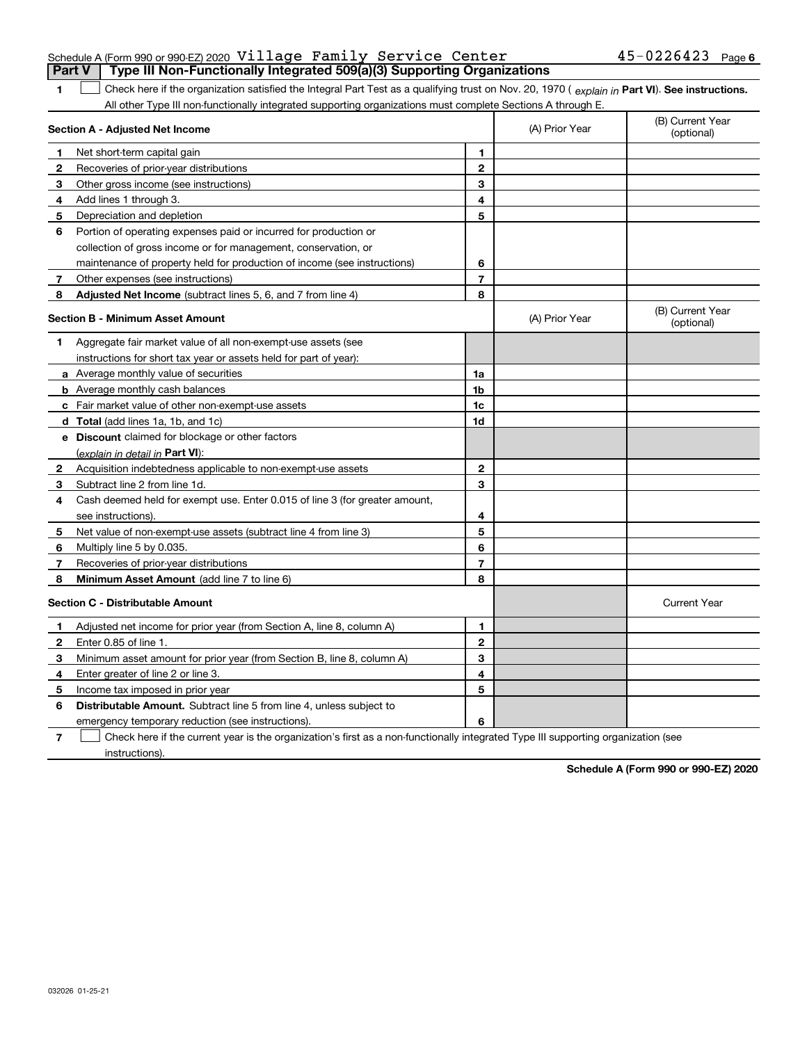| Schedule A (Form 990 or 990 EZ) 2020 $\,$ Village $\,$ Family $\,$ Service <code>Center</code> |  |  | $45 - 0226423$ Page 6 |  |
|------------------------------------------------------------------------------------------------|--|--|-----------------------|--|
| Part V   Type III Non-Functionally Integrated 509(a)(3) Supporting Organizations               |  |  |                       |  |

1 Check here if the organization satisfied the Integral Part Test as a qualifying trust on Nov. 20, 1970 (explain in Part VI). See instructions. All other Type III non-functionally integrated supporting organizations must complete Sections A through E.

|              | Section A - Adjusted Net Income                                             |                | (A) Prior Year | (B) Current Year<br>(optional) |
|--------------|-----------------------------------------------------------------------------|----------------|----------------|--------------------------------|
| 1            | Net short-term capital gain                                                 | 1              |                |                                |
| $\mathbf{2}$ | Recoveries of prior-year distributions                                      | $\mathbf{2}$   |                |                                |
| 3            | Other gross income (see instructions)                                       | 3              |                |                                |
| 4            | Add lines 1 through 3.                                                      | 4              |                |                                |
| 5            | Depreciation and depletion                                                  | 5              |                |                                |
| 6            | Portion of operating expenses paid or incurred for production or            |                |                |                                |
|              | collection of gross income or for management, conservation, or              |                |                |                                |
|              | maintenance of property held for production of income (see instructions)    | 6              |                |                                |
| 7            | Other expenses (see instructions)                                           | $\overline{7}$ |                |                                |
| 8            | Adjusted Net Income (subtract lines 5, 6, and 7 from line 4)                | 8              |                |                                |
|              | <b>Section B - Minimum Asset Amount</b>                                     |                | (A) Prior Year | (B) Current Year<br>(optional) |
| 1            | Aggregate fair market value of all non-exempt-use assets (see               |                |                |                                |
|              | instructions for short tax year or assets held for part of year):           |                |                |                                |
|              | <b>a</b> Average monthly value of securities                                | 1a             |                |                                |
|              | <b>b</b> Average monthly cash balances                                      | 1 <sub>b</sub> |                |                                |
|              | c Fair market value of other non-exempt-use assets                          | 1c             |                |                                |
|              | <b>d</b> Total (add lines 1a, 1b, and 1c)                                   | 1d             |                |                                |
|              | e Discount claimed for blockage or other factors                            |                |                |                                |
|              | (explain in detail in Part VI):                                             |                |                |                                |
| 2            | Acquisition indebtedness applicable to non-exempt-use assets                | $\mathbf{2}$   |                |                                |
| 3            | Subtract line 2 from line 1d.                                               | 3              |                |                                |
| 4            | Cash deemed held for exempt use. Enter 0.015 of line 3 (for greater amount, |                |                |                                |
|              | see instructions).                                                          | 4              |                |                                |
| 5            | Net value of non-exempt-use assets (subtract line 4 from line 3)            | 5              |                |                                |
| 6            | Multiply line 5 by 0.035.                                                   | 6              |                |                                |
| 7            | Recoveries of prior-year distributions                                      | 7              |                |                                |
| 8            | <b>Minimum Asset Amount</b> (add line 7 to line 6)                          | 8              |                |                                |
|              | <b>Section C - Distributable Amount</b>                                     |                |                | <b>Current Year</b>            |
| 1            | Adjusted net income for prior year (from Section A, line 8, column A)       | 1              |                |                                |
| $\mathbf{2}$ | Enter 0.85 of line 1.                                                       | $\overline{2}$ |                |                                |
| З            | Minimum asset amount for prior year (from Section B, line 8, column A)      | 3              |                |                                |
| 4            | Enter greater of line 2 or line 3.                                          | 4              |                |                                |
| 5            | Income tax imposed in prior year                                            | 5              |                |                                |
| 6            | Distributable Amount. Subtract line 5 from line 4, unless subject to        |                |                |                                |
|              | emergency temporary reduction (see instructions).                           | 6              |                |                                |
|              |                                                                             |                |                |                                |

**7**Check here if the current year is the organization's first as a non-functionally integrated Type III supporting organization (see instructions).

**Schedule A (Form 990 or 990-EZ) 2020**

**1**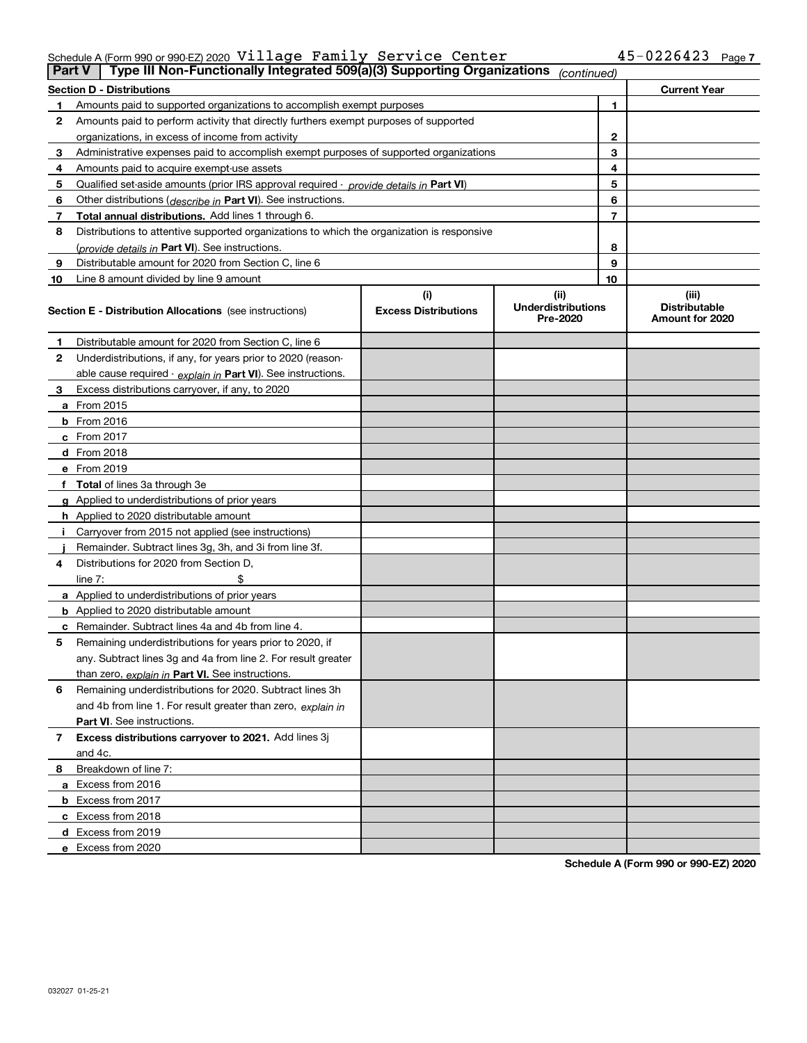#### Schedule A (Form 990 or 990-EZ) 2020  $\verb|Village|$   $\verb|Family|$   $\verb|Service|$   $\verb|Center|$   $\verb|45-0226423|$   $\verb|Page|$

| <b>Part V</b> | Type III Non-Functionally Integrated 509(a)(3) Supporting Organizations                    |                             | (continued)                           |              |                                         |
|---------------|--------------------------------------------------------------------------------------------|-----------------------------|---------------------------------------|--------------|-----------------------------------------|
|               | <b>Section D - Distributions</b>                                                           |                             |                                       |              | <b>Current Year</b>                     |
| 1             | Amounts paid to supported organizations to accomplish exempt purposes                      |                             |                                       | 1            |                                         |
| 2             | Amounts paid to perform activity that directly furthers exempt purposes of supported       |                             |                                       |              |                                         |
|               | organizations, in excess of income from activity                                           |                             |                                       | $\mathbf{2}$ |                                         |
| 3             | Administrative expenses paid to accomplish exempt purposes of supported organizations      |                             |                                       | 3            |                                         |
| 4             | Amounts paid to acquire exempt-use assets                                                  |                             |                                       | 4            |                                         |
| 5             | Qualified set-aside amounts (prior IRS approval required - provide details in Part VI)     |                             |                                       | 5            |                                         |
| 6             | Other distributions ( <i>describe in</i> Part VI). See instructions.                       |                             |                                       | 6            |                                         |
| 7             | Total annual distributions. Add lines 1 through 6.                                         |                             |                                       | 7            |                                         |
| 8             | Distributions to attentive supported organizations to which the organization is responsive |                             |                                       |              |                                         |
|               | (provide details in Part VI). See instructions.                                            |                             |                                       | 8            |                                         |
| 9             | Distributable amount for 2020 from Section C, line 6                                       |                             |                                       | 9            |                                         |
| 10            | Line 8 amount divided by line 9 amount                                                     |                             |                                       | 10           |                                         |
|               |                                                                                            | (i)                         | (ii)                                  |              | (iii)                                   |
|               | Section E - Distribution Allocations (see instructions)                                    | <b>Excess Distributions</b> | <b>Underdistributions</b><br>Pre-2020 |              | <b>Distributable</b><br>Amount for 2020 |
| 1             | Distributable amount for 2020 from Section C, line 6                                       |                             |                                       |              |                                         |
| 2             | Underdistributions, if any, for years prior to 2020 (reason-                               |                             |                                       |              |                                         |
|               | able cause required - explain in Part VI). See instructions.                               |                             |                                       |              |                                         |
| 3             | Excess distributions carryover, if any, to 2020                                            |                             |                                       |              |                                         |
|               | <b>a</b> From 2015                                                                         |                             |                                       |              |                                         |
|               | <b>b</b> From 2016                                                                         |                             |                                       |              |                                         |
|               | c From 2017                                                                                |                             |                                       |              |                                         |
|               | <b>d</b> From 2018                                                                         |                             |                                       |              |                                         |
|               | e From 2019                                                                                |                             |                                       |              |                                         |
|               | f Total of lines 3a through 3e                                                             |                             |                                       |              |                                         |
|               | g Applied to underdistributions of prior years                                             |                             |                                       |              |                                         |
|               | <b>h</b> Applied to 2020 distributable amount                                              |                             |                                       |              |                                         |
|               | Carryover from 2015 not applied (see instructions)                                         |                             |                                       |              |                                         |
|               | Remainder. Subtract lines 3g, 3h, and 3i from line 3f.                                     |                             |                                       |              |                                         |
| 4             | Distributions for 2020 from Section D,                                                     |                             |                                       |              |                                         |
|               | line $7:$                                                                                  |                             |                                       |              |                                         |
|               | a Applied to underdistributions of prior years                                             |                             |                                       |              |                                         |
|               | <b>b</b> Applied to 2020 distributable amount                                              |                             |                                       |              |                                         |
|               | c Remainder. Subtract lines 4a and 4b from line 4.                                         |                             |                                       |              |                                         |
| 5             | Remaining underdistributions for years prior to 2020, if                                   |                             |                                       |              |                                         |
|               | any. Subtract lines 3g and 4a from line 2. For result greater                              |                             |                                       |              |                                         |
|               | than zero, explain in Part VI. See instructions.                                           |                             |                                       |              |                                         |
| 6             | Remaining underdistributions for 2020. Subtract lines 3h                                   |                             |                                       |              |                                         |
|               | and 4b from line 1. For result greater than zero, explain in                               |                             |                                       |              |                                         |
|               | Part VI. See instructions.                                                                 |                             |                                       |              |                                         |
| 7             | Excess distributions carryover to 2021. Add lines 3j                                       |                             |                                       |              |                                         |
|               | and 4c.                                                                                    |                             |                                       |              |                                         |
| 8             | Breakdown of line 7:                                                                       |                             |                                       |              |                                         |
|               | a Excess from 2016                                                                         |                             |                                       |              |                                         |
|               | <b>b</b> Excess from 2017                                                                  |                             |                                       |              |                                         |
|               | c Excess from 2018                                                                         |                             |                                       |              |                                         |
|               | d Excess from 2019                                                                         |                             |                                       |              |                                         |
|               | e Excess from 2020                                                                         |                             |                                       |              |                                         |
|               |                                                                                            |                             |                                       |              |                                         |

**Schedule A (Form 990 or 990-EZ) 2020**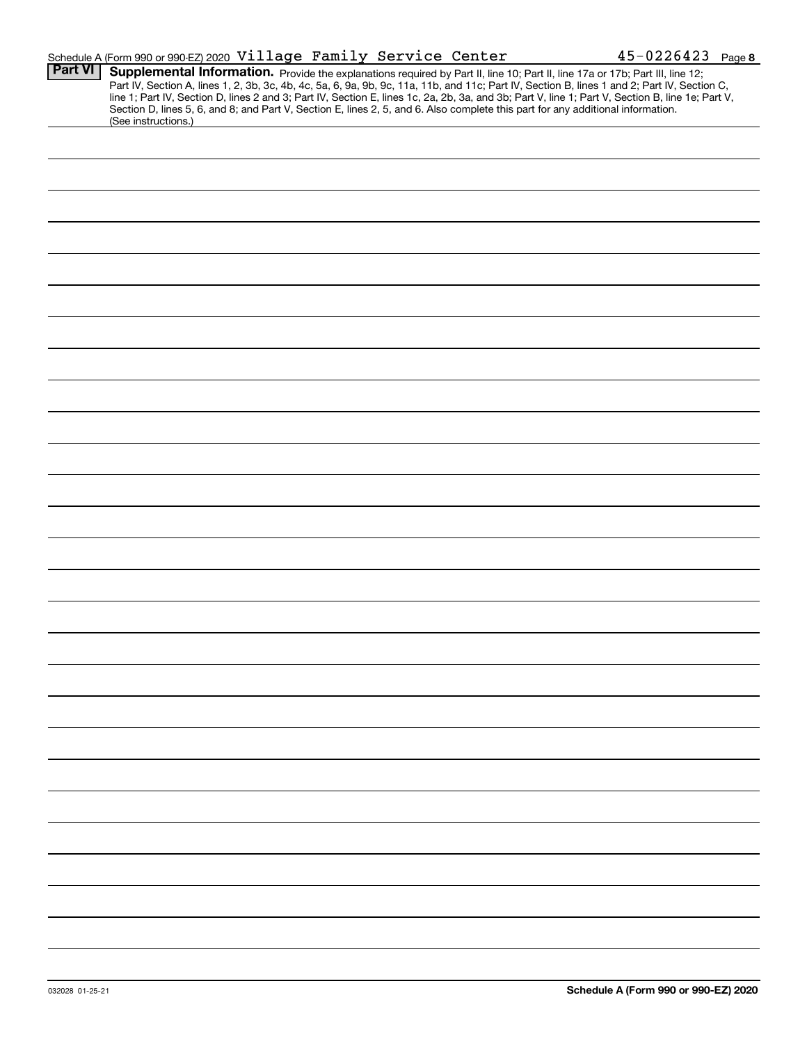|                | Schedule A (Form 990 or 990-EZ) 2020 Village Family Service Center                                                                                                                                                                                                                                                                                                                                                                                                                                                                                                                          |  | $45 - 0226423$ Page 8 |  |
|----------------|---------------------------------------------------------------------------------------------------------------------------------------------------------------------------------------------------------------------------------------------------------------------------------------------------------------------------------------------------------------------------------------------------------------------------------------------------------------------------------------------------------------------------------------------------------------------------------------------|--|-----------------------|--|
| <b>Part VI</b> | Supplemental Information. Provide the explanations required by Part II, line 10; Part II, line 17a or 17b; Part III, line 12;<br>Part IV, Section A, lines 1, 2, 3b, 3c, 4b, 4c, 5a, 6, 9a, 9b, 9c, 11a, 11b, and 11c; Part IV, Section B, lines 1 and 2; Part IV, Section C,<br>line 1; Part IV, Section D, lines 2 and 3; Part IV, Section E, lines 1c, 2a, 2b, 3a, and 3b; Part V, line 1; Part V, Section B, line 1e; Part V,<br>Section D, lines 5, 6, and 8; and Part V, Section E, lines 2, 5, and 6. Also complete this part for any additional information.<br>(See instructions.) |  |                       |  |
|                |                                                                                                                                                                                                                                                                                                                                                                                                                                                                                                                                                                                             |  |                       |  |
|                |                                                                                                                                                                                                                                                                                                                                                                                                                                                                                                                                                                                             |  |                       |  |
|                |                                                                                                                                                                                                                                                                                                                                                                                                                                                                                                                                                                                             |  |                       |  |
|                |                                                                                                                                                                                                                                                                                                                                                                                                                                                                                                                                                                                             |  |                       |  |
|                |                                                                                                                                                                                                                                                                                                                                                                                                                                                                                                                                                                                             |  |                       |  |
|                |                                                                                                                                                                                                                                                                                                                                                                                                                                                                                                                                                                                             |  |                       |  |
|                |                                                                                                                                                                                                                                                                                                                                                                                                                                                                                                                                                                                             |  |                       |  |
|                |                                                                                                                                                                                                                                                                                                                                                                                                                                                                                                                                                                                             |  |                       |  |
|                |                                                                                                                                                                                                                                                                                                                                                                                                                                                                                                                                                                                             |  |                       |  |
|                |                                                                                                                                                                                                                                                                                                                                                                                                                                                                                                                                                                                             |  |                       |  |
|                |                                                                                                                                                                                                                                                                                                                                                                                                                                                                                                                                                                                             |  |                       |  |
|                |                                                                                                                                                                                                                                                                                                                                                                                                                                                                                                                                                                                             |  |                       |  |
|                |                                                                                                                                                                                                                                                                                                                                                                                                                                                                                                                                                                                             |  |                       |  |
|                |                                                                                                                                                                                                                                                                                                                                                                                                                                                                                                                                                                                             |  |                       |  |
|                |                                                                                                                                                                                                                                                                                                                                                                                                                                                                                                                                                                                             |  |                       |  |
|                |                                                                                                                                                                                                                                                                                                                                                                                                                                                                                                                                                                                             |  |                       |  |
|                |                                                                                                                                                                                                                                                                                                                                                                                                                                                                                                                                                                                             |  |                       |  |
|                |                                                                                                                                                                                                                                                                                                                                                                                                                                                                                                                                                                                             |  |                       |  |
|                |                                                                                                                                                                                                                                                                                                                                                                                                                                                                                                                                                                                             |  |                       |  |
|                |                                                                                                                                                                                                                                                                                                                                                                                                                                                                                                                                                                                             |  |                       |  |
|                |                                                                                                                                                                                                                                                                                                                                                                                                                                                                                                                                                                                             |  |                       |  |
|                |                                                                                                                                                                                                                                                                                                                                                                                                                                                                                                                                                                                             |  |                       |  |
|                |                                                                                                                                                                                                                                                                                                                                                                                                                                                                                                                                                                                             |  |                       |  |
|                |                                                                                                                                                                                                                                                                                                                                                                                                                                                                                                                                                                                             |  |                       |  |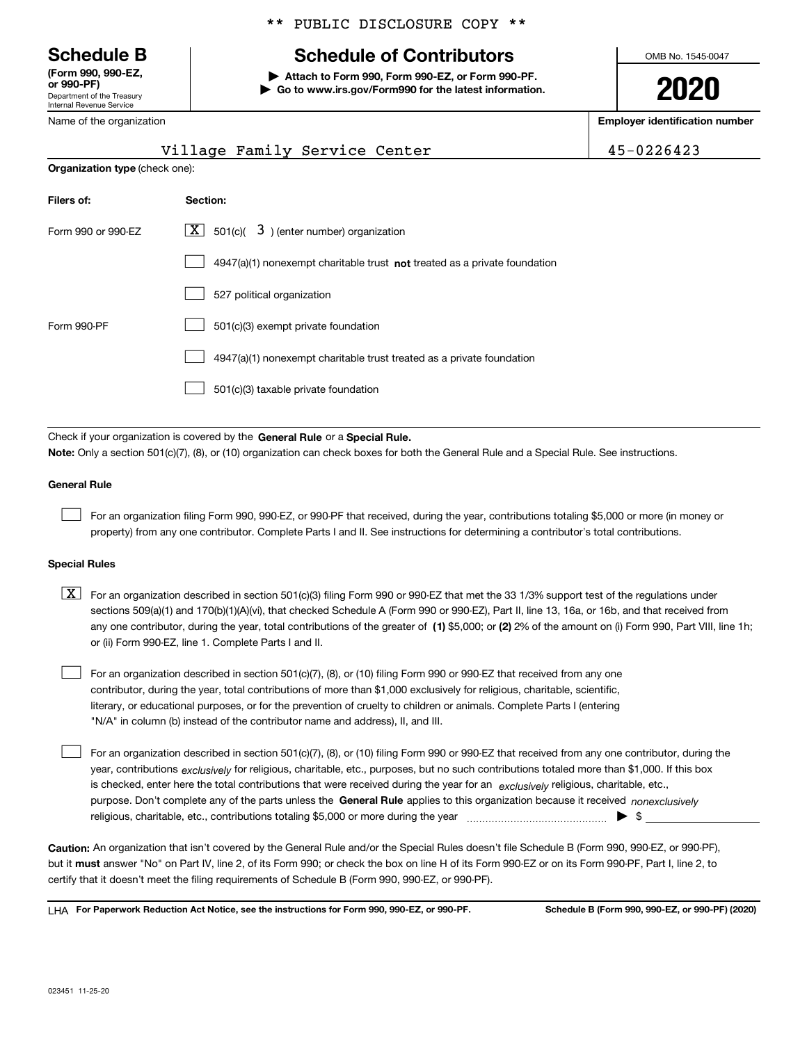Department of the Treasury Internal Revenue Service **(Form 990, 990-EZ, or 990-PF)**

Name of the organization

#### \*\* PUBLIC DISCLOSURE COPY \*\*

### **Schedule B Schedule of Contributors**

**| Attach to Form 990, Form 990-EZ, or Form 990-PF. | Go to www.irs.gov/Form990 for the latest information.** OMB No. 1545-0047

**2020**

**Employer identification number**

|                                       | Village Family Service Center                                                      | 45-0226423 |
|---------------------------------------|------------------------------------------------------------------------------------|------------|
| <b>Organization type (check one):</b> |                                                                                    |            |
| Filers of:                            | Section:                                                                           |            |
| Form 990 or 990-EZ                    | $\lfloor X \rfloor$ 501(c)( $\bar{3}$ ) (enter number) organization                |            |
|                                       | $4947(a)(1)$ nonexempt charitable trust <b>not</b> treated as a private foundation |            |
|                                       | 527 political organization                                                         |            |
| Form 990-PF                           | 501(c)(3) exempt private foundation                                                |            |
|                                       | 4947(a)(1) nonexempt charitable trust treated as a private foundation              |            |
|                                       | 501(c)(3) taxable private foundation                                               |            |

Check if your organization is covered by the **General Rule** or a **Special Rule. Note:**  Only a section 501(c)(7), (8), or (10) organization can check boxes for both the General Rule and a Special Rule. See instructions.

#### **General Rule**

 $\mathcal{L}^{\text{max}}$ 

For an organization filing Form 990, 990-EZ, or 990-PF that received, during the year, contributions totaling \$5,000 or more (in money or property) from any one contributor. Complete Parts I and II. See instructions for determining a contributor's total contributions.

#### **Special Rules**

any one contributor, during the year, total contributions of the greater of  $\,$  (1) \$5,000; or **(2)** 2% of the amount on (i) Form 990, Part VIII, line 1h;  $\boxed{\textbf{X}}$  For an organization described in section 501(c)(3) filing Form 990 or 990-EZ that met the 33 1/3% support test of the regulations under sections 509(a)(1) and 170(b)(1)(A)(vi), that checked Schedule A (Form 990 or 990-EZ), Part II, line 13, 16a, or 16b, and that received from or (ii) Form 990-EZ, line 1. Complete Parts I and II.

For an organization described in section 501(c)(7), (8), or (10) filing Form 990 or 990-EZ that received from any one contributor, during the year, total contributions of more than \$1,000 exclusively for religious, charitable, scientific, literary, or educational purposes, or for the prevention of cruelty to children or animals. Complete Parts I (entering "N/A" in column (b) instead of the contributor name and address), II, and III.  $\mathcal{L}^{\text{max}}$ 

purpose. Don't complete any of the parts unless the **General Rule** applies to this organization because it received *nonexclusively* year, contributions <sub>exclusively</sub> for religious, charitable, etc., purposes, but no such contributions totaled more than \$1,000. If this box is checked, enter here the total contributions that were received during the year for an  $\;$ exclusively religious, charitable, etc., For an organization described in section 501(c)(7), (8), or (10) filing Form 990 or 990-EZ that received from any one contributor, during the religious, charitable, etc., contributions totaling \$5,000 or more during the year  $\Box$ — $\Box$   $\Box$  $\mathcal{L}^{\text{max}}$ 

**Caution:**  An organization that isn't covered by the General Rule and/or the Special Rules doesn't file Schedule B (Form 990, 990-EZ, or 990-PF),  **must** but it answer "No" on Part IV, line 2, of its Form 990; or check the box on line H of its Form 990-EZ or on its Form 990-PF, Part I, line 2, to certify that it doesn't meet the filing requirements of Schedule B (Form 990, 990-EZ, or 990-PF).

**For Paperwork Reduction Act Notice, see the instructions for Form 990, 990-EZ, or 990-PF. Schedule B (Form 990, 990-EZ, or 990-PF) (2020)** LHA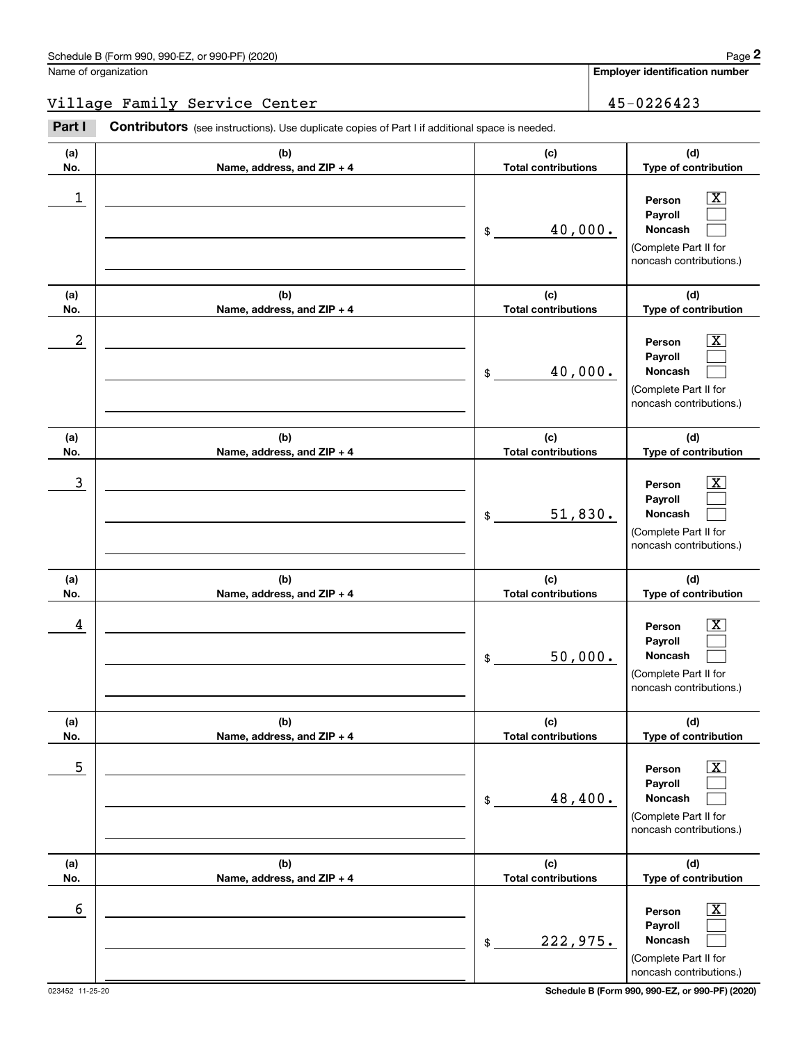**Employer identification number**

**(a)No.(b)Name, address, and ZIP + 4 (c)Total contributions (d)Type of contribution PersonPayrollNoncash (a)No.(b)Name, address, and ZIP + 4 (c)Total contributions (d)Type of contribution PersonPayrollNoncash (a)No.(b)Name, address, and ZIP + 4 (c)Total contributions (d)Type of contribution PersonPayrollNoncash (a) No.(b) Name, address, and ZIP + 4 (c) Total contributions (d) Type of contribution PersonPayrollNoncash (a) No.(b) Name, address, and ZIP + 4 (c) Total contributions (d) Type of contribution PersonPayrollNoncash (a) No.(b)Name, address, and ZIP + 4 (c) Total contributions (d) Type of contribution PersonPayrollNoncash** Contributors (see instructions). Use duplicate copies of Part I if additional space is needed. \$(Complete Part II for noncash contributions.) \$(Complete Part II for noncash contributions.) \$(Complete Part II for noncash contributions.) \$(Complete Part II for noncash contributions.) \$(Complete Part II for noncash contributions.) \$Employer identification Page 2<br>
Jame of organization<br> **2Part I 2Part I Contributors** (see instructions). Use duplicate copies of Part I if additional space is needed.  $|X|$  $\mathcal{L}^{\text{max}}$  $\mathcal{L}^{\text{max}}$  $\boxed{\text{X}}$  $\mathcal{L}^{\text{max}}$  $\mathcal{L}^{\text{max}}$  $|X|$  $\mathcal{L}^{\text{max}}$  $\mathcal{L}^{\text{max}}$  $|X|$  $\mathcal{L}^{\text{max}}$  $\mathcal{L}^{\text{max}}$  $|X|$  $\mathcal{L}^{\text{max}}$  $\mathcal{L}^{\text{max}}$  $\boxed{\text{X}}$  $\mathcal{L}^{\text{max}}$  $\mathcal{L}^{\text{max}}$  $\begin{array}{c|c|c|c|c|c} 1 & \hspace{1.5cm} & \hspace{1.5cm} & \hspace{1.5cm} & \hspace{1.5cm} & \hspace{1.5cm} & \hspace{1.5cm} & \hspace{1.5cm} & \hspace{1.5cm} & \hspace{1.5cm} & \hspace{1.5cm} & \hspace{1.5cm} & \hspace{1.5cm} & \hspace{1.5cm} & \hspace{1.5cm} & \hspace{1.5cm} & \hspace{1.5cm} & \hspace{1.5cm} & \hspace{1.5cm} & \hspace{1.5cm} & \hspace{1.5cm} &$ 40,000.  $2$  | Person  $\overline{\text{X}}$ 40,000.  $\overline{3}$  | Person  $\overline{X}$ 51,830.  $4$  | Person  $\overline{\text{X}}$ 50,000.  $\sim$  5 | Person X 48,400.  $\sim$  6 | Person X 222,975. Village Family Service Center 1992 1994 1994 1994 1996 1997 1998 1999 1994

(Complete Part II for noncash contributions.)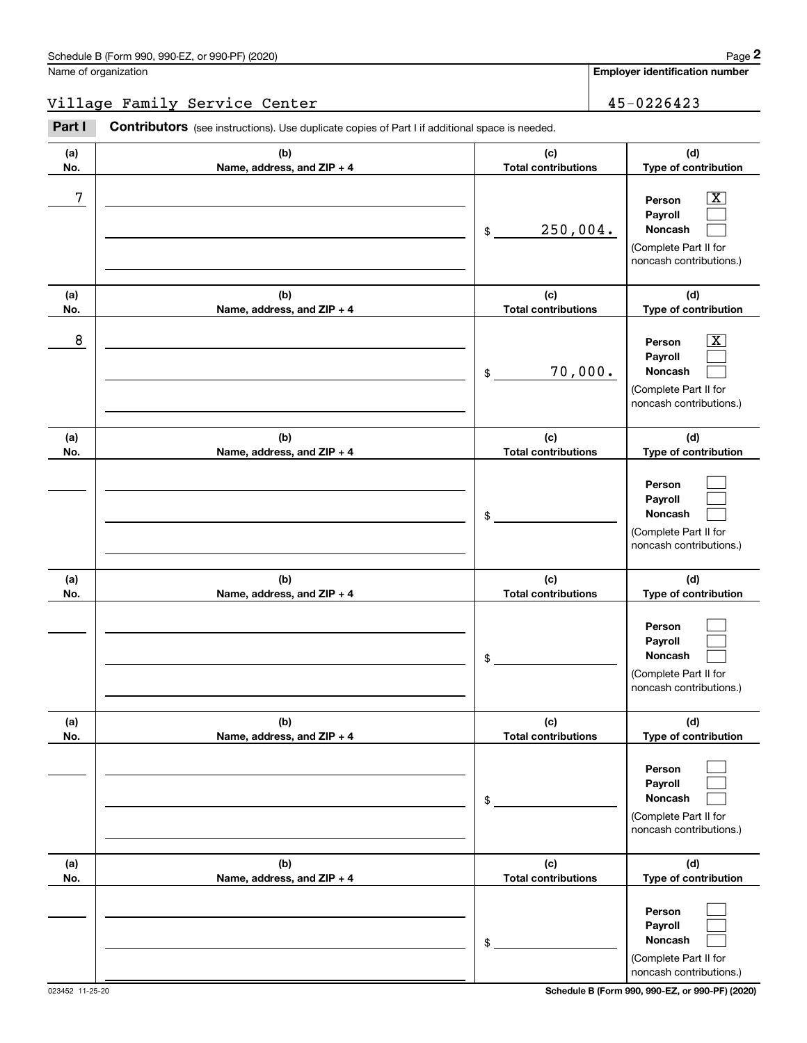**Employer identification number**

#### Village Family Service Center 1992 1994 1994 1994 15-0226423

**(a)No.(b)Name, address, and ZIP + 4 (c)Total contributions (d)Type of contribution PersonPayrollNoncash (a)No.(b)Name, address, and ZIP + 4 (c)Total contributions (d)Type of contribution PersonPayrollNoncash (a)No.(b)Name, address, and ZIP + 4 (c)Total contributions (d)Type of contribution PersonPayrollNoncash (a) No.(b) Name, address, and ZIP + 4 (c) Total contributions (d) Type of contribution PersonPayrollNoncash(a) No.(b) Name, address, and ZIP + 4 (c) Total contributions (d) Type of contribution PersonPayrollNoncash (a) No.(b)Name, address, and ZIP + 4 (c) Total contributions (d) Type of contribution PersonPayrollNoncash** Contributors (see instructions). Use duplicate copies of Part I if additional space is needed. \$(Complete Part II for noncash contributions.) \$(Complete Part II for noncash contributions.) \$(Complete Part II for noncash contributions.) \$(Complete Part II for noncash contributions.) \$(Complete Part II for noncash contributions.) \$(Complete Part II for Employer identification Page 2<br>
Jame of organization<br> **2Part I 2Part I Contributors** (see instructions). Use duplicate copies of Part I if additional space is needed.  $\lceil \text{X} \rceil$  $\mathcal{L}^{\text{max}}$  $\mathcal{L}^{\text{max}}$  $\boxed{\text{X}}$  $\mathcal{L}^{\text{max}}$  $\mathcal{L}^{\text{max}}$  $\mathcal{L}^{\text{max}}$  $\mathcal{L}^{\text{max}}$  $\mathcal{L}^{\text{max}}$  $\mathcal{L}^{\text{max}}$  $\mathcal{L}^{\text{max}}$  $\mathcal{L}^{\text{max}}$  $\mathcal{L}^{\text{max}}$  $\mathcal{L}^{\text{max}}$  $\mathcal{L}^{\text{max}}$  $\mathcal{L}^{\text{max}}$  $\mathcal{L}^{\text{max}}$  $\mathcal{L}^{\text{max}}$ 7 X 250,004. 8 X 70,000.

023452 11-25-20 **Schedule B (Form 990, 990-EZ, or 990-PF) (2020)**

noncash contributions.)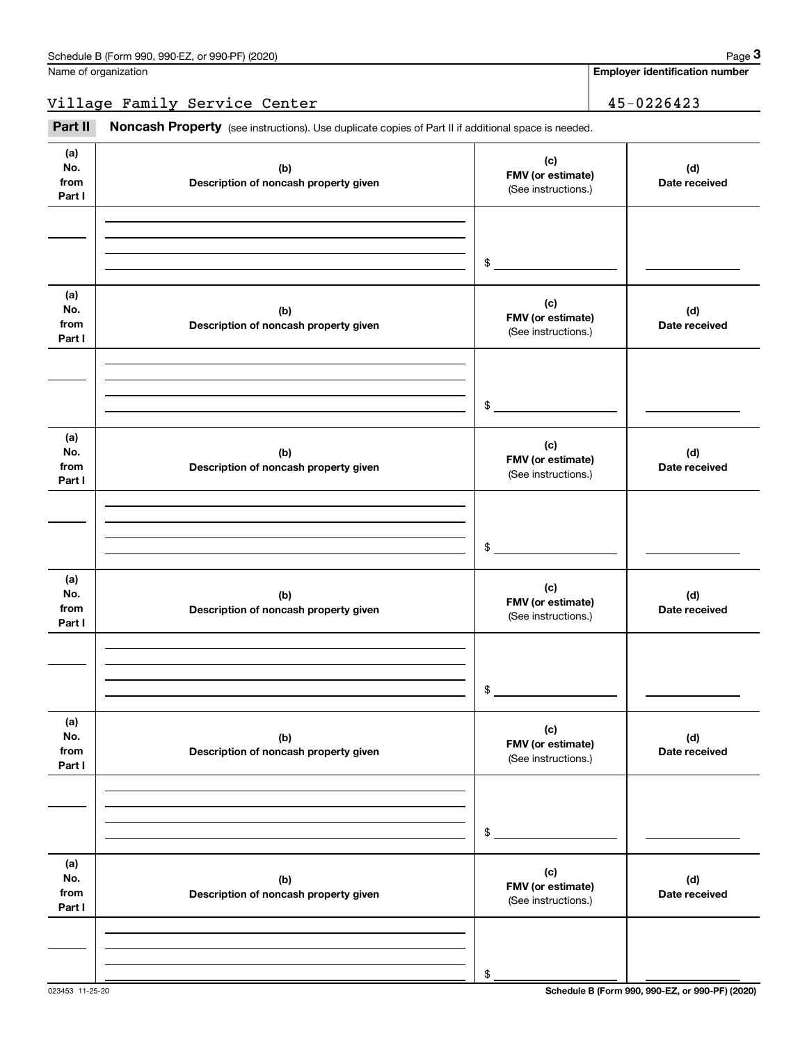Name of organization

**Employer identification number**

Village Family Service Center 45-0226423

Fage 3 Employer identification pumber<br>
Village Family Service Center<br>
Part II **Noncash Property** (see instructions). Use duplicate copies of Part II if additional space is needed.

| (a)<br>No.<br>from<br>Part I | (b)<br>Description of noncash property given | (c)<br>FMV (or estimate)<br>(See instructions.) | (d)<br>Date received |
|------------------------------|----------------------------------------------|-------------------------------------------------|----------------------|
|                              |                                              |                                                 |                      |
|                              |                                              | $\frac{1}{2}$                                   |                      |
| (a)<br>No.<br>from<br>Part I | (b)<br>Description of noncash property given | (c)<br>FMV (or estimate)<br>(See instructions.) | (d)<br>Date received |
|                              |                                              |                                                 |                      |
|                              |                                              | $\frac{1}{2}$                                   |                      |
| (a)<br>No.<br>from<br>Part I | (b)<br>Description of noncash property given | (c)<br>FMV (or estimate)<br>(See instructions.) | (d)<br>Date received |
|                              |                                              |                                                 |                      |
|                              |                                              | $\frac{1}{2}$                                   |                      |
| (a)<br>No.<br>from<br>Part I | (b)<br>Description of noncash property given | (c)<br>FMV (or estimate)<br>(See instructions.) | (d)<br>Date received |
|                              |                                              |                                                 |                      |
|                              |                                              | $$\circ$$                                       |                      |
| (a)<br>No.<br>from<br>Part I | (b)<br>Description of noncash property given | (c)<br>FMV (or estimate)<br>(See instructions.) | (d)<br>Date received |
|                              |                                              |                                                 |                      |
|                              |                                              | \$                                              |                      |
| (a)<br>No.<br>from<br>Part I | (b)<br>Description of noncash property given | (c)<br>FMV (or estimate)<br>(See instructions.) | (d)<br>Date received |
|                              |                                              |                                                 |                      |
|                              |                                              | \$                                              |                      |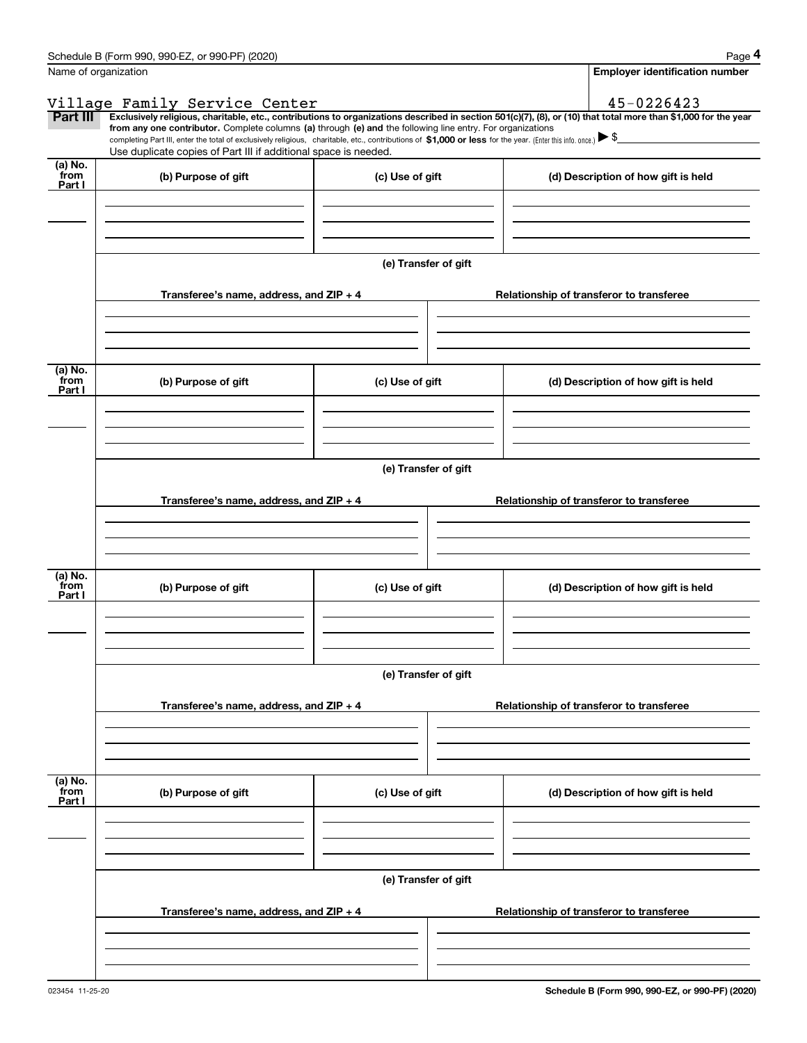|                 | Schedule B (Form 990, 990-EZ, or 990-PF) (2020)                                                                                                                                                                                                                                                 |                 | Page 4                                                                                                                                                         |  |  |  |  |  |  |
|-----------------|-------------------------------------------------------------------------------------------------------------------------------------------------------------------------------------------------------------------------------------------------------------------------------------------------|-----------------|----------------------------------------------------------------------------------------------------------------------------------------------------------------|--|--|--|--|--|--|
|                 | Name of organization                                                                                                                                                                                                                                                                            |                 | <b>Employer identification number</b>                                                                                                                          |  |  |  |  |  |  |
|                 |                                                                                                                                                                                                                                                                                                 |                 | 45-0226423                                                                                                                                                     |  |  |  |  |  |  |
| Part III        | Village Family Service Center                                                                                                                                                                                                                                                                   |                 | Exclusively religious, charitable, etc., contributions to organizations described in section 501(c)(7), (8), or (10) that total more than \$1,000 for the year |  |  |  |  |  |  |
|                 | from any one contributor. Complete columns (a) through (e) and the following line entry. For organizations<br>completing Part III, enter the total of exclusively religious, charitable, etc., contributions of \$1,000 or less for the year. (Enter this info. once.) $\blacktriangleright$ \$ |                 |                                                                                                                                                                |  |  |  |  |  |  |
|                 | Use duplicate copies of Part III if additional space is needed.                                                                                                                                                                                                                                 |                 |                                                                                                                                                                |  |  |  |  |  |  |
| (a) No.<br>from |                                                                                                                                                                                                                                                                                                 |                 |                                                                                                                                                                |  |  |  |  |  |  |
| Part I          | (b) Purpose of gift                                                                                                                                                                                                                                                                             | (c) Use of gift | (d) Description of how gift is held                                                                                                                            |  |  |  |  |  |  |
|                 |                                                                                                                                                                                                                                                                                                 |                 |                                                                                                                                                                |  |  |  |  |  |  |
|                 |                                                                                                                                                                                                                                                                                                 |                 |                                                                                                                                                                |  |  |  |  |  |  |
|                 |                                                                                                                                                                                                                                                                                                 |                 |                                                                                                                                                                |  |  |  |  |  |  |
|                 |                                                                                                                                                                                                                                                                                                 |                 |                                                                                                                                                                |  |  |  |  |  |  |
|                 | (e) Transfer of gift                                                                                                                                                                                                                                                                            |                 |                                                                                                                                                                |  |  |  |  |  |  |
|                 | Transferee's name, address, and ZIP + 4<br>Relationship of transferor to transferee                                                                                                                                                                                                             |                 |                                                                                                                                                                |  |  |  |  |  |  |
|                 |                                                                                                                                                                                                                                                                                                 |                 |                                                                                                                                                                |  |  |  |  |  |  |
|                 |                                                                                                                                                                                                                                                                                                 |                 |                                                                                                                                                                |  |  |  |  |  |  |
|                 |                                                                                                                                                                                                                                                                                                 |                 |                                                                                                                                                                |  |  |  |  |  |  |
| (a) No.         |                                                                                                                                                                                                                                                                                                 |                 |                                                                                                                                                                |  |  |  |  |  |  |
| from<br>Part I  | (b) Purpose of gift                                                                                                                                                                                                                                                                             | (c) Use of gift | (d) Description of how gift is held                                                                                                                            |  |  |  |  |  |  |
|                 |                                                                                                                                                                                                                                                                                                 |                 |                                                                                                                                                                |  |  |  |  |  |  |
|                 |                                                                                                                                                                                                                                                                                                 |                 |                                                                                                                                                                |  |  |  |  |  |  |
|                 |                                                                                                                                                                                                                                                                                                 |                 |                                                                                                                                                                |  |  |  |  |  |  |
|                 | (e) Transfer of gift                                                                                                                                                                                                                                                                            |                 |                                                                                                                                                                |  |  |  |  |  |  |
|                 |                                                                                                                                                                                                                                                                                                 |                 |                                                                                                                                                                |  |  |  |  |  |  |
|                 | Transferee's name, address, and ZIP + 4                                                                                                                                                                                                                                                         |                 | Relationship of transferor to transferee                                                                                                                       |  |  |  |  |  |  |
|                 |                                                                                                                                                                                                                                                                                                 |                 |                                                                                                                                                                |  |  |  |  |  |  |
|                 |                                                                                                                                                                                                                                                                                                 |                 |                                                                                                                                                                |  |  |  |  |  |  |
|                 |                                                                                                                                                                                                                                                                                                 |                 |                                                                                                                                                                |  |  |  |  |  |  |
| (a) No.         |                                                                                                                                                                                                                                                                                                 |                 |                                                                                                                                                                |  |  |  |  |  |  |
| from<br>Part I  | (b) Purpose of gift                                                                                                                                                                                                                                                                             | (c) Use of gift | (d) Description of how gift is held                                                                                                                            |  |  |  |  |  |  |
|                 |                                                                                                                                                                                                                                                                                                 |                 |                                                                                                                                                                |  |  |  |  |  |  |
|                 |                                                                                                                                                                                                                                                                                                 |                 |                                                                                                                                                                |  |  |  |  |  |  |
|                 |                                                                                                                                                                                                                                                                                                 |                 |                                                                                                                                                                |  |  |  |  |  |  |
|                 | (e) Transfer of gift                                                                                                                                                                                                                                                                            |                 |                                                                                                                                                                |  |  |  |  |  |  |
|                 |                                                                                                                                                                                                                                                                                                 |                 |                                                                                                                                                                |  |  |  |  |  |  |
|                 | Transferee's name, address, and ZIP + 4                                                                                                                                                                                                                                                         |                 | Relationship of transferor to transferee                                                                                                                       |  |  |  |  |  |  |
|                 |                                                                                                                                                                                                                                                                                                 |                 |                                                                                                                                                                |  |  |  |  |  |  |
|                 |                                                                                                                                                                                                                                                                                                 |                 |                                                                                                                                                                |  |  |  |  |  |  |
|                 |                                                                                                                                                                                                                                                                                                 |                 |                                                                                                                                                                |  |  |  |  |  |  |
| (a) No.<br>from |                                                                                                                                                                                                                                                                                                 |                 |                                                                                                                                                                |  |  |  |  |  |  |
| Part I          | (b) Purpose of gift                                                                                                                                                                                                                                                                             | (c) Use of gift | (d) Description of how gift is held                                                                                                                            |  |  |  |  |  |  |
|                 |                                                                                                                                                                                                                                                                                                 |                 |                                                                                                                                                                |  |  |  |  |  |  |
|                 |                                                                                                                                                                                                                                                                                                 |                 |                                                                                                                                                                |  |  |  |  |  |  |
|                 |                                                                                                                                                                                                                                                                                                 |                 |                                                                                                                                                                |  |  |  |  |  |  |
|                 | (e) Transfer of gift                                                                                                                                                                                                                                                                            |                 |                                                                                                                                                                |  |  |  |  |  |  |
|                 |                                                                                                                                                                                                                                                                                                 |                 |                                                                                                                                                                |  |  |  |  |  |  |
|                 | Transferee's name, address, and ZIP + 4                                                                                                                                                                                                                                                         |                 | Relationship of transferor to transferee                                                                                                                       |  |  |  |  |  |  |
|                 |                                                                                                                                                                                                                                                                                                 |                 |                                                                                                                                                                |  |  |  |  |  |  |
|                 |                                                                                                                                                                                                                                                                                                 |                 |                                                                                                                                                                |  |  |  |  |  |  |
|                 |                                                                                                                                                                                                                                                                                                 |                 |                                                                                                                                                                |  |  |  |  |  |  |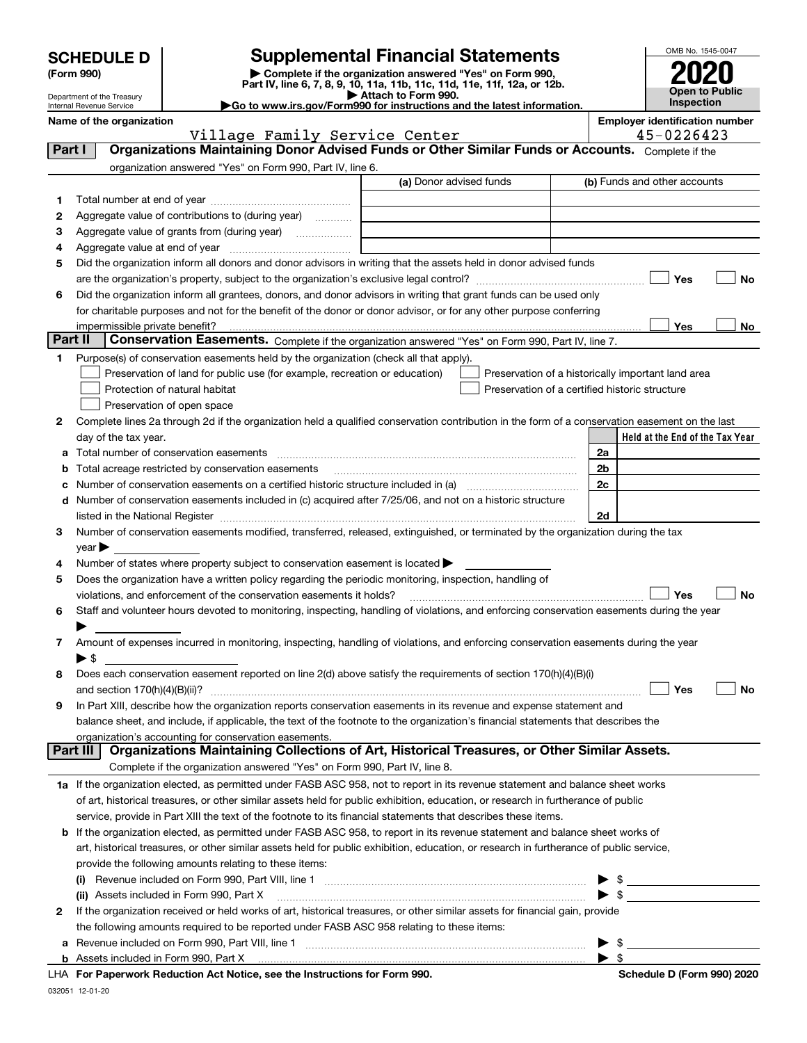| <b>SCHEDULE D</b> |  |
|-------------------|--|
|-------------------|--|

Department of the Treasury Internal Revenue Service

### **SCHEDULE D Supplemental Financial Statements**

(Form 990)<br>
Pepartment of the Treasury<br>
Department of the Treasury<br>
Department of the Treasury<br>
Department of the Treasury<br> **Co to www.irs.gov/Form990 for instructions and the latest information.**<br> **Co to www.irs.gov/Form9** 



|         | Name of the organization<br>Village Family Service Center                                                                                                                                                                                                            |                         | <b>Employer identification number</b><br>45-0226423 |
|---------|----------------------------------------------------------------------------------------------------------------------------------------------------------------------------------------------------------------------------------------------------------------------|-------------------------|-----------------------------------------------------|
| Part I  | Organizations Maintaining Donor Advised Funds or Other Similar Funds or Accounts. Complete if the                                                                                                                                                                    |                         |                                                     |
|         | organization answered "Yes" on Form 990, Part IV, line 6.                                                                                                                                                                                                            |                         |                                                     |
|         |                                                                                                                                                                                                                                                                      | (a) Donor advised funds | (b) Funds and other accounts                        |
| 1       |                                                                                                                                                                                                                                                                      |                         |                                                     |
| 2       | Aggregate value of contributions to (during year)                                                                                                                                                                                                                    |                         |                                                     |
| з       | Aggregate value of grants from (during year)                                                                                                                                                                                                                         |                         |                                                     |
| 4       |                                                                                                                                                                                                                                                                      |                         |                                                     |
| 5       | Did the organization inform all donors and donor advisors in writing that the assets held in donor advised funds                                                                                                                                                     |                         |                                                     |
|         |                                                                                                                                                                                                                                                                      |                         | Yes<br>No                                           |
| 6       | Did the organization inform all grantees, donors, and donor advisors in writing that grant funds can be used only                                                                                                                                                    |                         |                                                     |
|         | for charitable purposes and not for the benefit of the donor or donor advisor, or for any other purpose conferring                                                                                                                                                   |                         |                                                     |
|         |                                                                                                                                                                                                                                                                      |                         | Yes<br>No                                           |
| Part II | Conservation Easements. Complete if the organization answered "Yes" on Form 990, Part IV, line 7.                                                                                                                                                                    |                         |                                                     |
| 1.      | Purpose(s) of conservation easements held by the organization (check all that apply).                                                                                                                                                                                |                         |                                                     |
|         | Preservation of land for public use (for example, recreation or education)                                                                                                                                                                                           |                         | Preservation of a historically important land area  |
|         | Protection of natural habitat                                                                                                                                                                                                                                        |                         | Preservation of a certified historic structure      |
|         | Preservation of open space                                                                                                                                                                                                                                           |                         |                                                     |
| 2       | Complete lines 2a through 2d if the organization held a qualified conservation contribution in the form of a conservation easement on the last                                                                                                                       |                         |                                                     |
|         | day of the tax year.                                                                                                                                                                                                                                                 |                         | Held at the End of the Tax Year                     |
| а       | Total number of conservation easements                                                                                                                                                                                                                               |                         | 2a                                                  |
| b       | Total acreage restricted by conservation easements                                                                                                                                                                                                                   |                         | 2b                                                  |
| с       |                                                                                                                                                                                                                                                                      |                         | 2 <sub>c</sub>                                      |
| d       | Number of conservation easements included in (c) acquired after 7/25/06, and not on a historic structure                                                                                                                                                             |                         |                                                     |
|         |                                                                                                                                                                                                                                                                      |                         | 2d                                                  |
| 3       | Number of conservation easements modified, transferred, released, extinguished, or terminated by the organization during the tax                                                                                                                                     |                         |                                                     |
|         | $year \blacktriangleright$                                                                                                                                                                                                                                           |                         |                                                     |
| 4       | Number of states where property subject to conservation easement is located >                                                                                                                                                                                        |                         |                                                     |
| 5       | Does the organization have a written policy regarding the periodic monitoring, inspection, handling of                                                                                                                                                               |                         |                                                     |
|         | violations, and enforcement of the conservation easements it holds?                                                                                                                                                                                                  |                         | Yes<br><b>No</b>                                    |
| 6       | Staff and volunteer hours devoted to monitoring, inspecting, handling of violations, and enforcing conservation easements during the year                                                                                                                            |                         |                                                     |
|         |                                                                                                                                                                                                                                                                      |                         |                                                     |
| 7       | Amount of expenses incurred in monitoring, inspecting, handling of violations, and enforcing conservation easements during the year                                                                                                                                  |                         |                                                     |
|         | $\blacktriangleright$ \$                                                                                                                                                                                                                                             |                         |                                                     |
| 8       | Does each conservation easement reported on line 2(d) above satisfy the requirements of section 170(h)(4)(B)(i)                                                                                                                                                      |                         |                                                     |
|         |                                                                                                                                                                                                                                                                      |                         | Yes<br>No                                           |
| 9       | In Part XIII, describe how the organization reports conservation easements in its revenue and expense statement and                                                                                                                                                  |                         |                                                     |
|         | balance sheet, and include, if applicable, the text of the footnote to the organization's financial statements that describes the                                                                                                                                    |                         |                                                     |
|         | organization's accounting for conservation easements.<br>Organizations Maintaining Collections of Art, Historical Treasures, or Other Similar Assets.<br>Part III                                                                                                    |                         |                                                     |
|         | Complete if the organization answered "Yes" on Form 990, Part IV, line 8.                                                                                                                                                                                            |                         |                                                     |
|         |                                                                                                                                                                                                                                                                      |                         |                                                     |
|         | 1a If the organization elected, as permitted under FASB ASC 958, not to report in its revenue statement and balance sheet works<br>of art, historical treasures, or other similar assets held for public exhibition, education, or research in furtherance of public |                         |                                                     |
|         |                                                                                                                                                                                                                                                                      |                         |                                                     |
|         | service, provide in Part XIII the text of the footnote to its financial statements that describes these items.                                                                                                                                                       |                         |                                                     |
| b       | If the organization elected, as permitted under FASB ASC 958, to report in its revenue statement and balance sheet works of                                                                                                                                          |                         |                                                     |
|         | art, historical treasures, or other similar assets held for public exhibition, education, or research in furtherance of public service,                                                                                                                              |                         |                                                     |
|         | provide the following amounts relating to these items:                                                                                                                                                                                                               |                         |                                                     |
|         | (i)                                                                                                                                                                                                                                                                  |                         | - \$<br>- \$                                        |
|         | (ii) Assets included in Form 990, Part X                                                                                                                                                                                                                             |                         |                                                     |
| 2       | If the organization received or held works of art, historical treasures, or other similar assets for financial gain, provide                                                                                                                                         |                         |                                                     |
|         | the following amounts required to be reported under FASB ASC 958 relating to these items:                                                                                                                                                                            |                         |                                                     |
| а       |                                                                                                                                                                                                                                                                      |                         | - \$<br>$\blacktriangleright$ \$                    |
|         |                                                                                                                                                                                                                                                                      |                         |                                                     |

**For Paperwork Reduction Act Notice, see the Instructions for Form 990. Schedule D (Form 990) 2020** LHA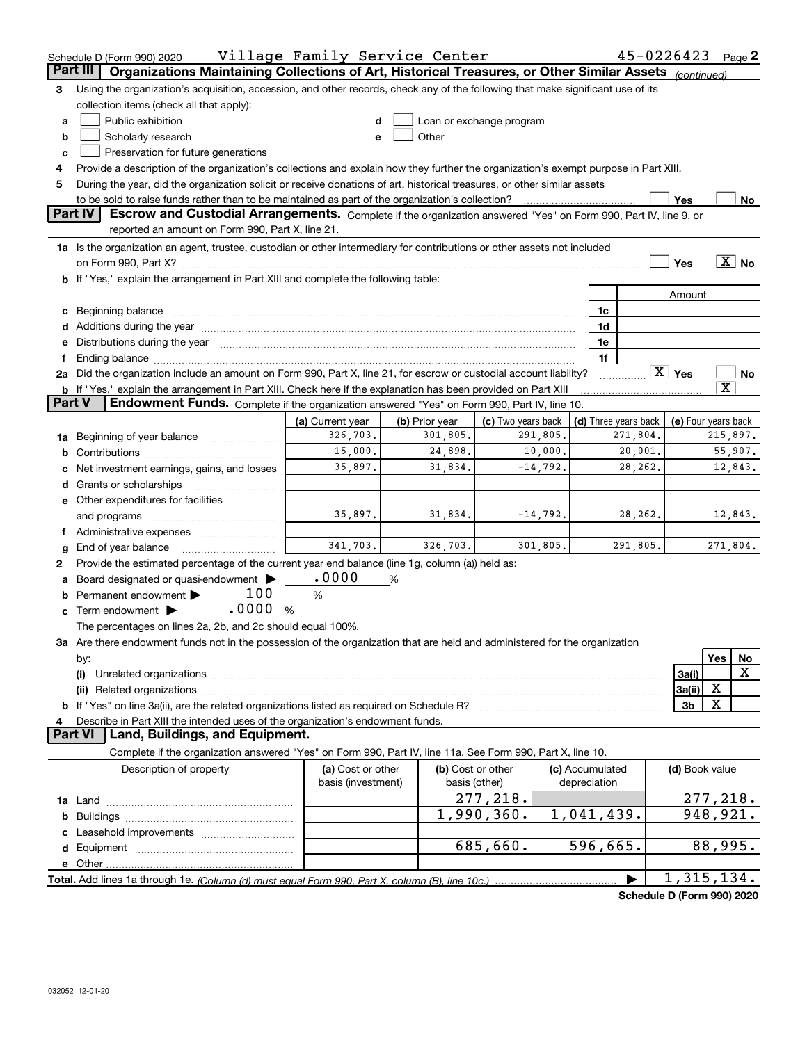|               | Schedule D (Form 990) 2020                                                                                                                                                                                                     | Village Family Service Center |                |                                                                                                                                                                                                                                |            |                      |                                       | 45-0226423             |                       | Page $2$              |  |
|---------------|--------------------------------------------------------------------------------------------------------------------------------------------------------------------------------------------------------------------------------|-------------------------------|----------------|--------------------------------------------------------------------------------------------------------------------------------------------------------------------------------------------------------------------------------|------------|----------------------|---------------------------------------|------------------------|-----------------------|-----------------------|--|
| Part III      | Organizations Maintaining Collections of Art, Historical Treasures, or Other Similar Assets (continued)                                                                                                                        |                               |                |                                                                                                                                                                                                                                |            |                      |                                       |                        |                       |                       |  |
| 3             | Using the organization's acquisition, accession, and other records, check any of the following that make significant use of its                                                                                                |                               |                |                                                                                                                                                                                                                                |            |                      |                                       |                        |                       |                       |  |
|               | collection items (check all that apply):                                                                                                                                                                                       |                               |                |                                                                                                                                                                                                                                |            |                      |                                       |                        |                       |                       |  |
| a             | Public exhibition                                                                                                                                                                                                              | d                             |                | Loan or exchange program                                                                                                                                                                                                       |            |                      |                                       |                        |                       |                       |  |
| b             | Scholarly research                                                                                                                                                                                                             | e                             |                | Other the contract of the contract of the contract of the contract of the contract of the contract of the contract of the contract of the contract of the contract of the contract of the contract of the contract of the cont |            |                      |                                       |                        |                       |                       |  |
| c             | Preservation for future generations                                                                                                                                                                                            |                               |                |                                                                                                                                                                                                                                |            |                      |                                       |                        |                       |                       |  |
| 4             | Provide a description of the organization's collections and explain how they further the organization's exempt purpose in Part XIII.                                                                                           |                               |                |                                                                                                                                                                                                                                |            |                      |                                       |                        |                       |                       |  |
| 5             | During the year, did the organization solicit or receive donations of art, historical treasures, or other similar assets                                                                                                       |                               |                |                                                                                                                                                                                                                                |            |                      |                                       |                        |                       |                       |  |
|               | to be sold to raise funds rather than to be maintained as part of the organization's collection?<br>Yes<br>No                                                                                                                  |                               |                |                                                                                                                                                                                                                                |            |                      |                                       |                        |                       |                       |  |
|               | Part IV<br>Escrow and Custodial Arrangements. Complete if the organization answered "Yes" on Form 990, Part IV, line 9, or                                                                                                     |                               |                |                                                                                                                                                                                                                                |            |                      |                                       |                        |                       |                       |  |
|               | reported an amount on Form 990, Part X, line 21.                                                                                                                                                                               |                               |                |                                                                                                                                                                                                                                |            |                      |                                       |                        |                       |                       |  |
|               | 1a Is the organization an agent, trustee, custodian or other intermediary for contributions or other assets not included                                                                                                       |                               |                |                                                                                                                                                                                                                                |            |                      |                                       |                        |                       |                       |  |
|               |                                                                                                                                                                                                                                |                               |                |                                                                                                                                                                                                                                |            |                      |                                       | Yes                    |                       | $\boxed{\text{X}}$ No |  |
|               | b If "Yes," explain the arrangement in Part XIII and complete the following table:                                                                                                                                             |                               |                |                                                                                                                                                                                                                                |            |                      |                                       |                        |                       |                       |  |
|               |                                                                                                                                                                                                                                |                               |                |                                                                                                                                                                                                                                |            |                      |                                       | Amount                 |                       |                       |  |
|               | c Beginning balance                                                                                                                                                                                                            |                               |                |                                                                                                                                                                                                                                |            | 1c                   |                                       |                        |                       |                       |  |
|               |                                                                                                                                                                                                                                |                               |                |                                                                                                                                                                                                                                |            | 1d                   |                                       |                        |                       |                       |  |
|               | e Distributions during the year manufactured and continuum and contact the year manufactured and contact the year manufactured and contact the year manufactured and contact the year manufactured and contact the year manufa |                               |                |                                                                                                                                                                                                                                |            | 1e                   |                                       |                        |                       |                       |  |
|               |                                                                                                                                                                                                                                |                               |                |                                                                                                                                                                                                                                |            | 1f                   |                                       |                        |                       |                       |  |
|               | 2a Did the organization include an amount on Form 990, Part X, line 21, for escrow or custodial account liability?                                                                                                             |                               |                |                                                                                                                                                                                                                                |            |                      |                                       | $\boxed{\text{X}}$ Yes |                       | No                    |  |
|               | b If "Yes," explain the arrangement in Part XIII. Check here if the explanation has been provided on Part XIII                                                                                                                 |                               |                |                                                                                                                                                                                                                                |            |                      |                                       |                        | $\overline{\text{X}}$ |                       |  |
| <b>Part V</b> | Endowment Funds. Complete if the organization answered "Yes" on Form 990, Part IV, line 10.                                                                                                                                    |                               |                |                                                                                                                                                                                                                                |            |                      |                                       |                        |                       |                       |  |
|               |                                                                                                                                                                                                                                | (a) Current year              | (b) Prior year | (c) Two years back                                                                                                                                                                                                             |            | (d) Three years back |                                       | (e) Four years back    |                       |                       |  |
| 1a            | Beginning of year balance                                                                                                                                                                                                      | 326,703.                      | 301,805.       |                                                                                                                                                                                                                                | 291,805.   |                      | 271,804.                              |                        | 215,897.              |                       |  |
| b             |                                                                                                                                                                                                                                | 15,000.                       | 24,898.        |                                                                                                                                                                                                                                | 10,000.    |                      | 20,001.                               |                        |                       | 55,907.               |  |
|               | Net investment earnings, gains, and losses                                                                                                                                                                                     | 35,897.                       | 31,834.        |                                                                                                                                                                                                                                | $-14,792.$ |                      | 28,262.                               |                        |                       | 12,843.               |  |
| d             | Grants or scholarships                                                                                                                                                                                                         |                               |                |                                                                                                                                                                                                                                |            |                      |                                       |                        |                       |                       |  |
|               | e Other expenditures for facilities                                                                                                                                                                                            |                               |                |                                                                                                                                                                                                                                |            |                      |                                       |                        |                       |                       |  |
|               | and programs                                                                                                                                                                                                                   | 35,897.                       | 31,834.        |                                                                                                                                                                                                                                | $-14,792.$ |                      | 28,262.                               |                        |                       | 12,843.               |  |
|               | Administrative expenses <i>manually communication</i>                                                                                                                                                                          |                               |                |                                                                                                                                                                                                                                |            |                      |                                       |                        |                       |                       |  |
| g             | End of year balance                                                                                                                                                                                                            | 341,703.                      | 326,703.       |                                                                                                                                                                                                                                | 301,805.   |                      | 291,805.                              |                        | 271,804.              |                       |  |
| 2             | Provide the estimated percentage of the current year end balance (line 1g, column (a)) held as:                                                                                                                                |                               |                |                                                                                                                                                                                                                                |            |                      |                                       |                        |                       |                       |  |
|               | Board designated or quasi-endowment                                                                                                                                                                                            | .0000                         | %              |                                                                                                                                                                                                                                |            |                      |                                       |                        |                       |                       |  |
| b             | 100<br>Permanent endowment >                                                                                                                                                                                                   | %                             |                |                                                                                                                                                                                                                                |            |                      |                                       |                        |                       |                       |  |
| c             | .0000%<br>Term endowment $\blacktriangleright$                                                                                                                                                                                 |                               |                |                                                                                                                                                                                                                                |            |                      |                                       |                        |                       |                       |  |
|               | The percentages on lines 2a, 2b, and 2c should equal 100%.                                                                                                                                                                     |                               |                |                                                                                                                                                                                                                                |            |                      |                                       |                        |                       |                       |  |
|               | 3a Are there endowment funds not in the possession of the organization that are held and administered for the organization                                                                                                     |                               |                |                                                                                                                                                                                                                                |            |                      |                                       |                        |                       |                       |  |
|               | by:                                                                                                                                                                                                                            |                               |                |                                                                                                                                                                                                                                |            |                      |                                       |                        | Yes                   | No                    |  |
|               | (i)                                                                                                                                                                                                                            |                               |                |                                                                                                                                                                                                                                |            |                      |                                       | 3a(i)                  |                       | x                     |  |
|               |                                                                                                                                                                                                                                |                               |                |                                                                                                                                                                                                                                |            |                      |                                       | 3a(ii)                 | х                     |                       |  |
|               | b If "Yes" on line 3a(ii), are the related organizations listed as required on Schedule R? [[[[[[[[[[[[[[[[[[                                                                                                                  |                               |                |                                                                                                                                                                                                                                |            |                      |                                       | 3 <sub>b</sub>         | Χ                     |                       |  |
| 4             | Describe in Part XIII the intended uses of the organization's endowment funds.                                                                                                                                                 |                               |                |                                                                                                                                                                                                                                |            |                      |                                       |                        |                       |                       |  |
|               | Land, Buildings, and Equipment.<br><b>Part VI</b>                                                                                                                                                                              |                               |                |                                                                                                                                                                                                                                |            |                      |                                       |                        |                       |                       |  |
|               | Complete if the organization answered "Yes" on Form 990, Part IV, line 11a. See Form 990, Part X, line 10.                                                                                                                     |                               |                |                                                                                                                                                                                                                                |            |                      |                                       |                        |                       |                       |  |
|               | Description of property                                                                                                                                                                                                        | (a) Cost or other             |                | (b) Cost or other                                                                                                                                                                                                              |            | (c) Accumulated      |                                       | (d) Book value         |                       |                       |  |
|               |                                                                                                                                                                                                                                | basis (investment)            |                | basis (other)                                                                                                                                                                                                                  |            | depreciation         |                                       |                        |                       |                       |  |
|               |                                                                                                                                                                                                                                |                               |                | 277,218.                                                                                                                                                                                                                       |            |                      |                                       |                        | 277,218.              |                       |  |
|               |                                                                                                                                                                                                                                |                               |                | 1,990,360.                                                                                                                                                                                                                     |            | 1,041,439.           |                                       |                        | 948,921.              |                       |  |
|               |                                                                                                                                                                                                                                |                               |                |                                                                                                                                                                                                                                |            |                      |                                       |                        |                       |                       |  |
|               |                                                                                                                                                                                                                                |                               |                | 685,660.                                                                                                                                                                                                                       |            | 596,665.             |                                       |                        | 88,995.               |                       |  |
|               | e Other                                                                                                                                                                                                                        |                               |                |                                                                                                                                                                                                                                |            |                      |                                       |                        |                       |                       |  |
|               |                                                                                                                                                                                                                                |                               |                |                                                                                                                                                                                                                                |            |                      | <b>Colorabile B. (Forms 000) 0000</b> | 1,315,134.             |                       |                       |  |

**Schedule D (Form 990) 2020**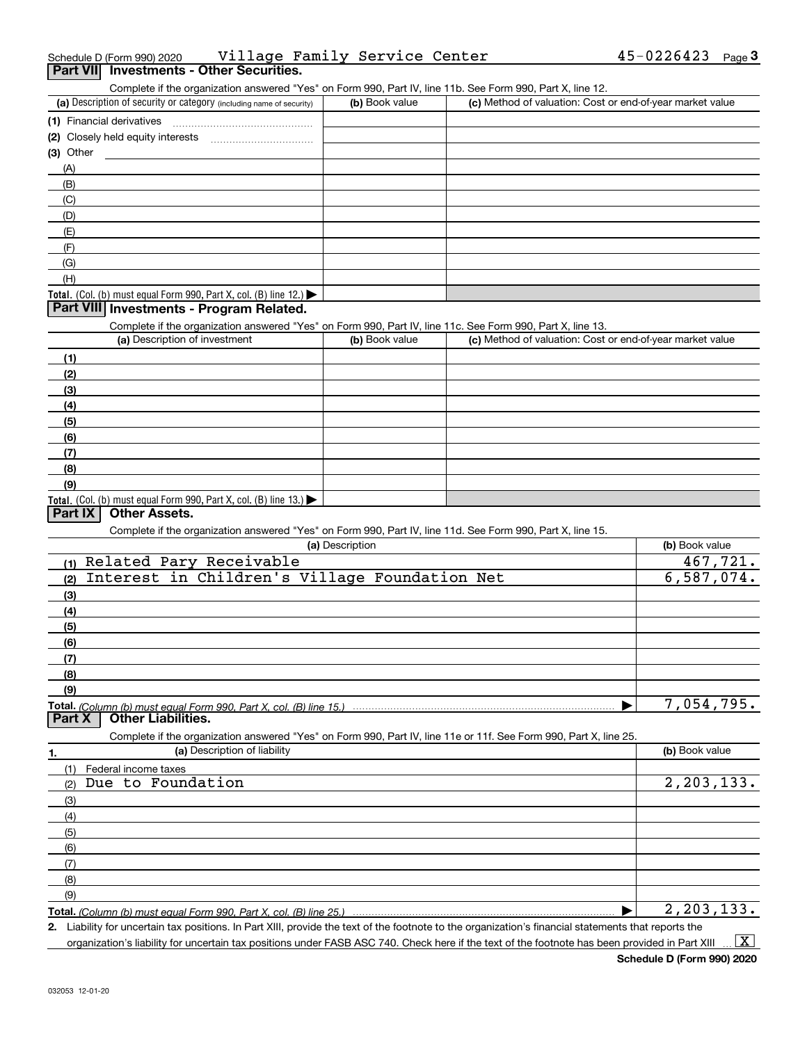| $\overline{v}$                                                                                                    |                 |                                                           |                |
|-------------------------------------------------------------------------------------------------------------------|-----------------|-----------------------------------------------------------|----------------|
| (E)                                                                                                               |                 |                                                           |                |
| (F)                                                                                                               |                 |                                                           |                |
| (G)                                                                                                               |                 |                                                           |                |
| (H)                                                                                                               |                 |                                                           |                |
| Total. (Col. (b) must equal Form 990, Part X, col. (B) line 12.)                                                  |                 |                                                           |                |
| Part VIII Investments - Program Related.                                                                          |                 |                                                           |                |
| Complete if the organization answered "Yes" on Form 990, Part IV, line 11c. See Form 990, Part X, line 13.        |                 |                                                           |                |
| (a) Description of investment                                                                                     | (b) Book value  | (c) Method of valuation: Cost or end-of-year market value |                |
|                                                                                                                   |                 |                                                           |                |
| (1)                                                                                                               |                 |                                                           |                |
| (2)                                                                                                               |                 |                                                           |                |
| (3)                                                                                                               |                 |                                                           |                |
| (4)                                                                                                               |                 |                                                           |                |
| (5)                                                                                                               |                 |                                                           |                |
| (6)                                                                                                               |                 |                                                           |                |
| (7)                                                                                                               |                 |                                                           |                |
| (8)                                                                                                               |                 |                                                           |                |
| (9)                                                                                                               |                 |                                                           |                |
| Total. (Col. (b) must equal Form 990, Part X, col. (B) line 13.)                                                  |                 |                                                           |                |
| <b>Other Assets.</b><br>Part IX                                                                                   |                 |                                                           |                |
| Complete if the organization answered "Yes" on Form 990, Part IV, line 11d. See Form 990, Part X, line 15.        |                 |                                                           |                |
|                                                                                                                   | (a) Description |                                                           | (b) Book value |
| Related Pary Receivable<br>(1)                                                                                    |                 |                                                           | 467,721.       |
| Interest in Children's Village Foundation Net<br>(2)                                                              |                 |                                                           | 6,587,074.     |
| (3)                                                                                                               |                 |                                                           |                |
| (4)                                                                                                               |                 |                                                           |                |
| (5)                                                                                                               |                 |                                                           |                |
|                                                                                                                   |                 |                                                           |                |
| (6)                                                                                                               |                 |                                                           |                |
| (7)                                                                                                               |                 |                                                           |                |
| (8)                                                                                                               |                 |                                                           |                |
| (9)                                                                                                               |                 |                                                           |                |
| Total. (Column (b) must equal Form 990. Part X, col. (B) line 15.)<br><b>Other Liabilities.</b><br>Part X         |                 |                                                           | 7,054,795.     |
|                                                                                                                   |                 |                                                           |                |
| Complete if the organization answered "Yes" on Form 990, Part IV, line 11e or 11f. See Form 990, Part X, line 25. |                 |                                                           |                |
| (a) Description of liability<br>1.                                                                                |                 |                                                           | (b) Book value |
| (1)<br>Federal income taxes                                                                                       |                 |                                                           |                |
| Due to Foundation<br>(2)                                                                                          |                 |                                                           | 2, 203, 133.   |
| (3)                                                                                                               |                 |                                                           |                |
| (4)                                                                                                               |                 |                                                           |                |
| (5)                                                                                                               |                 |                                                           |                |
| (6)                                                                                                               |                 |                                                           |                |
| (7)                                                                                                               |                 |                                                           |                |
| (8)                                                                                                               |                 |                                                           |                |
| (9)                                                                                                               |                 |                                                           |                |
|                                                                                                                   |                 | ▶                                                         | 2, 203, 133.   |
|                                                                                                                   |                 |                                                           |                |

#### Schedule D (Form 990) 2020 Village Family Service Center 45-0226423 <sub>Page</sub> **3Part VII Investments - Other Securities.**

(a) Description of security or category (including name of security)  $\vert$  (b) Book value  $\vert$  (c)

**(1)** Financial derivatives ~~~~~~~~~~~~~~~ **(2)** Closely held equity interests ~~~~~~~~~~~ (b) Book value (c) Method of valuation: Cost or end-of-year market value

Complete if the organization answered "Yes" on Form 990, Part IV, line 11b. See Form 990, Part X, line 12.

|     | (3) Other |  |  |
|-----|-----------|--|--|
| (A) |           |  |  |
|     | (B)       |  |  |
| (C) |           |  |  |
|     | (D)       |  |  |
|     | (E)       |  |  |
|     | (F)       |  |  |
|     | (G)       |  |  |
|     | (H)       |  |  |

**2.**Liability for uncertain tax positions. In Part XIII, provide the text of the footnote to the organization's financial statements that reports the organization's liability for uncertain tax positions under FASB ASC 740. Check here if the text of the footnote has been provided in Part XIII

 $\vert$  X  $\vert$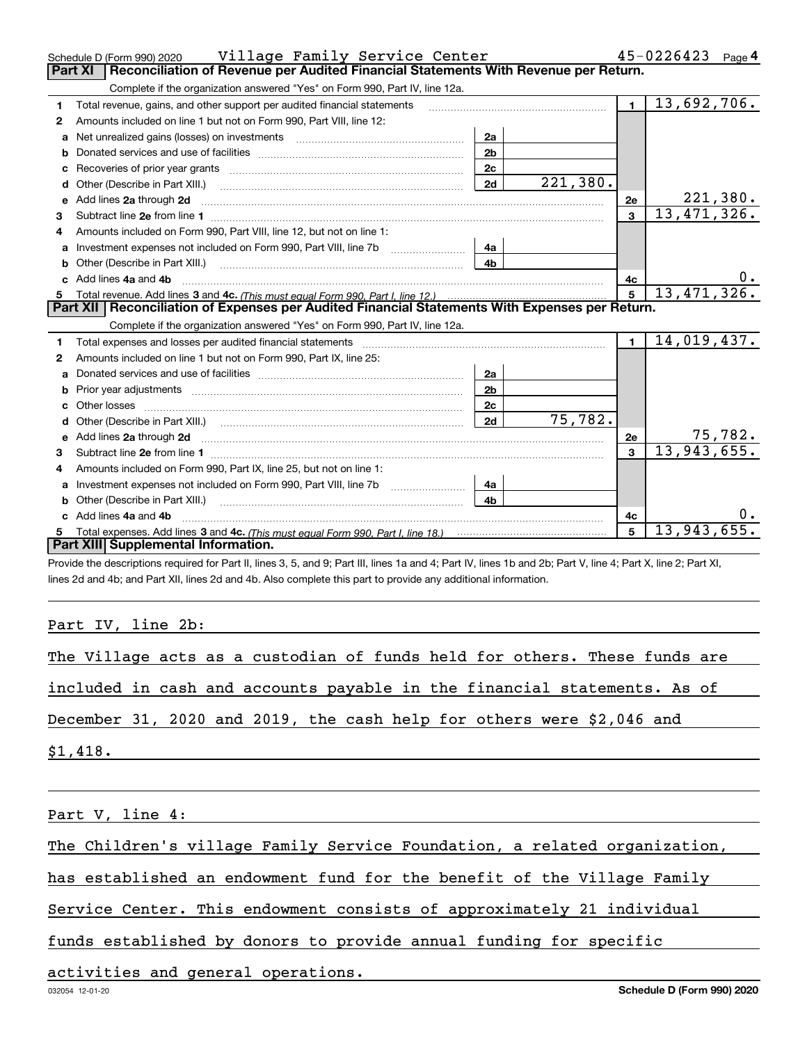|   | Schedule D (Form 990) 2020    Village Family Service Center                                                                                                                                                                         |                |          |                         | 45-0226423<br>Page $4$  |
|---|-------------------------------------------------------------------------------------------------------------------------------------------------------------------------------------------------------------------------------------|----------------|----------|-------------------------|-------------------------|
|   | Reconciliation of Revenue per Audited Financial Statements With Revenue per Return.<br><b>Part XI</b>                                                                                                                               |                |          |                         |                         |
|   | Complete if the organization answered "Yes" on Form 990, Part IV, line 12a.                                                                                                                                                         |                |          |                         |                         |
| 1 | Total revenue, gains, and other support per audited financial statements                                                                                                                                                            |                |          | $\blacksquare$          | 13,692,706.             |
| 2 | Amounts included on line 1 but not on Form 990, Part VIII, line 12:                                                                                                                                                                 |                |          |                         |                         |
| a | Net unrealized gains (losses) on investments [11] matter contracts and the unrealized gains (losses) on investments                                                                                                                 | 2a             |          |                         |                         |
|   |                                                                                                                                                                                                                                     | 2 <sub>b</sub> |          |                         |                         |
|   | Recoveries of prior year grants [11] matter contracts and prior year grants [11] matter contracts and all the contracts and all the contracts and all the contracts and all the contracts and all the contracts and all the co      | 2c             |          |                         |                         |
| d | Other (Describe in Part XIII.) <b>Construction Contract Construction</b> Chemical Construction Chemical Chemical Chemical Chemical Chemical Chemical Chemical Chemical Chemical Chemical Chemical Chemical Chemical Chemical Chemic | 2d             | 221,380. |                         |                         |
| е | Add lines 2a through 2d                                                                                                                                                                                                             |                |          | 2e                      | <u>221,380.</u>         |
| 3 |                                                                                                                                                                                                                                     |                |          | 3                       | 13,471,326.             |
| 4 | Amounts included on Form 990, Part VIII, line 12, but not on line 1:                                                                                                                                                                |                |          |                         |                         |
|   |                                                                                                                                                                                                                                     | 4a             |          |                         |                         |
|   |                                                                                                                                                                                                                                     | 4 <sub>h</sub> |          |                         |                         |
|   | c Add lines 4a and 4b                                                                                                                                                                                                               |                |          | 4c                      | $0 \cdot$               |
|   |                                                                                                                                                                                                                                     |                |          | 5                       | 13,471,326.             |
|   |                                                                                                                                                                                                                                     |                |          |                         |                         |
|   | Part XII   Reconciliation of Expenses per Audited Financial Statements With Expenses per Return.                                                                                                                                    |                |          |                         |                         |
|   | Complete if the organization answered "Yes" on Form 990, Part IV, line 12a.                                                                                                                                                         |                |          |                         |                         |
| 1 | Total expenses and losses per audited financial statements [11, 11] manuscription control expenses and losses per audited financial statements                                                                                      |                |          | $\blacksquare$          | 14,019,437.             |
| 2 | Amounts included on line 1 but not on Form 990, Part IX, line 25:                                                                                                                                                                   |                |          |                         |                         |
| a |                                                                                                                                                                                                                                     | 2a             |          |                         |                         |
| b |                                                                                                                                                                                                                                     | 2 <sub>b</sub> |          |                         |                         |
|   |                                                                                                                                                                                                                                     | 2 <sub>c</sub> |          |                         |                         |
|   |                                                                                                                                                                                                                                     | 2d             | 75,782.  |                         |                         |
|   |                                                                                                                                                                                                                                     |                |          | 2e                      |                         |
| 3 |                                                                                                                                                                                                                                     |                |          | $\overline{\mathbf{3}}$ | 75, 782.<br>13,943,655. |
| 4 | Amounts included on Form 990, Part IX, line 25, but not on line 1:                                                                                                                                                                  |                |          |                         |                         |
|   | Investment expenses not included on Form 990, Part VIII, line 7b [1000000000000000000000000000000000                                                                                                                                | 4a             |          |                         |                         |
| b |                                                                                                                                                                                                                                     | 4 <sub>h</sub> |          |                         |                         |
|   | c Add lines 4a and 4b                                                                                                                                                                                                               |                |          | 4с                      |                         |
|   | Part XIII Supplemental Information.                                                                                                                                                                                                 |                |          | 5                       | 13,943,655.             |

Provide the descriptions required for Part II, lines 3, 5, and 9; Part III, lines 1a and 4; Part IV, lines 1b and 2b; Part V, line 4; Part X, line 2; Part XI, lines 2d and 4b; and Part XII, lines 2d and 4b. Also complete this part to provide any additional information.

#### Part IV, line 2b:

| The Village acts as a custodian of funds held for others. These funds are |  |  |  |  |  |  |  |
|---------------------------------------------------------------------------|--|--|--|--|--|--|--|
| included in cash and accounts payable in the financial statements. As of  |  |  |  |  |  |  |  |
| December 31, 2020 and 2019, the cash help for others were \$2,046 and     |  |  |  |  |  |  |  |
| \$1,418.                                                                  |  |  |  |  |  |  |  |
|                                                                           |  |  |  |  |  |  |  |

Part V, line 4:

The Children's village Family Service Foundation, a related organization,

has established an endowment fund for the benefit of the Village Family

Service Center. This endowment consists of approximately 21 individual

funds established by donors to provide annual funding for specific

activities and general operations.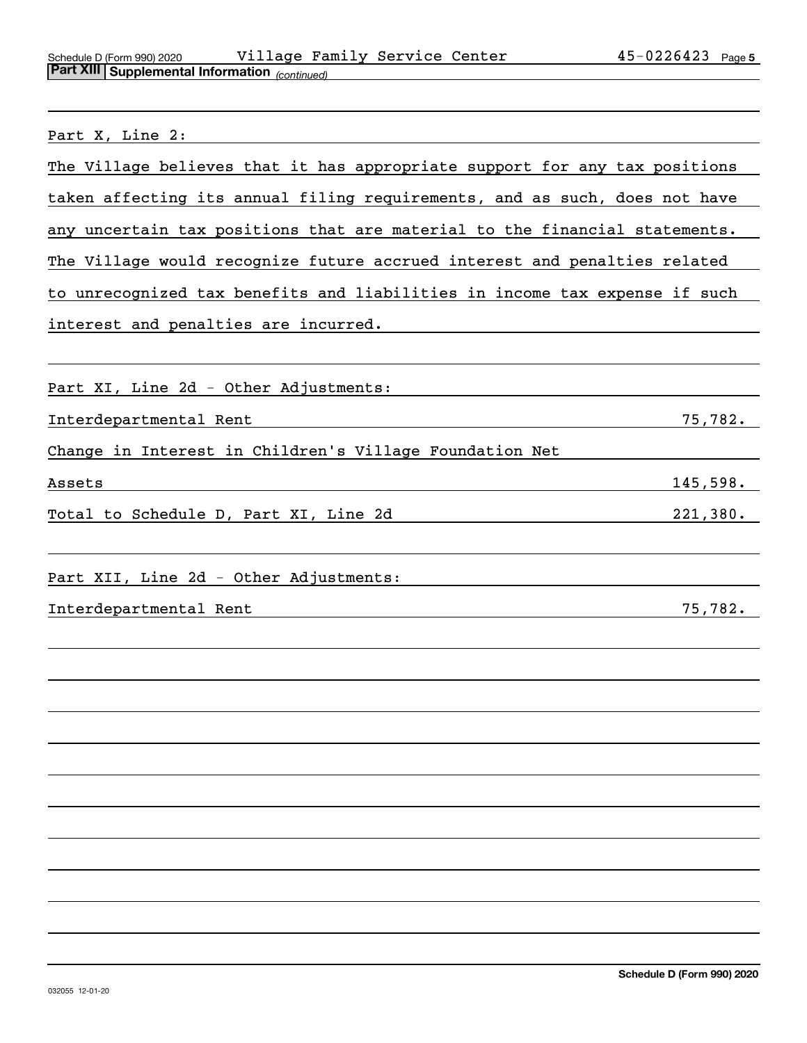| Schedule D (Form 990) 2020                     | Village | Family Service Center | 45-0226423 | Page 5 |
|------------------------------------------------|---------|-----------------------|------------|--------|
| Part XIII Supplemental Information (continued) |         |                       |            |        |

| Part X, Line 2:                                                            |  |  |  |  |  |  |  |
|----------------------------------------------------------------------------|--|--|--|--|--|--|--|
| The Village believes that it has appropriate support for any tax positions |  |  |  |  |  |  |  |
| taken affecting its annual filing requirements, and as such, does not have |  |  |  |  |  |  |  |
| any uncertain tax positions that are material to the financial statements. |  |  |  |  |  |  |  |
| The Village would recognize future accrued interest and penalties related  |  |  |  |  |  |  |  |
| to unrecognized tax benefits and liabilities in income tax expense if such |  |  |  |  |  |  |  |
| interest and penalties are incurred.                                       |  |  |  |  |  |  |  |
|                                                                            |  |  |  |  |  |  |  |
| Part XI, Line 2d - Other Adjustments:                                      |  |  |  |  |  |  |  |
| 75,782.<br>Interdepartmental Rent                                          |  |  |  |  |  |  |  |
| Change in Interest in Children's Village Foundation Net                    |  |  |  |  |  |  |  |
| 145,598.<br>Assets                                                         |  |  |  |  |  |  |  |
| 221,380.<br>Total to Schedule D, Part XI, Line 2d                          |  |  |  |  |  |  |  |
| Part XII, Line 2d - Other Adjustments:                                     |  |  |  |  |  |  |  |
| Interdepartmental Rent<br>75,782.                                          |  |  |  |  |  |  |  |
|                                                                            |  |  |  |  |  |  |  |
|                                                                            |  |  |  |  |  |  |  |
|                                                                            |  |  |  |  |  |  |  |
|                                                                            |  |  |  |  |  |  |  |
|                                                                            |  |  |  |  |  |  |  |
|                                                                            |  |  |  |  |  |  |  |
|                                                                            |  |  |  |  |  |  |  |
|                                                                            |  |  |  |  |  |  |  |
|                                                                            |  |  |  |  |  |  |  |
|                                                                            |  |  |  |  |  |  |  |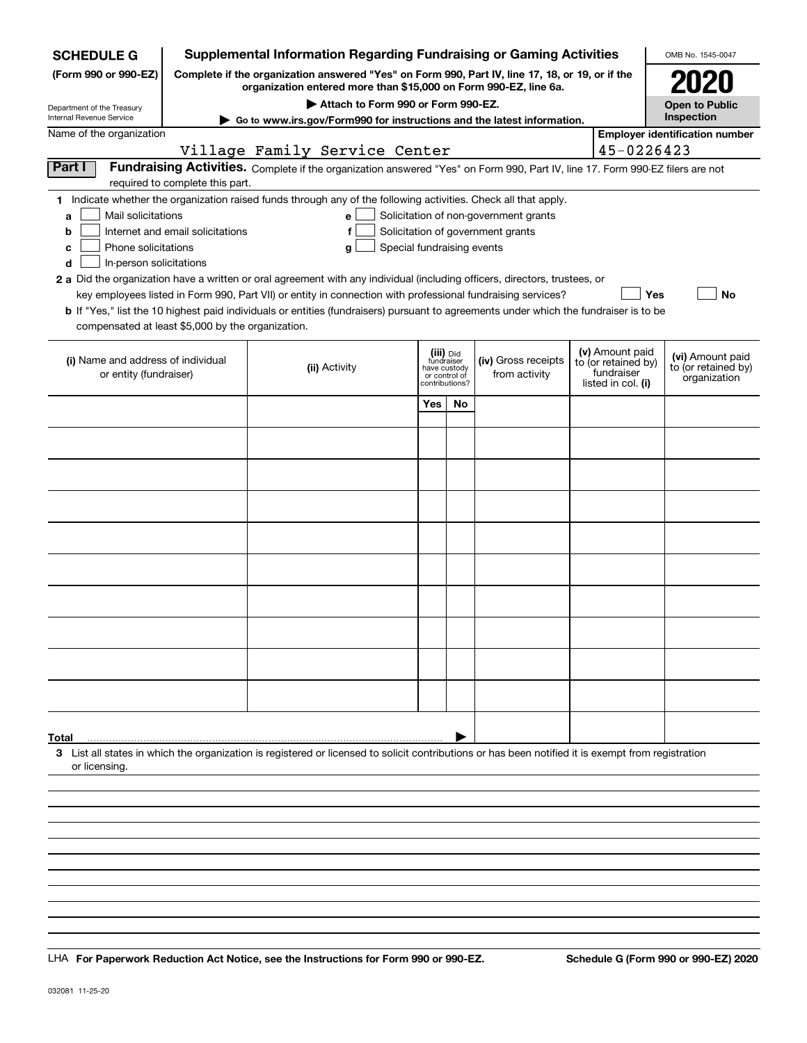| <b>SCHEDULE G</b>                                                                                                                                                   |                                  | <b>Supplemental Information Regarding Fundraising or Gaming Activities</b>                                                                                          |                                    |                               |    |                                                                            |                                        | OMB No. 1545-0047                     |
|---------------------------------------------------------------------------------------------------------------------------------------------------------------------|----------------------------------|---------------------------------------------------------------------------------------------------------------------------------------------------------------------|------------------------------------|-------------------------------|----|----------------------------------------------------------------------------|----------------------------------------|---------------------------------------|
| (Form 990 or 990-EZ)                                                                                                                                                |                                  | Complete if the organization answered "Yes" on Form 990, Part IV, line 17, 18, or 19, or if the<br>organization entered more than \$15,000 on Form 990-EZ, line 6a. |                                    |                               |    |                                                                            |                                        | 2020                                  |
| Department of the Treasury<br>Internal Revenue Service                                                                                                              |                                  |                                                                                                                                                                     | Attach to Form 990 or Form 990-EZ. |                               |    |                                                                            |                                        | <b>Open to Public</b><br>Inspection   |
| Name of the organization                                                                                                                                            |                                  | Go to www.irs.gov/Form990 for instructions and the latest information.                                                                                              |                                    |                               |    |                                                                            |                                        | <b>Employer identification number</b> |
|                                                                                                                                                                     |                                  | Village Family Service Center                                                                                                                                       |                                    |                               |    |                                                                            | 45-0226423                             |                                       |
| Part I                                                                                                                                                              |                                  | Fundraising Activities. Complete if the organization answered "Yes" on Form 990, Part IV, line 17. Form 990-EZ filers are not                                       |                                    |                               |    |                                                                            |                                        |                                       |
|                                                                                                                                                                     | required to complete this part.  |                                                                                                                                                                     |                                    |                               |    |                                                                            |                                        |                                       |
| 1 Indicate whether the organization raised funds through any of the following activities. Check all that apply.                                                     |                                  |                                                                                                                                                                     |                                    |                               |    |                                                                            |                                        |                                       |
| Mail solicitations<br>a                                                                                                                                             | Internet and email solicitations | е<br>f                                                                                                                                                              |                                    |                               |    | Solicitation of non-government grants<br>Solicitation of government grants |                                        |                                       |
| b<br>Phone solicitations<br>с                                                                                                                                       |                                  | g                                                                                                                                                                   | Special fundraising events         |                               |    |                                                                            |                                        |                                       |
| In-person solicitations<br>d                                                                                                                                        |                                  |                                                                                                                                                                     |                                    |                               |    |                                                                            |                                        |                                       |
| 2 a Did the organization have a written or oral agreement with any individual (including officers, directors, trustees, or                                          |                                  |                                                                                                                                                                     |                                    |                               |    |                                                                            |                                        |                                       |
|                                                                                                                                                                     |                                  | key employees listed in Form 990, Part VII) or entity in connection with professional fundraising services?                                                         |                                    |                               |    |                                                                            | Yes                                    | No                                    |
|                                                                                                                                                                     |                                  | <b>b</b> If "Yes," list the 10 highest paid individuals or entities (fundraisers) pursuant to agreements under which the fundraiser is to be                        |                                    |                               |    |                                                                            |                                        |                                       |
| compensated at least \$5,000 by the organization.                                                                                                                   |                                  |                                                                                                                                                                     |                                    |                               |    |                                                                            |                                        |                                       |
| (i) Name and address of individual                                                                                                                                  |                                  |                                                                                                                                                                     |                                    | (iii) Did<br>fundraiser       |    | (iv) Gross receipts                                                        | (v) Amount paid<br>to (or retained by) | (vi) Amount paid                      |
| or entity (fundraiser)                                                                                                                                              |                                  | (ii) Activity                                                                                                                                                       |                                    | have custody<br>or control of |    | from activity                                                              | fundraiser                             | to (or retained by)<br>organization   |
|                                                                                                                                                                     |                                  |                                                                                                                                                                     |                                    | contributions?                |    |                                                                            | listed in col. (i)                     |                                       |
|                                                                                                                                                                     |                                  |                                                                                                                                                                     |                                    | Yes                           | No |                                                                            |                                        |                                       |
|                                                                                                                                                                     |                                  |                                                                                                                                                                     |                                    |                               |    |                                                                            |                                        |                                       |
|                                                                                                                                                                     |                                  |                                                                                                                                                                     |                                    |                               |    |                                                                            |                                        |                                       |
|                                                                                                                                                                     |                                  |                                                                                                                                                                     |                                    |                               |    |                                                                            |                                        |                                       |
|                                                                                                                                                                     |                                  |                                                                                                                                                                     |                                    |                               |    |                                                                            |                                        |                                       |
|                                                                                                                                                                     |                                  |                                                                                                                                                                     |                                    |                               |    |                                                                            |                                        |                                       |
|                                                                                                                                                                     |                                  |                                                                                                                                                                     |                                    |                               |    |                                                                            |                                        |                                       |
|                                                                                                                                                                     |                                  |                                                                                                                                                                     |                                    |                               |    |                                                                            |                                        |                                       |
|                                                                                                                                                                     |                                  |                                                                                                                                                                     |                                    |                               |    |                                                                            |                                        |                                       |
|                                                                                                                                                                     |                                  |                                                                                                                                                                     |                                    |                               |    |                                                                            |                                        |                                       |
|                                                                                                                                                                     |                                  |                                                                                                                                                                     |                                    |                               |    |                                                                            |                                        |                                       |
|                                                                                                                                                                     |                                  |                                                                                                                                                                     |                                    |                               |    |                                                                            |                                        |                                       |
|                                                                                                                                                                     |                                  |                                                                                                                                                                     |                                    |                               |    |                                                                            |                                        |                                       |
|                                                                                                                                                                     |                                  |                                                                                                                                                                     |                                    |                               |    |                                                                            |                                        |                                       |
|                                                                                                                                                                     |                                  |                                                                                                                                                                     |                                    |                               |    |                                                                            |                                        |                                       |
|                                                                                                                                                                     |                                  |                                                                                                                                                                     |                                    |                               |    |                                                                            |                                        |                                       |
|                                                                                                                                                                     |                                  |                                                                                                                                                                     |                                    |                               |    |                                                                            |                                        |                                       |
| Total                                                                                                                                                               |                                  |                                                                                                                                                                     |                                    |                               |    |                                                                            |                                        |                                       |
| 3 List all states in which the organization is registered or licensed to solicit contributions or has been notified it is exempt from registration<br>or licensing. |                                  |                                                                                                                                                                     |                                    |                               |    |                                                                            |                                        |                                       |
|                                                                                                                                                                     |                                  |                                                                                                                                                                     |                                    |                               |    |                                                                            |                                        |                                       |
|                                                                                                                                                                     |                                  |                                                                                                                                                                     |                                    |                               |    |                                                                            |                                        |                                       |
|                                                                                                                                                                     |                                  |                                                                                                                                                                     |                                    |                               |    |                                                                            |                                        |                                       |
|                                                                                                                                                                     |                                  |                                                                                                                                                                     |                                    |                               |    |                                                                            |                                        |                                       |

LHA For Paperwork Reduction Act Notice, see the Instructions for Form 990 or 990-EZ. Schedule G (Form 990 or 990-EZ) 2020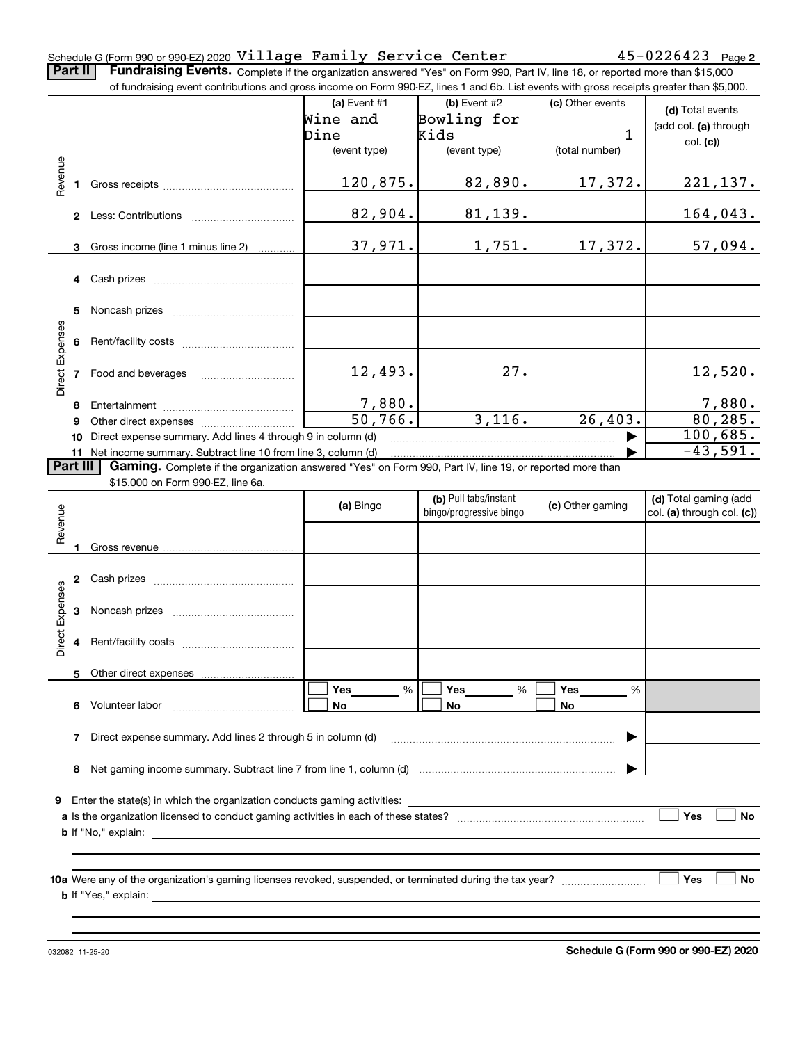#### **2** Schedule G (Form 990 or 990-EZ) 2020 Page Village Family Service Center 45-0226423

**Part II** | Fundraising Events. Complete if the organization answered "Yes" on Form 990, Part IV, line 18, or reported more than \$15,000 of fundraising event contributions and gross income on Form 990-EZ, lines 1 and 6b. List events with gross receipts greater than \$5,000.

|                 |          | of fundraising event contributions and gross income on Form 990-EZ, lines 1 and 6b. List events with gross receipts greater than \$5,000. |                |                         |                  |                            |
|-----------------|----------|-------------------------------------------------------------------------------------------------------------------------------------------|----------------|-------------------------|------------------|----------------------------|
|                 |          |                                                                                                                                           | (a) Event $#1$ | (b) Event #2            | (c) Other events | (d) Total events           |
|                 |          |                                                                                                                                           | Wine and       | Bowling for             |                  | (add col. (a) through      |
|                 |          |                                                                                                                                           | Dine           | Kids                    | $\mathbf{1}$     | col. (c)                   |
|                 |          |                                                                                                                                           | (event type)   | (event type)            | (total number)   |                            |
| Revenue         |          |                                                                                                                                           |                |                         |                  |                            |
|                 |          |                                                                                                                                           | 120,875.       | 82,890.                 | 17,372.          | 221, 137.                  |
|                 |          |                                                                                                                                           |                |                         |                  |                            |
|                 |          |                                                                                                                                           | 82,904.        | 81,139.                 |                  | 164,043.                   |
|                 |          |                                                                                                                                           |                |                         |                  |                            |
|                 |          | 3 Gross income (line 1 minus line 2)                                                                                                      | 37,971.        | 1,751.                  | 17,372.          | 57,094.                    |
|                 |          |                                                                                                                                           |                |                         |                  |                            |
|                 |          | 4 Cash prizes                                                                                                                             |                |                         |                  |                            |
|                 |          |                                                                                                                                           |                |                         |                  |                            |
|                 | 5.       |                                                                                                                                           |                |                         |                  |                            |
|                 |          |                                                                                                                                           |                |                         |                  |                            |
|                 |          |                                                                                                                                           |                |                         |                  |                            |
| Direct Expenses |          |                                                                                                                                           |                |                         |                  |                            |
|                 |          | 7 Food and beverages                                                                                                                      | 12,493.        | 27.                     |                  | 12,520.                    |
|                 |          |                                                                                                                                           |                |                         |                  |                            |
|                 | 8        |                                                                                                                                           | 7,880.         |                         |                  |                            |
|                 | 9        |                                                                                                                                           | 50,766.        | 3,116.                  | 26,403.          | $\frac{7,880}{80,285}$     |
|                 |          | 10 Direct expense summary. Add lines 4 through 9 in column (d)                                                                            |                |                         |                  | 100,685.                   |
|                 |          | 11 Net income summary. Subtract line 10 from line 3, column (d)                                                                           |                |                         |                  | $-43,591.$                 |
|                 | Part III | Gaming. Complete if the organization answered "Yes" on Form 990, Part IV, line 19, or reported more than                                  |                |                         |                  |                            |
|                 |          | \$15,000 on Form 990-EZ, line 6a.                                                                                                         |                |                         |                  |                            |
|                 |          |                                                                                                                                           | (a) Bingo      | (b) Pull tabs/instant   | (c) Other gaming | (d) Total gaming (add      |
| Revenue         |          |                                                                                                                                           |                | bingo/progressive bingo |                  | col. (a) through col. (c)) |
|                 |          |                                                                                                                                           |                |                         |                  |                            |
|                 | 1        |                                                                                                                                           |                |                         |                  |                            |
|                 |          |                                                                                                                                           |                |                         |                  |                            |
|                 |          |                                                                                                                                           |                |                         |                  |                            |
|                 |          |                                                                                                                                           |                |                         |                  |                            |
| Direct Expenses |          |                                                                                                                                           |                |                         |                  |                            |
|                 |          |                                                                                                                                           |                |                         |                  |                            |
|                 |          |                                                                                                                                           |                |                         |                  |                            |
|                 |          |                                                                                                                                           |                |                         |                  |                            |
|                 |          | 5 Other direct expenses                                                                                                                   |                |                         |                  |                            |
|                 |          |                                                                                                                                           | %<br>Yes       | Yes<br>%                | Yes<br>%         |                            |
|                 | 6.       | Volunteer labor                                                                                                                           | No             | No                      | No               |                            |
|                 |          |                                                                                                                                           |                |                         |                  |                            |
|                 | 7        | Direct expense summary. Add lines 2 through 5 in column (d)                                                                               |                |                         |                  |                            |
|                 |          |                                                                                                                                           |                |                         |                  |                            |
|                 |          |                                                                                                                                           |                |                         |                  |                            |
|                 |          |                                                                                                                                           |                |                         |                  |                            |
| 9               |          | Enter the state(s) in which the organization conducts gaming activities:                                                                  |                |                         |                  |                            |
|                 |          |                                                                                                                                           |                |                         |                  | Yes<br>No                  |
|                 |          | <b>b</b> If "No," explain:                                                                                                                |                |                         |                  |                            |
|                 |          |                                                                                                                                           |                |                         |                  |                            |
|                 |          |                                                                                                                                           |                |                         |                  | Yes                        |
|                 |          |                                                                                                                                           |                |                         |                  | No                         |
|                 |          | <b>b</b> If "Yes," explain: <b>b</b> If "Yes," explain:                                                                                   |                |                         |                  |                            |
|                 |          |                                                                                                                                           |                |                         |                  |                            |
|                 |          |                                                                                                                                           |                |                         |                  |                            |

032082 11-25-20

**Schedule G (Form 990 or 990-EZ) 2020**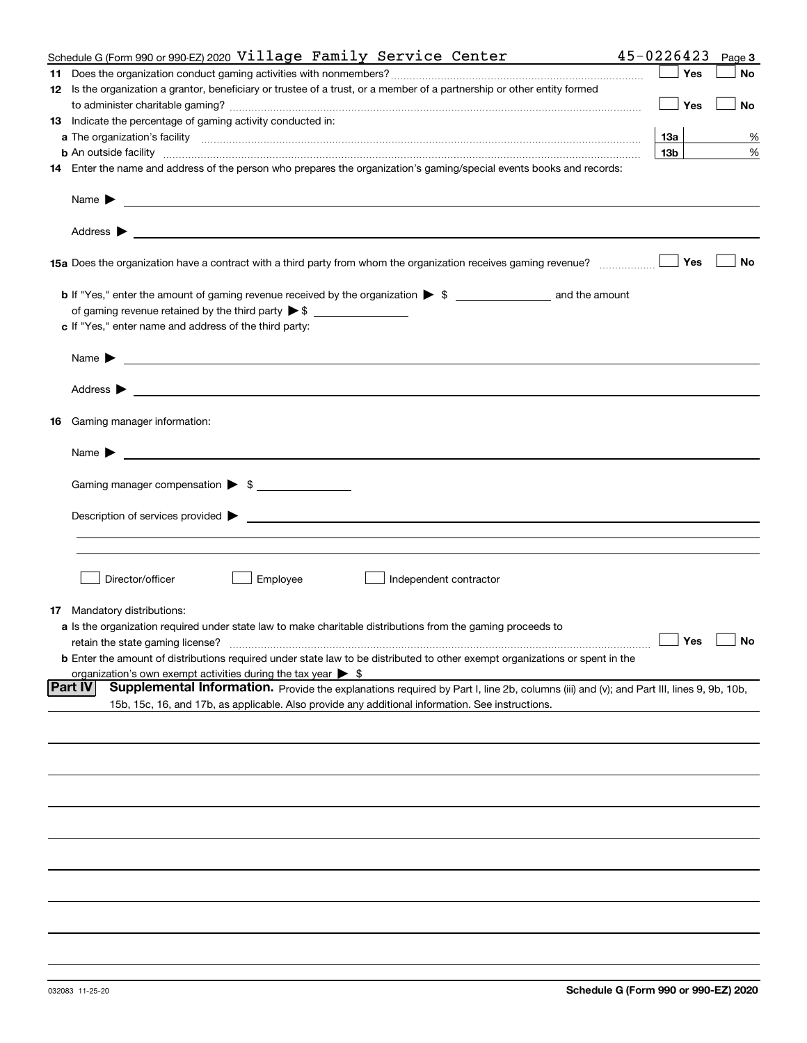|     | Schedule G (Form 990 or 990-EZ) 2020 Village Family Service Center                                                                                                                                                                        | 45-0226423        | Page 3 |
|-----|-------------------------------------------------------------------------------------------------------------------------------------------------------------------------------------------------------------------------------------------|-------------------|--------|
|     |                                                                                                                                                                                                                                           | Yes               | No     |
|     | 12 Is the organization a grantor, beneficiary or trustee of a trust, or a member of a partnership or other entity formed                                                                                                                  |                   |        |
|     |                                                                                                                                                                                                                                           | Yes               | No     |
|     | 13 Indicate the percentage of gaming activity conducted in:                                                                                                                                                                               |                   |        |
|     |                                                                                                                                                                                                                                           | <u>13a</u>        | %      |
|     | <b>b</b> An outside facility <i>www.communicality communicality communicality communicality communicality communicality communically communically communically communically communically communically communically communically commu</i> | 13 <sub>b</sub>   | %      |
|     | 14 Enter the name and address of the person who prepares the organization's gaming/special events books and records:                                                                                                                      |                   |        |
|     |                                                                                                                                                                                                                                           |                   |        |
|     | Name $\blacktriangleright$                                                                                                                                                                                                                |                   |        |
|     |                                                                                                                                                                                                                                           |                   |        |
|     |                                                                                                                                                                                                                                           | Yes               | No     |
|     |                                                                                                                                                                                                                                           |                   |        |
|     | of gaming revenue retained by the third party $\triangleright$ \$                                                                                                                                                                         |                   |        |
|     | c If "Yes," enter name and address of the third party:                                                                                                                                                                                    |                   |        |
|     |                                                                                                                                                                                                                                           |                   |        |
|     | Name $\blacktriangleright$<br><u> 1990 - Johann Stoff, amerikansk politiker (d. 1980)</u>                                                                                                                                                 |                   |        |
|     | Address $\blacktriangleright$<br><u> 1989 - Jan Sterling von Berger von Berger von Berger von Berger von Berger von Berger von Berger von Berger</u>                                                                                      |                   |        |
| 16  | Gaming manager information:                                                                                                                                                                                                               |                   |        |
|     | Name $\blacktriangleright$<br><u> 1980 - Jan Salaman, mangang mga kalendar ng mga kalendar ng mga kalendar ng mga kalendar ng mga kalendar ng m</u>                                                                                       |                   |        |
|     | Gaming manager compensation > \$                                                                                                                                                                                                          |                   |        |
|     |                                                                                                                                                                                                                                           |                   |        |
|     | Description of services provided ><br><u> 1989 - Jan Samuel Barbara, martin da shekara tsara 1989 - An tsara 1989 - An tsara 1989 - An tsara 1989 - An</u>                                                                                |                   |        |
|     |                                                                                                                                                                                                                                           |                   |        |
|     |                                                                                                                                                                                                                                           |                   |        |
|     |                                                                                                                                                                                                                                           |                   |        |
|     | Director/officer<br>Employee<br>Independent contractor                                                                                                                                                                                    |                   |        |
| 17. | Mandatory distributions:                                                                                                                                                                                                                  |                   |        |
|     | a Is the organization required under state law to make charitable distributions from the gaming proceeds to                                                                                                                               |                   |        |
|     | retain the state gaming license?                                                                                                                                                                                                          | $\Box$ Yes $\Box$ |        |
|     | <b>b</b> Enter the amount of distributions required under state law to be distributed to other exempt organizations or spent in the                                                                                                       |                   |        |
|     |                                                                                                                                                                                                                                           |                   |        |
|     | organization's own exempt activities during the tax year $\triangleright$ \$<br><b>Part IV</b><br>Supplemental Information. Provide the explanations required by Part I, line 2b, columns (iii) and (v); and Part III, lines 9, 9b, 10b,  |                   |        |
|     | 15b, 15c, 16, and 17b, as applicable. Also provide any additional information. See instructions.                                                                                                                                          |                   |        |
|     |                                                                                                                                                                                                                                           |                   |        |
|     |                                                                                                                                                                                                                                           |                   |        |
|     |                                                                                                                                                                                                                                           |                   |        |
|     |                                                                                                                                                                                                                                           |                   |        |
|     |                                                                                                                                                                                                                                           |                   |        |
|     |                                                                                                                                                                                                                                           |                   |        |
|     |                                                                                                                                                                                                                                           |                   |        |
|     |                                                                                                                                                                                                                                           |                   |        |
|     |                                                                                                                                                                                                                                           |                   |        |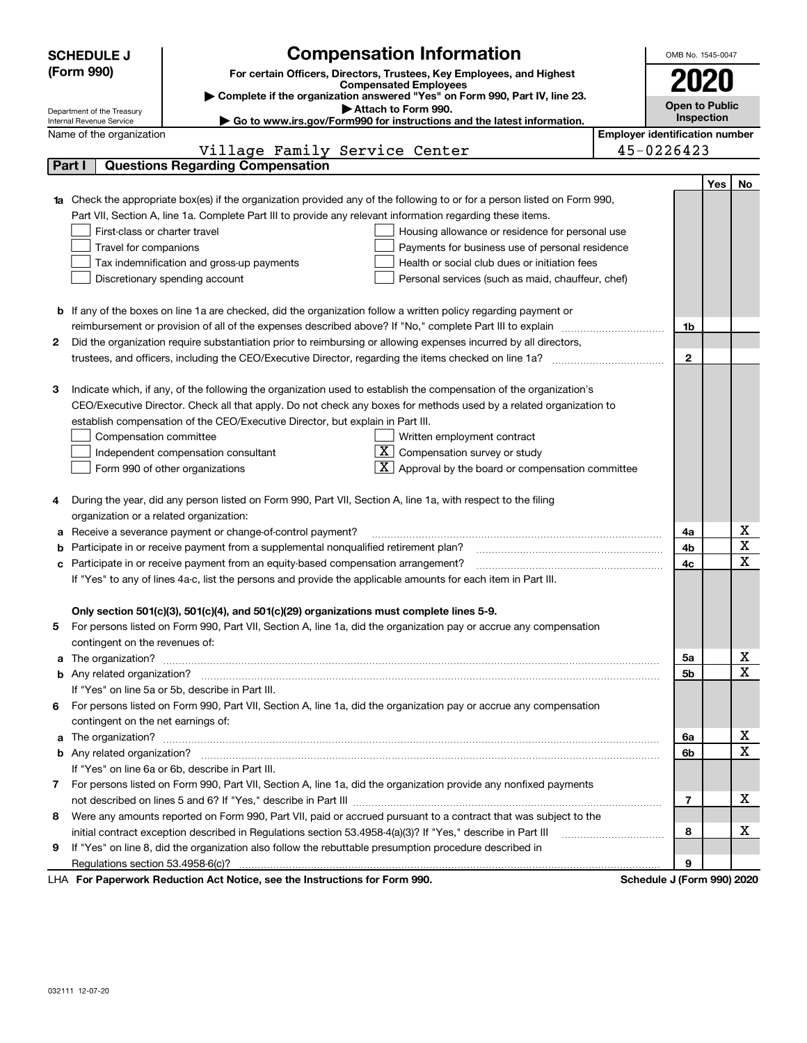|   | <b>Compensation Information</b><br><b>SCHEDULE J</b>                                                                             | OMB No. 1545-0047     |     |                 |
|---|----------------------------------------------------------------------------------------------------------------------------------|-----------------------|-----|-----------------|
|   | (Form 990)<br>For certain Officers, Directors, Trustees, Key Employees, and Highest                                              |                       |     |                 |
|   | <b>Compensated Employees</b>                                                                                                     | 2020                  |     |                 |
|   | Complete if the organization answered "Yes" on Form 990, Part IV, line 23.<br>Attach to Form 990.                                | <b>Open to Public</b> |     |                 |
|   | Department of the Treasury<br>Go to www.irs.gov/Form990 for instructions and the latest information.<br>Internal Revenue Service | Inspection            |     |                 |
|   | <b>Employer identification number</b><br>Name of the organization                                                                |                       |     |                 |
|   | 45-0226423<br>Village Family Service Center                                                                                      |                       |     |                 |
|   | <b>Questions Regarding Compensation</b><br>Part I                                                                                |                       |     |                 |
|   |                                                                                                                                  |                       | Yes | No              |
|   | Check the appropriate box(es) if the organization provided any of the following to or for a person listed on Form 990,           |                       |     |                 |
|   | Part VII, Section A, line 1a. Complete Part III to provide any relevant information regarding these items.                       |                       |     |                 |
|   | First-class or charter travel<br>Housing allowance or residence for personal use                                                 |                       |     |                 |
|   | Travel for companions<br>Payments for business use of personal residence                                                         |                       |     |                 |
|   | Health or social club dues or initiation fees<br>Tax indemnification and gross-up payments                                       |                       |     |                 |
|   | Discretionary spending account<br>Personal services (such as maid, chauffeur, chef)                                              |                       |     |                 |
|   |                                                                                                                                  |                       |     |                 |
| b | If any of the boxes on line 1a are checked, did the organization follow a written policy regarding payment or                    |                       |     |                 |
|   | reimbursement or provision of all of the expenses described above? If "No," complete Part III to explain                         | 1b                    |     |                 |
| 2 | Did the organization require substantiation prior to reimbursing or allowing expenses incurred by all directors,                 |                       |     |                 |
|   |                                                                                                                                  | $\mathbf{2}$          |     |                 |
|   |                                                                                                                                  |                       |     |                 |
| з | Indicate which, if any, of the following the organization used to establish the compensation of the organization's               |                       |     |                 |
|   | CEO/Executive Director. Check all that apply. Do not check any boxes for methods used by a related organization to               |                       |     |                 |
|   | establish compensation of the CEO/Executive Director, but explain in Part III.                                                   |                       |     |                 |
|   | Compensation committee<br>Written employment contract                                                                            |                       |     |                 |
|   | $ \mathbf{X} $ Compensation survey or study<br>Independent compensation consultant                                               |                       |     |                 |
|   | $\boxed{\textbf{X}}$ Approval by the board or compensation committee<br>Form 990 of other organizations                          |                       |     |                 |
|   |                                                                                                                                  |                       |     |                 |
| 4 | During the year, did any person listed on Form 990, Part VII, Section A, line 1a, with respect to the filing                     |                       |     |                 |
|   | organization or a related organization:                                                                                          |                       |     |                 |
| а | Receive a severance payment or change-of-control payment?                                                                        | 4a                    |     | х               |
| b | Participate in or receive payment from a supplemental nonqualified retirement plan?                                              | 4b                    |     | X               |
| с | Participate in or receive payment from an equity-based compensation arrangement?                                                 | 4c                    |     | X               |
|   | If "Yes" to any of lines 4a-c, list the persons and provide the applicable amounts for each item in Part III.                    |                       |     |                 |
|   |                                                                                                                                  |                       |     |                 |
|   | Only section 501(c)(3), 501(c)(4), and 501(c)(29) organizations must complete lines 5-9.                                         |                       |     |                 |
| 5 | For persons listed on Form 990, Part VII, Section A, line 1a, did the organization pay or accrue any compensation                |                       |     |                 |
|   | contingent on the revenues of:                                                                                                   |                       |     |                 |
| a |                                                                                                                                  | 5a                    |     | x               |
|   |                                                                                                                                  | 5b                    |     | $\mathbf X$     |
|   | If "Yes" on line 5a or 5b, describe in Part III.                                                                                 |                       |     |                 |
|   | 6 For persons listed on Form 990, Part VII, Section A, line 1a, did the organization pay or accrue any compensation              |                       |     |                 |
|   | contingent on the net earnings of:                                                                                               |                       |     |                 |
| a |                                                                                                                                  | 6a                    |     | x               |
|   |                                                                                                                                  | 6b                    |     | X               |
|   | If "Yes" on line 6a or 6b, describe in Part III.                                                                                 |                       |     |                 |
|   | 7 For persons listed on Form 990, Part VII, Section A, line 1a, did the organization provide any nonfixed payments               |                       |     |                 |
|   |                                                                                                                                  | $\overline{7}$        |     | x               |
| 8 | Were any amounts reported on Form 990, Part VII, paid or accrued pursuant to a contract that was subject to the                  |                       |     |                 |
|   | initial contract exception described in Regulations section 53.4958-4(a)(3)? If "Yes," describe in Part III                      | 8                     |     | х               |
| 9 | If "Yes" on line 8, did the organization also follow the rebuttable presumption procedure described in                           |                       |     |                 |
|   |                                                                                                                                  | 9                     |     |                 |
|   | bustion. Ant Notice, need the Instructions for Form 000.<br>Calcadola, Littlew                                                   |                       |     | <u>aaa) aaa</u> |

LHA For Paperwork Reduction Act Notice, see the Instructions for Form 990. Schedule J (Form 990) 2020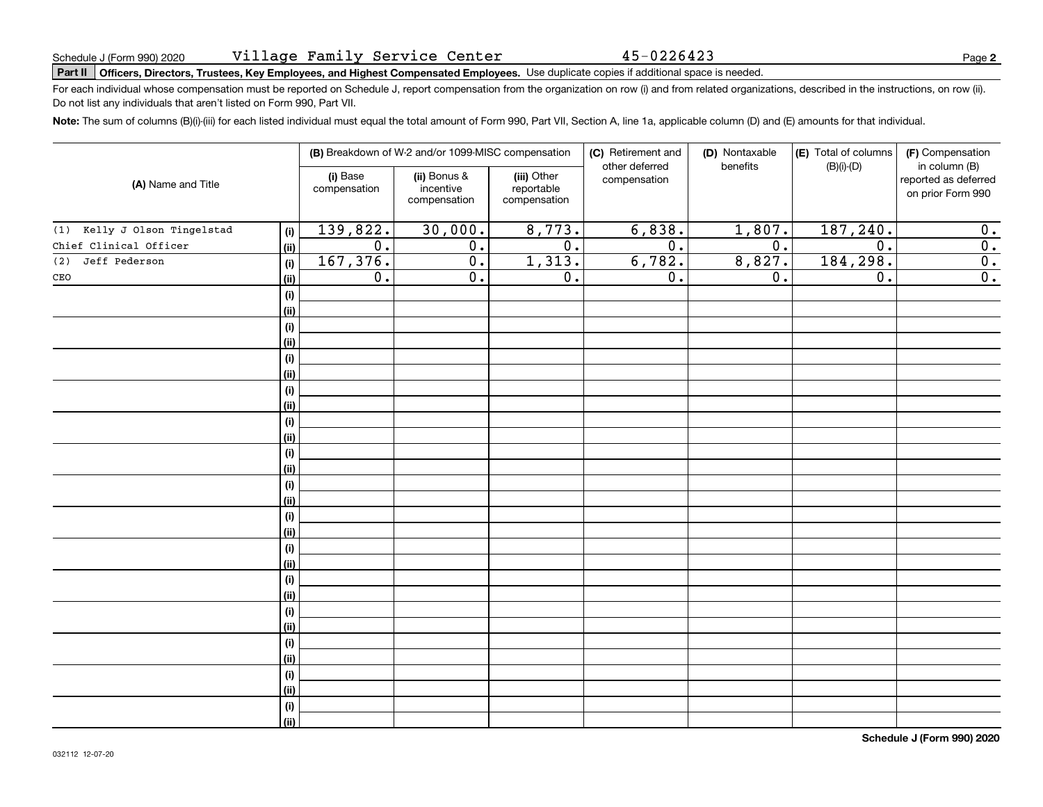45-0226423

# Schedule J (Form 990) 2020 VILLage Fam1Ly Serv1ce Center 45-0226423<br>Part II | Officers, Directors, Trustees, Key Employees, and Highest Compensated Employees. Use duplicate copies if additional space is needed.

For each individual whose compensation must be reported on Schedule J, report compensation from the organization on row (i) and from related organizations, described in the instructions, on row (ii). Do not list any individuals that aren't listed on Form 990, Part VII.

**Note:**  The sum of columns (B)(i)-(iii) for each listed individual must equal the total amount of Form 990, Part VII, Section A, line 1a, applicable column (D) and (E) amounts for that individual.

|                              |                    |                          | (B) Breakdown of W-2 and/or 1099-MISC compensation |                                           | (C) Retirement and<br>other deferred | (D) Nontaxable   | (E) Total of columns<br>benefits<br>$(B)(i)$ - $(D)$ |                                                            |  |
|------------------------------|--------------------|--------------------------|----------------------------------------------------|-------------------------------------------|--------------------------------------|------------------|------------------------------------------------------|------------------------------------------------------------|--|
| (A) Name and Title           |                    | (i) Base<br>compensation | (ii) Bonus &<br>incentive<br>compensation          | (iii) Other<br>reportable<br>compensation | compensation                         |                  |                                                      | in column (B)<br>reported as deferred<br>on prior Form 990 |  |
| (1) Kelly J Olson Tingelstad | (i)                | 139,822.                 | 30,000.                                            | 8,773.                                    | 6,838.                               | 1,807.           | 187, 240.                                            | 0.                                                         |  |
| Chief Clinical Officer       | (ii)               | $\overline{0}$ .         | $\overline{0}$ .                                   | $\overline{0}$ .                          | $\overline{0}$ .                     | $\overline{0}$ . | $\overline{0}$ .                                     | $\overline{0}$ .                                           |  |
| Jeff Pederson<br>(2)         | (i)                | 167,376.                 | $\overline{0}$ .                                   | 1,313.                                    | 6,782.                               | 8,827.           | 184, 298.                                            | $\overline{0}$ .                                           |  |
| $\mathtt{CEO}$               | (ii)               | $\overline{0}$ .         | $\overline{0}$ .                                   | $\overline{0}$ .                          | $\overline{0}$ .                     | 0.               | $\overline{0}$ .                                     | $\overline{0}$ .                                           |  |
|                              | (i)                |                          |                                                    |                                           |                                      |                  |                                                      |                                                            |  |
|                              | (ii)               |                          |                                                    |                                           |                                      |                  |                                                      |                                                            |  |
|                              | (i)                |                          |                                                    |                                           |                                      |                  |                                                      |                                                            |  |
|                              | (ii)               |                          |                                                    |                                           |                                      |                  |                                                      |                                                            |  |
|                              | (i)                |                          |                                                    |                                           |                                      |                  |                                                      |                                                            |  |
|                              | (ii)               |                          |                                                    |                                           |                                      |                  |                                                      |                                                            |  |
|                              | (i)                |                          |                                                    |                                           |                                      |                  |                                                      |                                                            |  |
|                              | (ii)               |                          |                                                    |                                           |                                      |                  |                                                      |                                                            |  |
|                              | (i)                |                          |                                                    |                                           |                                      |                  |                                                      |                                                            |  |
|                              | <u>(ii)</u>        |                          |                                                    |                                           |                                      |                  |                                                      |                                                            |  |
|                              | (i)                |                          |                                                    |                                           |                                      |                  |                                                      |                                                            |  |
|                              | <u>(ii)</u>        |                          |                                                    |                                           |                                      |                  |                                                      |                                                            |  |
|                              | (i)<br><u>(ii)</u> |                          |                                                    |                                           |                                      |                  |                                                      |                                                            |  |
|                              | (i)                |                          |                                                    |                                           |                                      |                  |                                                      |                                                            |  |
|                              | <u>(ii)</u>        |                          |                                                    |                                           |                                      |                  |                                                      |                                                            |  |
|                              | (i)                |                          |                                                    |                                           |                                      |                  |                                                      |                                                            |  |
|                              | <u>(ii)</u>        |                          |                                                    |                                           |                                      |                  |                                                      |                                                            |  |
|                              | (i)                |                          |                                                    |                                           |                                      |                  |                                                      |                                                            |  |
|                              | <u>(ii)</u>        |                          |                                                    |                                           |                                      |                  |                                                      |                                                            |  |
|                              | (i)                |                          |                                                    |                                           |                                      |                  |                                                      |                                                            |  |
|                              | <u>(ii)</u>        |                          |                                                    |                                           |                                      |                  |                                                      |                                                            |  |
|                              | (i)                |                          |                                                    |                                           |                                      |                  |                                                      |                                                            |  |
|                              | <u>(ii)</u>        |                          |                                                    |                                           |                                      |                  |                                                      |                                                            |  |
|                              | (i)                |                          |                                                    |                                           |                                      |                  |                                                      |                                                            |  |
|                              | <u>(ii)</u>        |                          |                                                    |                                           |                                      |                  |                                                      |                                                            |  |
|                              | (i)                |                          |                                                    |                                           |                                      |                  |                                                      |                                                            |  |
|                              | (ii)               |                          |                                                    |                                           |                                      |                  |                                                      |                                                            |  |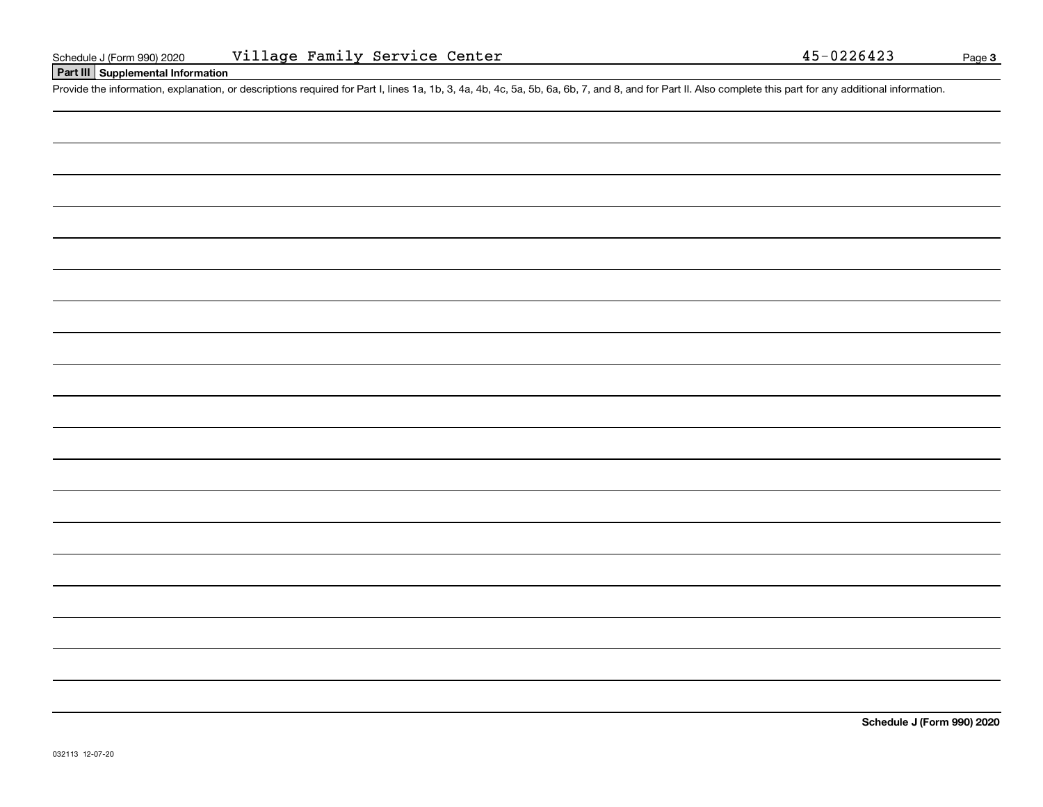#### **Part III Supplemental Information**

Schedule J (Form 990) 2020 Village Family Service Center<br>
Part III Supplemental Information<br>
Provide the information, explanation, or descriptions required for Part I, lines 1a, 1b, 3, 4a, 4b, 4c, 5a, 5b, 6a, 6b, 7, and 8,

**Schedule J (Form 990) 2020**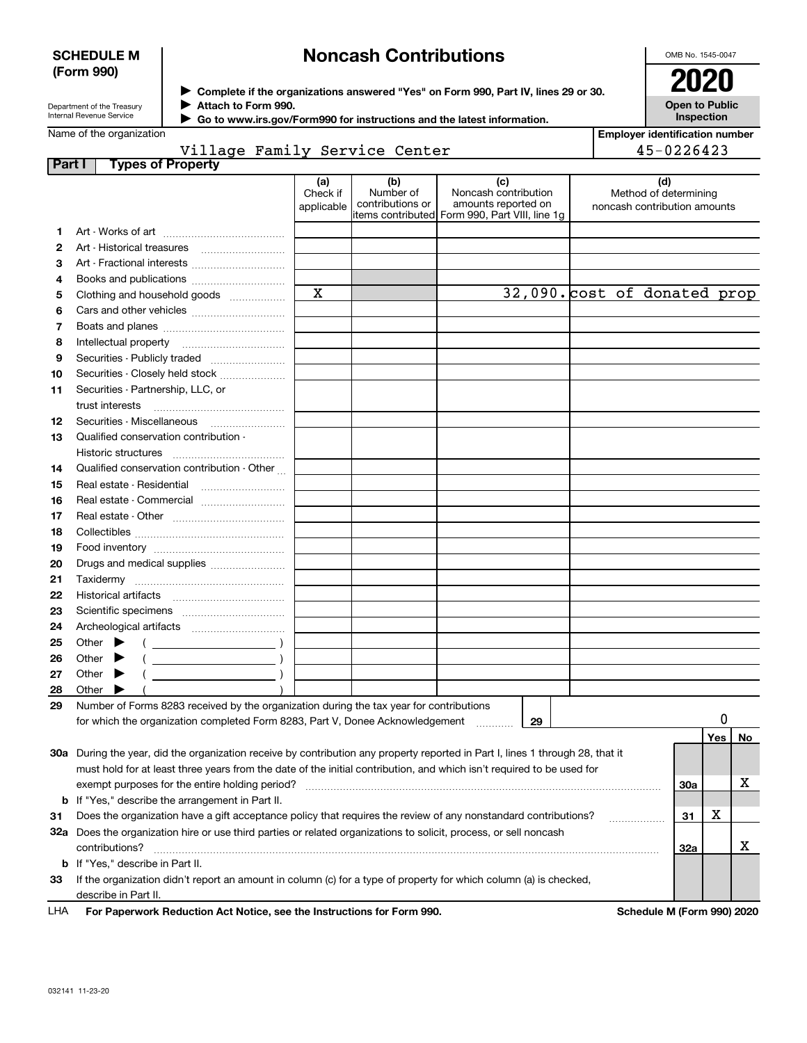#### **SCHEDULE M (Form 990)**

## **Noncash Contributions**

OMB No. 1545-0047

| Department of the Treasury      |
|---------------------------------|
| <b>Internal Revenue Service</b> |

**Complete if the organizations answered "Yes" on Form 990, Part IV, lines 29 or 30.** <sup>J</sup>**2020 Attach to Form 990.** J

**Open to Public Inspection**

**Employer identification number**

45-0226423

|  | Name of the organization |
|--|--------------------------|
|  |                          |

 **Go to www.irs.gov/Form990 for instructions and the latest information.** J

### Village Family Service Center

| Part I | <b>Types of Property</b>                                                                                                                                                                                                                       |             |  |    |                              |                            |    |  |
|--------|------------------------------------------------------------------------------------------------------------------------------------------------------------------------------------------------------------------------------------------------|-------------|--|----|------------------------------|----------------------------|----|--|
|        | (a)<br>(c)<br>(d)<br>(b)<br>Number of<br>Noncash contribution<br>Check if<br>Method of determining<br>contributions or<br>amounts reported on<br>applicable<br>noncash contribution amounts<br>litems contributed Form 990, Part VIII, line 1g |             |  |    |                              |                            |    |  |
| 1      |                                                                                                                                                                                                                                                |             |  |    |                              |                            |    |  |
| 2      |                                                                                                                                                                                                                                                |             |  |    |                              |                            |    |  |
| з      | Art - Fractional interests                                                                                                                                                                                                                     |             |  |    |                              |                            |    |  |
| 4      |                                                                                                                                                                                                                                                |             |  |    |                              |                            |    |  |
| 5      | Clothing and household goods                                                                                                                                                                                                                   | $\mathbf X$ |  |    | 32,090. cost of donated prop |                            |    |  |
|        |                                                                                                                                                                                                                                                |             |  |    |                              |                            |    |  |
| 6      |                                                                                                                                                                                                                                                |             |  |    |                              |                            |    |  |
| 7      |                                                                                                                                                                                                                                                |             |  |    |                              |                            |    |  |
| 8      |                                                                                                                                                                                                                                                |             |  |    |                              |                            |    |  |
| 9      | Securities - Publicly traded                                                                                                                                                                                                                   |             |  |    |                              |                            |    |  |
| 10     | Securities - Closely held stock                                                                                                                                                                                                                |             |  |    |                              |                            |    |  |
| 11     | Securities - Partnership, LLC, or                                                                                                                                                                                                              |             |  |    |                              |                            |    |  |
|        | trust interests                                                                                                                                                                                                                                |             |  |    |                              |                            |    |  |
| 12     |                                                                                                                                                                                                                                                |             |  |    |                              |                            |    |  |
| 13     | Qualified conservation contribution -                                                                                                                                                                                                          |             |  |    |                              |                            |    |  |
|        | Historic structures                                                                                                                                                                                                                            |             |  |    |                              |                            |    |  |
| 14     | Qualified conservation contribution - Other                                                                                                                                                                                                    |             |  |    |                              |                            |    |  |
| 15     | Real estate - Residential                                                                                                                                                                                                                      |             |  |    |                              |                            |    |  |
| 16     | Real estate - Commercial                                                                                                                                                                                                                       |             |  |    |                              |                            |    |  |
| 17     |                                                                                                                                                                                                                                                |             |  |    |                              |                            |    |  |
| 18     |                                                                                                                                                                                                                                                |             |  |    |                              |                            |    |  |
| 19     |                                                                                                                                                                                                                                                |             |  |    |                              |                            |    |  |
| 20     | Drugs and medical supplies                                                                                                                                                                                                                     |             |  |    |                              |                            |    |  |
| 21     |                                                                                                                                                                                                                                                |             |  |    |                              |                            |    |  |
| 22     |                                                                                                                                                                                                                                                |             |  |    |                              |                            |    |  |
| 23     |                                                                                                                                                                                                                                                |             |  |    |                              |                            |    |  |
| 24     |                                                                                                                                                                                                                                                |             |  |    |                              |                            |    |  |
| 25     | Other $\blacktriangleright$<br>$\left($ $\right)$                                                                                                                                                                                              |             |  |    |                              |                            |    |  |
| 26     | Other $\blacktriangleright$                                                                                                                                                                                                                    |             |  |    |                              |                            |    |  |
| 27     | Other $\blacktriangleright$                                                                                                                                                                                                                    |             |  |    |                              |                            |    |  |
| 28     | Other<br>▶                                                                                                                                                                                                                                     |             |  |    |                              |                            |    |  |
| 29     | Number of Forms 8283 received by the organization during the tax year for contributions                                                                                                                                                        |             |  |    |                              |                            |    |  |
|        | for which the organization completed Form 8283, Part V, Donee Acknowledgement                                                                                                                                                                  |             |  | 29 |                              |                            |    |  |
|        |                                                                                                                                                                                                                                                |             |  |    |                              | Yes                        | No |  |
|        | 30a During the year, did the organization receive by contribution any property reported in Part I, lines 1 through 28, that it                                                                                                                 |             |  |    |                              |                            |    |  |
|        | must hold for at least three years from the date of the initial contribution, and which isn't required to be used for                                                                                                                          |             |  |    |                              |                            |    |  |
|        | exempt purposes for the entire holding period?                                                                                                                                                                                                 |             |  |    |                              | 30a                        | х  |  |
|        | <b>b</b> If "Yes," describe the arrangement in Part II.                                                                                                                                                                                        |             |  |    |                              |                            |    |  |
| 31     | Does the organization have a gift acceptance policy that requires the review of any nonstandard contributions?                                                                                                                                 |             |  |    | .                            | X<br>31                    |    |  |
|        | 32a Does the organization hire or use third parties or related organizations to solicit, process, or sell noncash                                                                                                                              |             |  |    |                              |                            |    |  |
|        | contributions?                                                                                                                                                                                                                                 |             |  |    |                              | 32a                        | х  |  |
|        | <b>b</b> If "Yes," describe in Part II.                                                                                                                                                                                                        |             |  |    |                              |                            |    |  |
| 33     | If the organization didn't report an amount in column (c) for a type of property for which column (a) is checked,                                                                                                                              |             |  |    |                              |                            |    |  |
|        | describe in Part II.                                                                                                                                                                                                                           |             |  |    |                              |                            |    |  |
| LHA    | For Paperwork Reduction Act Notice, see the Instructions for Form 990.                                                                                                                                                                         |             |  |    |                              | Schedule M (Form 990) 2020 |    |  |
|        |                                                                                                                                                                                                                                                |             |  |    |                              |                            |    |  |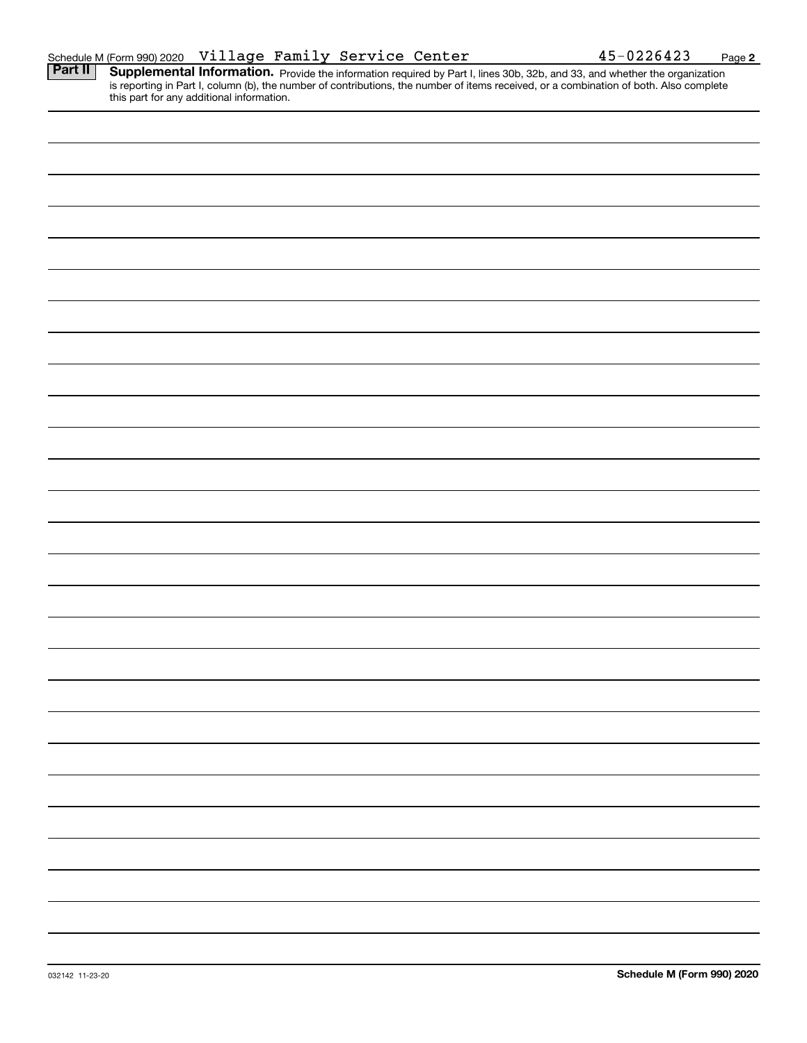|                | Schedule M (Form 990) 2020                | Village Family Service Center |  |  | 45-0226423                                                                                                                                                                                                                                                           | Page 2 |
|----------------|-------------------------------------------|-------------------------------|--|--|----------------------------------------------------------------------------------------------------------------------------------------------------------------------------------------------------------------------------------------------------------------------|--------|
| <b>Part II</b> | this part for any additional information. |                               |  |  | Supplemental Information. Provide the information required by Part I, lines 30b, 32b, and 33, and whether the organization<br>is reporting in Part I, column (b), the number of contributions, the number of items received, or a combination of both. Also complete |        |
|                |                                           |                               |  |  |                                                                                                                                                                                                                                                                      |        |
|                |                                           |                               |  |  |                                                                                                                                                                                                                                                                      |        |
|                |                                           |                               |  |  |                                                                                                                                                                                                                                                                      |        |
|                |                                           |                               |  |  |                                                                                                                                                                                                                                                                      |        |
|                |                                           |                               |  |  |                                                                                                                                                                                                                                                                      |        |
|                |                                           |                               |  |  |                                                                                                                                                                                                                                                                      |        |
|                |                                           |                               |  |  |                                                                                                                                                                                                                                                                      |        |
|                |                                           |                               |  |  |                                                                                                                                                                                                                                                                      |        |
|                |                                           |                               |  |  |                                                                                                                                                                                                                                                                      |        |
|                |                                           |                               |  |  |                                                                                                                                                                                                                                                                      |        |
|                |                                           |                               |  |  |                                                                                                                                                                                                                                                                      |        |
|                |                                           |                               |  |  |                                                                                                                                                                                                                                                                      |        |
|                |                                           |                               |  |  |                                                                                                                                                                                                                                                                      |        |
|                |                                           |                               |  |  |                                                                                                                                                                                                                                                                      |        |
|                |                                           |                               |  |  |                                                                                                                                                                                                                                                                      |        |
|                |                                           |                               |  |  |                                                                                                                                                                                                                                                                      |        |
|                |                                           |                               |  |  |                                                                                                                                                                                                                                                                      |        |
|                |                                           |                               |  |  |                                                                                                                                                                                                                                                                      |        |
|                |                                           |                               |  |  |                                                                                                                                                                                                                                                                      |        |
|                |                                           |                               |  |  |                                                                                                                                                                                                                                                                      |        |
|                |                                           |                               |  |  |                                                                                                                                                                                                                                                                      |        |
|                |                                           |                               |  |  |                                                                                                                                                                                                                                                                      |        |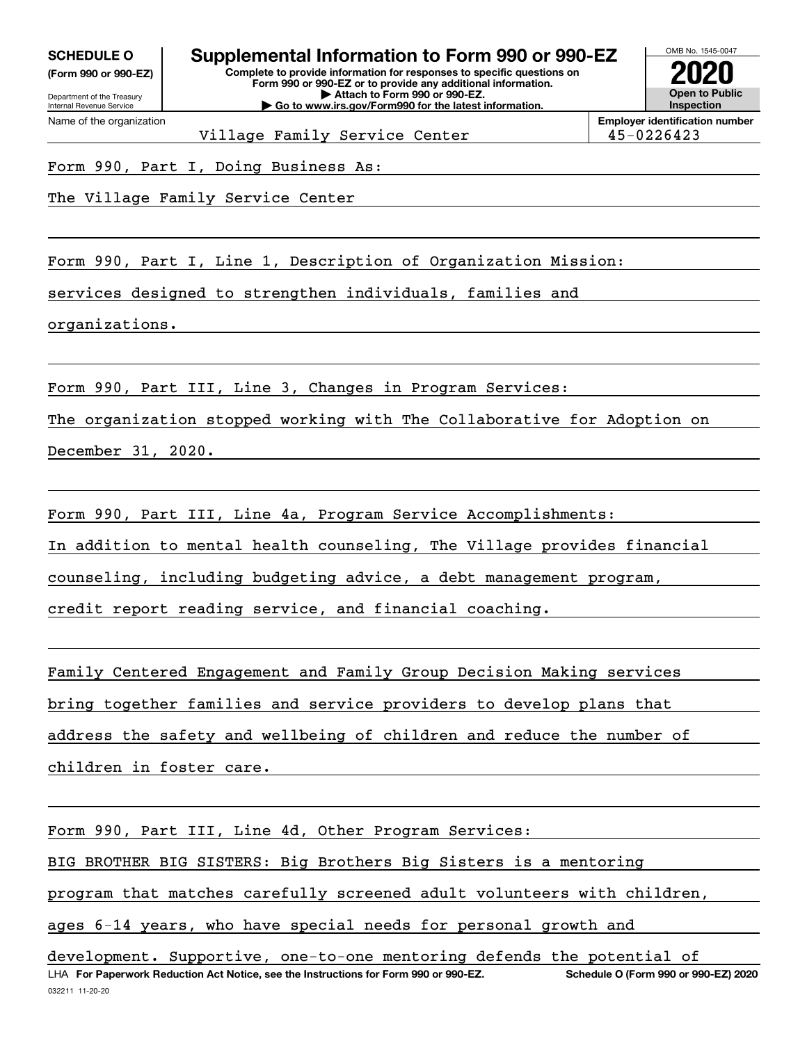**(Form 990 or 990-EZ)**

Department of the Treasury Internal Revenue Service Name of the organization

**Complete to provide information for responses to specific questions on Form 990 or 990-EZ or to provide any additional information. | Attach to Form 990 or 990-EZ. | Go to www.irs.gov/Form990 for the latest information. SCHEDULE O Supplemental Information to Form 990 or 990-EZ**



Village Family Service Center 195-0226423

Form 990, Part I, Doing Business As:

The Village Family Service Center

Form 990, Part I, Line 1, Description of Organization Mission:

services designed to strengthen individuals, families and

organizations.

Form 990, Part III, Line 3, Changes in Program Services:

The organization stopped working with The Collaborative for Adoption on

December 31, 2020.

Form 990, Part III, Line 4a, Program Service Accomplishments:

In addition to mental health counseling, The Village provides financial

counseling, including budgeting advice, a debt management program,

credit report reading service, and financial coaching.

Family Centered Engagement and Family Group Decision Making services

bring together families and service providers to develop plans that

address the safety and wellbeing of children and reduce the number of

children in foster care.

Form 990, Part III, Line 4d, Other Program Services:

BIG BROTHER BIG SISTERS: Big Brothers Big Sisters is a mentoring

program that matches carefully screened adult volunteers with children,

ages 6-14 years, who have special needs for personal growth and

032211 11-20-20 LHA For Paperwork Reduction Act Notice, see the Instructions for Form 990 or 990-EZ. Schedule O (Form 990 or 990-EZ) 2020 development. Supportive, one-to-one mentoring defends the potential of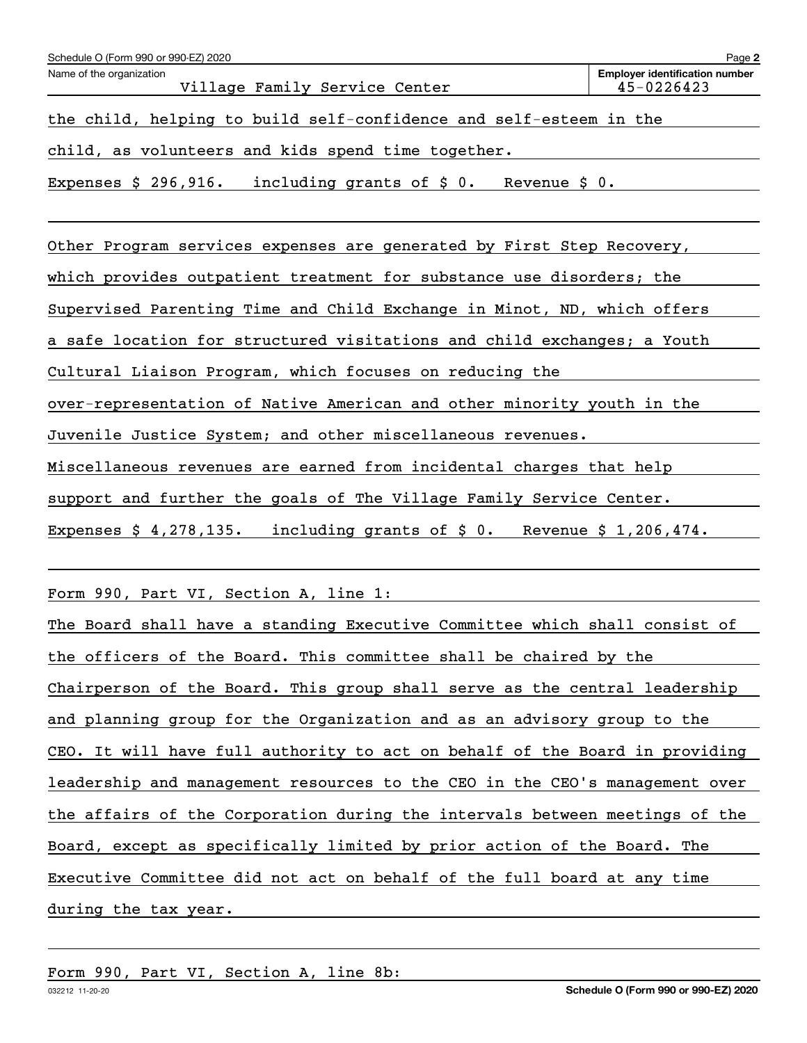| Schedule O (Form 990 or 990-EZ) 2020                                          | Page 2                                              |
|-------------------------------------------------------------------------------|-----------------------------------------------------|
| Name of the organization<br>Village Family Service Center                     | <b>Employer identification number</b><br>45-0226423 |
| the child, helping to build self-confidence and self-esteem in the            |                                                     |
| child, as volunteers and kids spend time together.                            |                                                     |
| Expenses $$296,916.$<br>including grants of $\sharp$ 0.<br>Revenue $\sin 0$ . |                                                     |
|                                                                               |                                                     |
| Other Program services expenses are generated by First Step Recovery,         |                                                     |

which provides outpatient treatment for substance use disorders; the

Supervised Parenting Time and Child Exchange in Minot, ND, which offers

a safe location for structured visitations and child exchanges; a Youth

Cultural Liaison Program, which focuses on reducing the

over-representation of Native American and other minority youth in the

Juvenile Justice System; and other miscellaneous revenues.

Miscellaneous revenues are earned from incidental charges that help

support and further the goals of The Village Family Service Center.

Expenses \$ 4,278,135. including grants of \$ 0. Revenue \$ 1,206,474.

Form 990, Part VI, Section A, line 1:

The Board shall have a standing Executive Committee which shall consist of the officers of the Board. This committee shall be chaired by the Chairperson of the Board. This group shall serve as the central leadership and planning group for the Organization and as an advisory group to the CEO. It will have full authority to act on behalf of the Board in providing leadership and management resources to the CEO in the CEO's management over the affairs of the Corporation during the intervals between meetings of the Board, except as specifically limited by prior action of the Board. The Executive Committee did not act on behalf of the full board at any time during the tax year.

Form 990, Part VI, Section A, line 8b: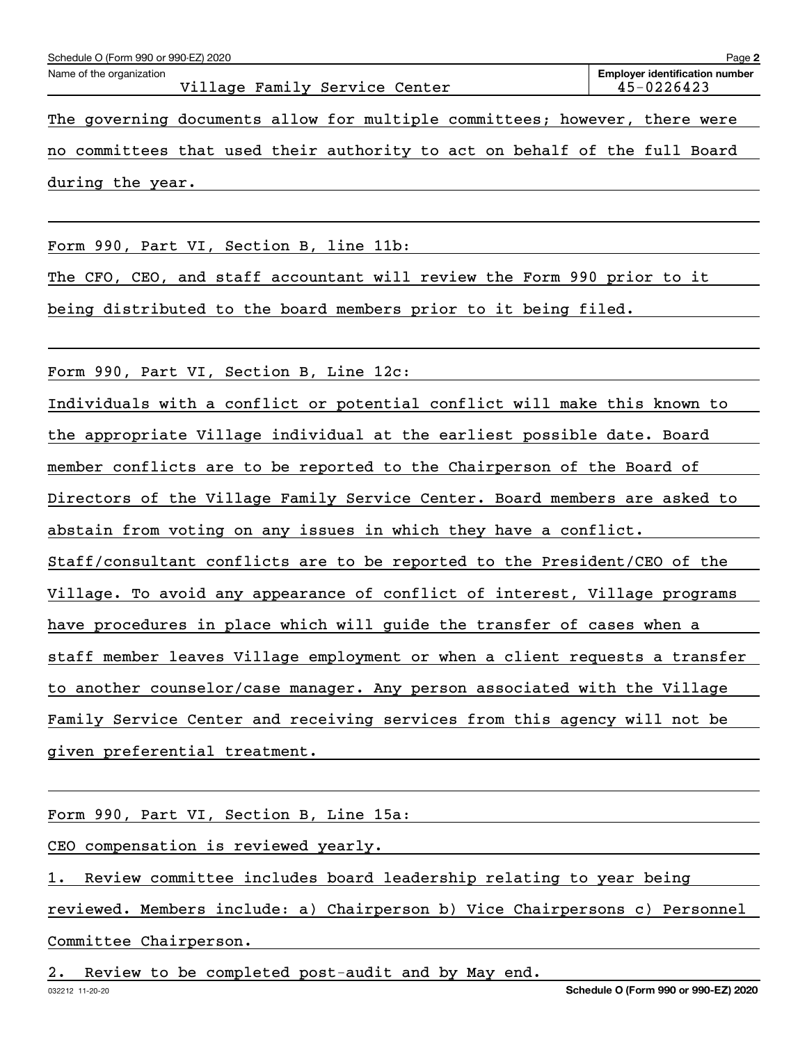The governing documents allow for multiple committees; however, there were no committees that used their authority to act on behalf of the full Board during the year.

Form 990, Part VI, Section B, line 11b:

The CFO, CEO, and staff accountant will review the Form 990 prior to it

being distributed to the board members prior to it being filed.

Form 990, Part VI, Section B, Line 12c:

Individuals with a conflict or potential conflict will make this known to the appropriate Village individual at the earliest possible date. Board member conflicts are to be reported to the Chairperson of the Board of Directors of the Village Family Service Center. Board members are asked to abstain from voting on any issues in which they have a conflict. Staff/consultant conflicts are to be reported to the President/CEO of the Village. To avoid any appearance of conflict of interest, Village programs have procedures in place which will guide the transfer of cases when a staff member leaves Village employment or when a client requests a transfer to another counselor/case manager. Any person associated with the Village Family Service Center and receiving services from this agency will not be given preferential treatment.

Form 990, Part VI, Section B, Line 15a:

CEO compensation is reviewed yearly.

1. Review committee includes board leadership relating to year being

reviewed. Members include: a) Chairperson b) Vice Chairpersons c) Personnel Committee Chairperson.

Review to be completed post-audit and by May end.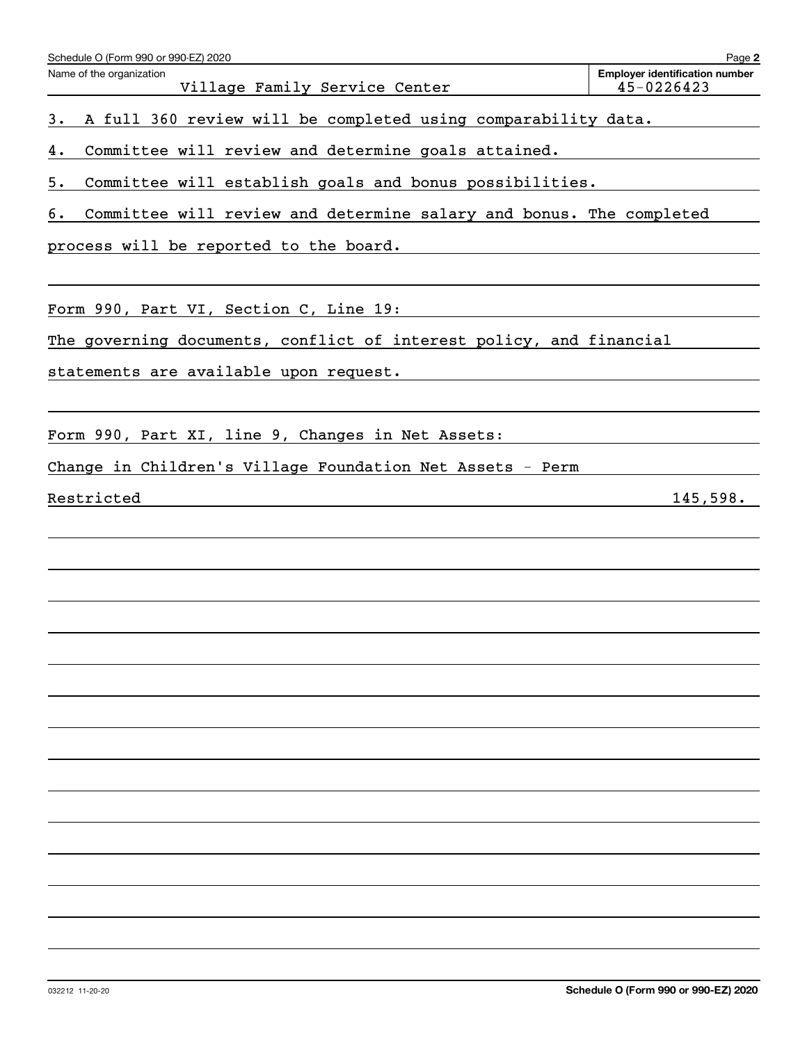| Schedule O (Form 990 or 990-EZ) 2020                                      | Page 2                                              |
|---------------------------------------------------------------------------|-----------------------------------------------------|
| Name of the organization<br>Village Family Service Center                 | <b>Employer identification number</b><br>45-0226423 |
| A full 360 review will be completed using comparability data.<br>3.       |                                                     |
| Committee will review and determine goals attained.<br>4.                 |                                                     |
| Committee will establish goals and bonus possibilities.<br>5.             |                                                     |
| Committee will review and determine salary and bonus. The completed<br>б. |                                                     |
| process will be reported to the board.                                    |                                                     |
|                                                                           |                                                     |
| Form 990, Part VI, Section C, Line 19:                                    |                                                     |
| The governing documents, conflict of interest policy, and financial       |                                                     |
| statements are available upon request.                                    |                                                     |
|                                                                           |                                                     |
| Form 990, Part XI, line 9, Changes in Net Assets:                         |                                                     |
| Change in Children's Village Foundation Net Assets - Perm                 |                                                     |
| Restricted                                                                | 145,598.                                            |
|                                                                           |                                                     |
|                                                                           |                                                     |
|                                                                           |                                                     |
|                                                                           |                                                     |
|                                                                           |                                                     |
|                                                                           |                                                     |
|                                                                           |                                                     |
|                                                                           |                                                     |
|                                                                           |                                                     |
|                                                                           |                                                     |
|                                                                           |                                                     |
|                                                                           |                                                     |
|                                                                           |                                                     |
|                                                                           |                                                     |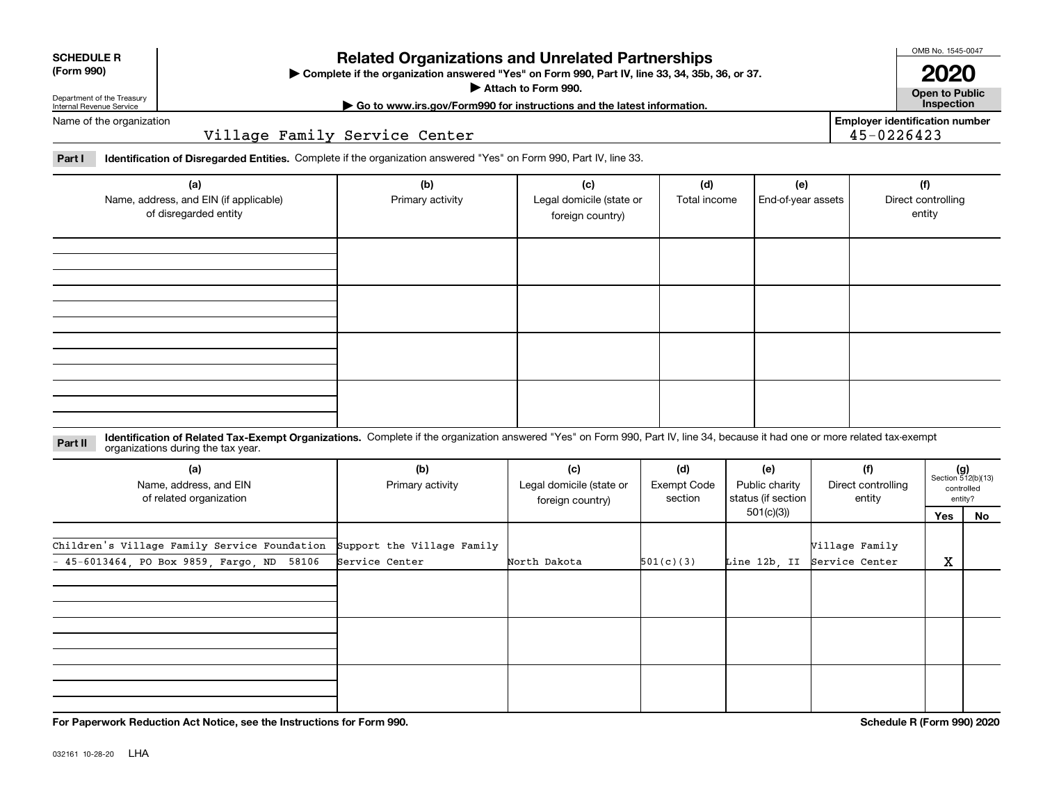| <b>SCHEDULE R</b> |    |  |
|-------------------|----|--|
|                   | AA |  |

**(Form 990)**

### **Related Organizations and Unrelated Partnerships**

**Complete if the organization answered "Yes" on Form 990, Part IV, line 33, 34, 35b, 36, or 37.** |

**Attach to Form 990.**  |

OMB No. 1545-0047 **2020**

**Open to Public | Go to www.irs.gov/Form990 for instructions and the latest information. Inspection**

**Employer identification number**

45-0226423

Department of the Treasury Internal Revenue Service Name of the organization

Village Family Service Center

**Part I Identification of Disregarded Entities.**  Complete if the organization answered "Yes" on Form 990, Part IV, line 33.

| (a)<br>Name, address, and EIN (if applicable)<br>of disregarded entity | (b)<br>Primary activity | (c)<br>Legal domicile (state or<br>foreign country) | (d)<br>Total income | (e)<br>End-of-year assets | (f)<br>Direct controlling<br>entity |
|------------------------------------------------------------------------|-------------------------|-----------------------------------------------------|---------------------|---------------------------|-------------------------------------|
|                                                                        |                         |                                                     |                     |                           |                                     |
|                                                                        |                         |                                                     |                     |                           |                                     |
|                                                                        |                         |                                                     |                     |                           |                                     |
|                                                                        |                         |                                                     |                     |                           |                                     |

**Identification of Related Tax-Exempt Organizations.** Complete if the organization answered "Yes" on Form 990, Part IV, line 34, because it had one or more related tax-exempt **Part II** organizations during the tax year.

| (a)<br>Name, address, and EIN<br>of related organization | (b)<br>Primary activity    | (c)<br>Legal domicile (state or<br>foreign country) | (d)<br><b>Exempt Code</b><br>section | (e)<br>Public charity<br>status (if section | (f)<br>Direct controlling<br>entity |     | $(g)$<br>Section 512(b)(13)<br>controlled<br>entity? |
|----------------------------------------------------------|----------------------------|-----------------------------------------------------|--------------------------------------|---------------------------------------------|-------------------------------------|-----|------------------------------------------------------|
|                                                          |                            |                                                     |                                      | 501(c)(3))                                  |                                     | Yes | No                                                   |
| Children's Village Family Service Foundation             | Support the Village Family |                                                     |                                      |                                             | Village Family                      |     |                                                      |
| $-45-6013464$ , PO Box 9859, Fargo, ND 58106             | Service Center             | North Dakota                                        | 501(c)(3)                            | Line 12b, II                                | Service Center                      | х   |                                                      |
|                                                          |                            |                                                     |                                      |                                             |                                     |     |                                                      |
|                                                          |                            |                                                     |                                      |                                             |                                     |     |                                                      |
|                                                          |                            |                                                     |                                      |                                             |                                     |     |                                                      |
|                                                          |                            |                                                     |                                      |                                             |                                     |     |                                                      |
|                                                          |                            |                                                     |                                      |                                             |                                     |     |                                                      |
|                                                          |                            |                                                     |                                      |                                             |                                     |     |                                                      |
|                                                          |                            |                                                     |                                      |                                             |                                     |     |                                                      |

**For Paperwork Reduction Act Notice, see the Instructions for Form 990. Schedule R (Form 990) 2020**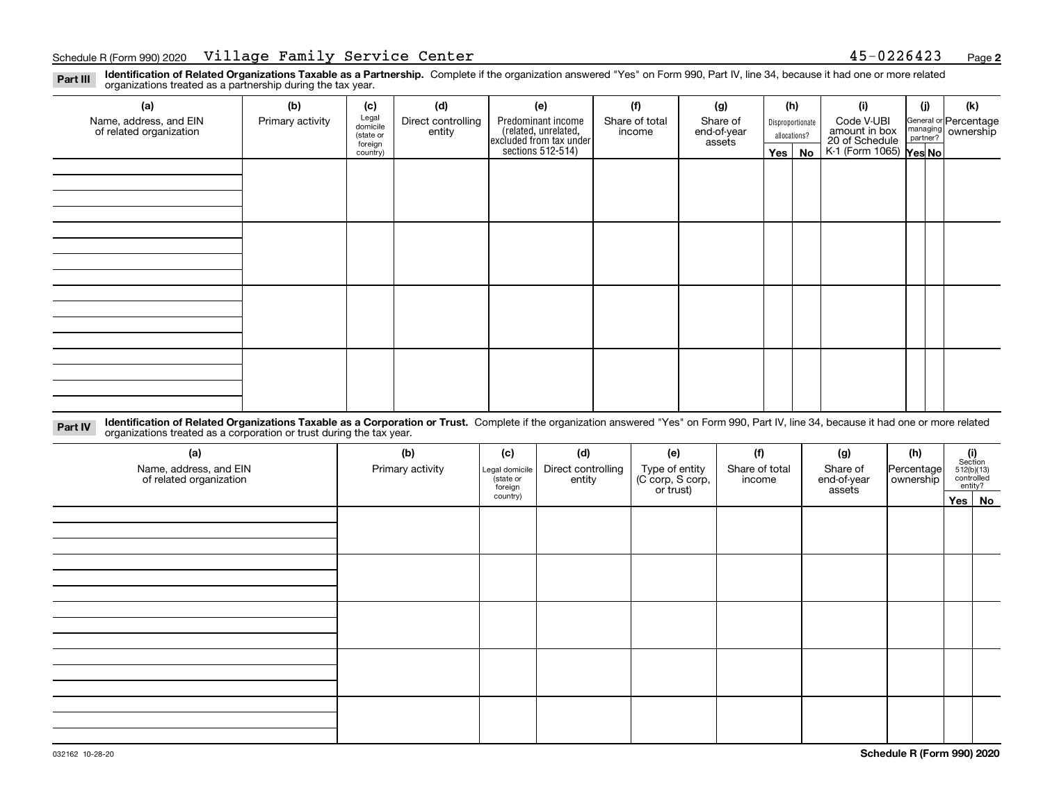**Identification of Related Organizations Taxable as a Partnership.** Complete if the organization answered "Yes" on Form 990, Part IV, line 34, because it had one or more related **Part III** organizations treated as a partnership during the tax year.

| (a)                     | (b)              | (c)               | (d)                | (e)                                                                 | (f)            | (g)         |                                  | (h) | (i)                                      | (i) | (k)                                                       |
|-------------------------|------------------|-------------------|--------------------|---------------------------------------------------------------------|----------------|-------------|----------------------------------|-----|------------------------------------------|-----|-----------------------------------------------------------|
| Name, address, and EIN  | Primary activity | Legal<br>domicile | Direct controlling | Predominant income                                                  | Share of total | Share of    | Disproportionate<br>allocations? |     | Code V-UBI                               |     |                                                           |
| of related organization |                  | (state or         | entity             | related, unrelated,<br>excluded from tax under<br>sections 512-514) | income         | end-of-year |                                  |     | amount in box                            |     | General or Percentage<br>managing<br>partner?<br>partner? |
|                         |                  | foreign           |                    |                                                                     |                | assets      |                                  |     | 20 of Schedule<br>K-1 (Form 1065) Yes No |     |                                                           |
|                         |                  | country)          |                    |                                                                     |                |             | $Yes \mid$                       | No  |                                          |     |                                                           |
|                         |                  |                   |                    |                                                                     |                |             |                                  |     |                                          |     |                                                           |
|                         |                  |                   |                    |                                                                     |                |             |                                  |     |                                          |     |                                                           |
|                         |                  |                   |                    |                                                                     |                |             |                                  |     |                                          |     |                                                           |
|                         |                  |                   |                    |                                                                     |                |             |                                  |     |                                          |     |                                                           |
|                         |                  |                   |                    |                                                                     |                |             |                                  |     |                                          |     |                                                           |
|                         |                  |                   |                    |                                                                     |                |             |                                  |     |                                          |     |                                                           |
|                         |                  |                   |                    |                                                                     |                |             |                                  |     |                                          |     |                                                           |
|                         |                  |                   |                    |                                                                     |                |             |                                  |     |                                          |     |                                                           |
|                         |                  |                   |                    |                                                                     |                |             |                                  |     |                                          |     |                                                           |
|                         |                  |                   |                    |                                                                     |                |             |                                  |     |                                          |     |                                                           |
|                         |                  |                   |                    |                                                                     |                |             |                                  |     |                                          |     |                                                           |
|                         |                  |                   |                    |                                                                     |                |             |                                  |     |                                          |     |                                                           |
|                         |                  |                   |                    |                                                                     |                |             |                                  |     |                                          |     |                                                           |
|                         |                  |                   |                    |                                                                     |                |             |                                  |     |                                          |     |                                                           |
|                         |                  |                   |                    |                                                                     |                |             |                                  |     |                                          |     |                                                           |
|                         |                  |                   |                    |                                                                     |                |             |                                  |     |                                          |     |                                                           |
|                         |                  |                   |                    |                                                                     |                |             |                                  |     |                                          |     |                                                           |
|                         |                  |                   |                    |                                                                     |                |             |                                  |     |                                          |     |                                                           |
|                         |                  |                   |                    |                                                                     |                |             |                                  |     |                                          |     |                                                           |
|                         |                  |                   |                    |                                                                     |                |             |                                  |     |                                          |     |                                                           |

**Identification of Related Organizations Taxable as a Corporation or Trust.** Complete if the organization answered "Yes" on Form 990, Part IV, line 34, because it had one or more related **Part IV** organizations treated as a corporation or trust during the tax year.

| (a)<br>Name, address, and EIN<br>of related organization | (b)<br>Primary activity | (c)<br>Legal domicile<br>(state or<br>foreign | (d)<br>Direct controlling<br>entity | (e)<br>Type of entity<br>(C corp, S corp,<br>or trust) | (f)<br>Share of total<br>income | (g)<br>Share of<br>end-of-year<br>assets | (h)<br>Percentage<br>ownership | $(i)$ Section<br>512(b)(13)<br>controlled<br>entity? |          |
|----------------------------------------------------------|-------------------------|-----------------------------------------------|-------------------------------------|--------------------------------------------------------|---------------------------------|------------------------------------------|--------------------------------|------------------------------------------------------|----------|
|                                                          |                         | country)                                      |                                     |                                                        |                                 |                                          |                                |                                                      | Yes   No |
|                                                          |                         |                                               |                                     |                                                        |                                 |                                          |                                |                                                      |          |
|                                                          |                         |                                               |                                     |                                                        |                                 |                                          |                                |                                                      |          |
|                                                          |                         |                                               |                                     |                                                        |                                 |                                          |                                |                                                      |          |
|                                                          |                         |                                               |                                     |                                                        |                                 |                                          |                                |                                                      |          |
|                                                          |                         |                                               |                                     |                                                        |                                 |                                          |                                |                                                      |          |
|                                                          |                         |                                               |                                     |                                                        |                                 |                                          |                                |                                                      |          |
|                                                          |                         |                                               |                                     |                                                        |                                 |                                          |                                |                                                      |          |
|                                                          |                         |                                               |                                     |                                                        |                                 |                                          |                                |                                                      |          |
|                                                          |                         |                                               |                                     |                                                        |                                 |                                          |                                |                                                      |          |
|                                                          |                         |                                               |                                     |                                                        |                                 |                                          |                                |                                                      |          |
|                                                          |                         |                                               |                                     |                                                        |                                 |                                          |                                |                                                      |          |
|                                                          |                         |                                               |                                     |                                                        |                                 |                                          |                                |                                                      |          |
|                                                          |                         |                                               |                                     |                                                        |                                 |                                          |                                |                                                      |          |
|                                                          |                         |                                               |                                     |                                                        |                                 |                                          |                                |                                                      |          |
|                                                          |                         |                                               |                                     |                                                        |                                 |                                          |                                |                                                      |          |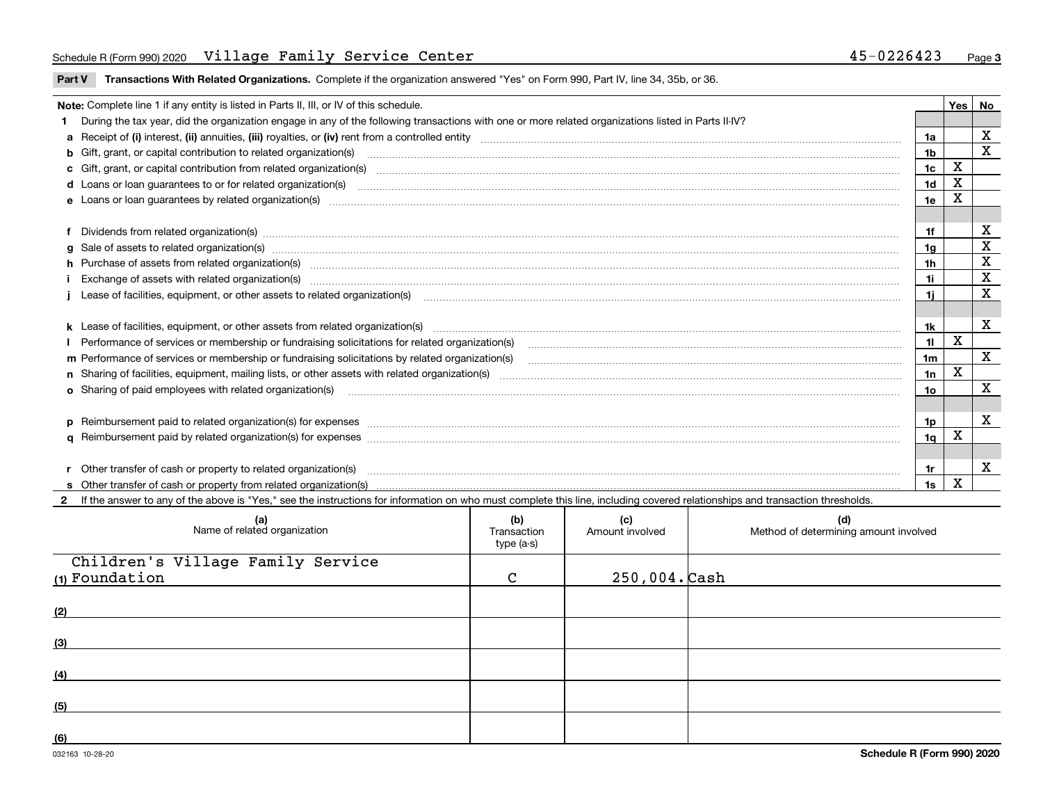#### Schedule R (Form 990) 2020 <code>Village Family Service Center</code> 45-0226423 Page

**Part V** T**ransactions With Related Organizations.** Complete if the organization answered "Yes" on Form 990, Part IV, line 34, 35b, or 36.

| Note: Complete line 1 if any entity is listed in Parts II, III, or IV of this schedule.                                                                                                                                        |    | Yes | No                      |
|--------------------------------------------------------------------------------------------------------------------------------------------------------------------------------------------------------------------------------|----|-----|-------------------------|
| 1 During the tax year, did the organization engage in any of the following transactions with one or more related organizations listed in Parts II-IV?                                                                          |    |     |                         |
|                                                                                                                                                                                                                                |    |     | х                       |
|                                                                                                                                                                                                                                | 1b |     | X                       |
| c Gift, grant, or capital contribution from related organization(s) matches contains and content and contribution from related organization(s) matches contains and contribution from related organization(s) matches contains | 1c | X   |                         |
|                                                                                                                                                                                                                                | 1d | X   |                         |
| e Loans or loan quarantees by related organization(s)                                                                                                                                                                          | 1e | х   |                         |
|                                                                                                                                                                                                                                |    |     |                         |
| f Dividends from related organization(s) manufactured contains and contained a series of the contact of the contact of the contact of the contact of the contact of the contact of the contact of the contact of the contact o | 1f |     | x                       |
| g Sale of assets to related organization(s) www.assettion.com/www.assettion.com/www.assettion.com/www.assettion.com/www.assettion.com/www.assettion.com/www.assettion.com/www.assettion.com/www.assettion.com/www.assettion.co | 1g |     | х                       |
| h Purchase of assets from related organization(s) manufactured manufactured manufactured manufactured manufactured manufactured manufactured manufactured manufactured manufactured manufactured manufactured manufactured man | 1h |     | х                       |
| Exchange of assets with related organization(s) www.assettion.com/www.assettion.com/www.assettion.com/www.assettion.com/www.assettion.com/www.assettion.com/www.assettion.com/www.assettion.com/www.assettion.com/www.assettio | 1i |     | X                       |
|                                                                                                                                                                                                                                | 1i |     | $\overline{\mathbf{X}}$ |
|                                                                                                                                                                                                                                |    |     |                         |
|                                                                                                                                                                                                                                | 1k |     | X                       |
| Performance of services or membership or fundraising solicitations for related organization(s)                                                                                                                                 | 11 | X   |                         |
| m Performance of services or membership or fundraising solicitations by related organization(s)                                                                                                                                | 1m |     | $\mathbf{x}$            |
|                                                                                                                                                                                                                                | 1n | X   |                         |
| <b>o</b> Sharing of paid employees with related organization(s)                                                                                                                                                                | 10 |     | x                       |
|                                                                                                                                                                                                                                |    |     |                         |
|                                                                                                                                                                                                                                | 1p |     | X                       |
|                                                                                                                                                                                                                                | 1a | х   |                         |
|                                                                                                                                                                                                                                |    |     |                         |
|                                                                                                                                                                                                                                | 1r |     | х                       |
|                                                                                                                                                                                                                                | 1s | X   |                         |

**2**If the answer to any of the above is "Yes," see the instructions for information on who must complete this line, including covered relationships and transaction thresholds.

| (a)<br>Name of related organization                 | (b)<br>Transaction<br>type (a-s) | (c)<br>Amount involved | (d)<br>Method of determining amount involved |
|-----------------------------------------------------|----------------------------------|------------------------|----------------------------------------------|
| Children's Village Family Service<br>(1) Foundation | $\mathcal{C}$                    | $250,004.$ Cash        |                                              |
| (2)                                                 |                                  |                        |                                              |
| (3)                                                 |                                  |                        |                                              |
| (4)                                                 |                                  |                        |                                              |
| (5)                                                 |                                  |                        |                                              |
| (6)                                                 |                                  |                        |                                              |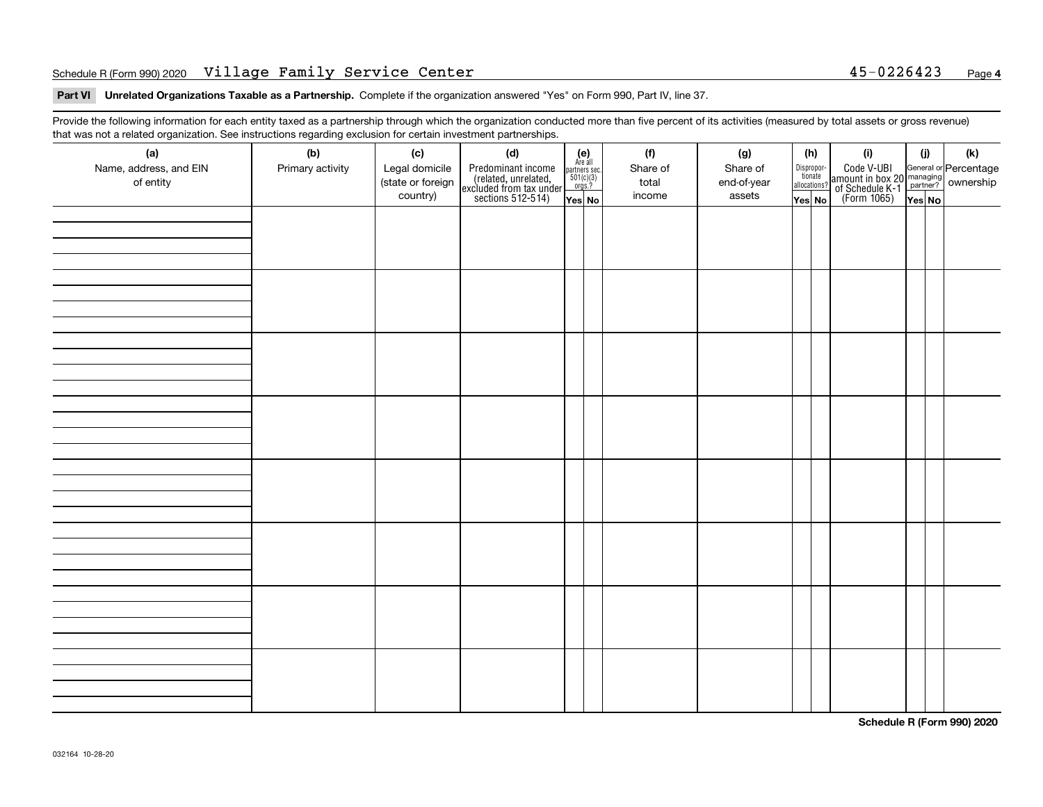#### Schedule R (Form 990) 2020 <code>Village Family Service Center</code> 45-0226423 Page

**Part VI Unrelated Organizations Taxable as a Partnership. Complete if the organization answered "Yes" on Form 990, Part IV, line 37.** 

Provide the following information for each entity taxed as a partnership through which the organization conducted more than five percent of its activities (measured by total assets or gross revenue) that was not a related organization. See instructions regarding exclusion for certain investment partnerships.

| ັ<br>(a)               | ັ<br>ັ<br>(b)    | (c)               | (d)                                                                                        |                                                                                     |  | (f)      | (g)         | (h) |                                       | (i)                                                                                                                                   | (i)    | (k) |
|------------------------|------------------|-------------------|--------------------------------------------------------------------------------------------|-------------------------------------------------------------------------------------|--|----------|-------------|-----|---------------------------------------|---------------------------------------------------------------------------------------------------------------------------------------|--------|-----|
| Name, address, and EIN | Primary activity | Legal domicile    |                                                                                            | (e)<br>Are all                                                                      |  | Share of | Share of    |     |                                       |                                                                                                                                       |        |     |
| of entity              |                  | (state or foreign | Predominant income<br>(related, unrelated,<br>excluded from tax under<br>sections 512-514) | $\begin{array}{c}\n\text{partners} \sec.\n\\ \n501(c)(3)\n\\ \n0rgs.?\n\end{array}$ |  | total    | end-of-year |     | Dispropor-<br>tionate<br>allocations? | Code V-UBI<br>  amount in box 20 managing<br>  of Schedule K-1 partner? ownership<br>  of Schedule K-1 partner? ownership<br>  Yes No |        |     |
|                        |                  | country)          |                                                                                            | Yes No                                                                              |  | income   | assets      |     | Yes No                                |                                                                                                                                       | Yes No |     |
|                        |                  |                   |                                                                                            |                                                                                     |  |          |             |     |                                       |                                                                                                                                       |        |     |
|                        |                  |                   |                                                                                            |                                                                                     |  |          |             |     |                                       |                                                                                                                                       |        |     |
|                        |                  |                   |                                                                                            |                                                                                     |  |          |             |     |                                       |                                                                                                                                       |        |     |
|                        |                  |                   |                                                                                            |                                                                                     |  |          |             |     |                                       |                                                                                                                                       |        |     |
|                        |                  |                   |                                                                                            |                                                                                     |  |          |             |     |                                       |                                                                                                                                       |        |     |
|                        |                  |                   |                                                                                            |                                                                                     |  |          |             |     |                                       |                                                                                                                                       |        |     |
|                        |                  |                   |                                                                                            |                                                                                     |  |          |             |     |                                       |                                                                                                                                       |        |     |
|                        |                  |                   |                                                                                            |                                                                                     |  |          |             |     |                                       |                                                                                                                                       |        |     |
|                        |                  |                   |                                                                                            |                                                                                     |  |          |             |     |                                       |                                                                                                                                       |        |     |
|                        |                  |                   |                                                                                            |                                                                                     |  |          |             |     |                                       |                                                                                                                                       |        |     |
|                        |                  |                   |                                                                                            |                                                                                     |  |          |             |     |                                       |                                                                                                                                       |        |     |
|                        |                  |                   |                                                                                            |                                                                                     |  |          |             |     |                                       |                                                                                                                                       |        |     |
|                        |                  |                   |                                                                                            |                                                                                     |  |          |             |     |                                       |                                                                                                                                       |        |     |
|                        |                  |                   |                                                                                            |                                                                                     |  |          |             |     |                                       |                                                                                                                                       |        |     |
|                        |                  |                   |                                                                                            |                                                                                     |  |          |             |     |                                       |                                                                                                                                       |        |     |
|                        |                  |                   |                                                                                            |                                                                                     |  |          |             |     |                                       |                                                                                                                                       |        |     |
|                        |                  |                   |                                                                                            |                                                                                     |  |          |             |     |                                       |                                                                                                                                       |        |     |
|                        |                  |                   |                                                                                            |                                                                                     |  |          |             |     |                                       |                                                                                                                                       |        |     |
|                        |                  |                   |                                                                                            |                                                                                     |  |          |             |     |                                       |                                                                                                                                       |        |     |
|                        |                  |                   |                                                                                            |                                                                                     |  |          |             |     |                                       |                                                                                                                                       |        |     |
|                        |                  |                   |                                                                                            |                                                                                     |  |          |             |     |                                       |                                                                                                                                       |        |     |
|                        |                  |                   |                                                                                            |                                                                                     |  |          |             |     |                                       |                                                                                                                                       |        |     |
|                        |                  |                   |                                                                                            |                                                                                     |  |          |             |     |                                       |                                                                                                                                       |        |     |
|                        |                  |                   |                                                                                            |                                                                                     |  |          |             |     |                                       |                                                                                                                                       |        |     |
|                        |                  |                   |                                                                                            |                                                                                     |  |          |             |     |                                       |                                                                                                                                       |        |     |
|                        |                  |                   |                                                                                            |                                                                                     |  |          |             |     |                                       |                                                                                                                                       |        |     |
|                        |                  |                   |                                                                                            |                                                                                     |  |          |             |     |                                       |                                                                                                                                       |        |     |
|                        |                  |                   |                                                                                            |                                                                                     |  |          |             |     |                                       |                                                                                                                                       |        |     |
|                        |                  |                   |                                                                                            |                                                                                     |  |          |             |     |                                       |                                                                                                                                       |        |     |
|                        |                  |                   |                                                                                            |                                                                                     |  |          |             |     |                                       |                                                                                                                                       |        |     |
|                        |                  |                   |                                                                                            |                                                                                     |  |          |             |     |                                       |                                                                                                                                       |        |     |
|                        |                  |                   |                                                                                            |                                                                                     |  |          |             |     |                                       |                                                                                                                                       |        |     |
|                        |                  |                   |                                                                                            |                                                                                     |  |          |             |     |                                       |                                                                                                                                       |        |     |
|                        |                  |                   |                                                                                            |                                                                                     |  |          |             |     |                                       |                                                                                                                                       |        |     |

**Schedule R (Form 990) 2020**